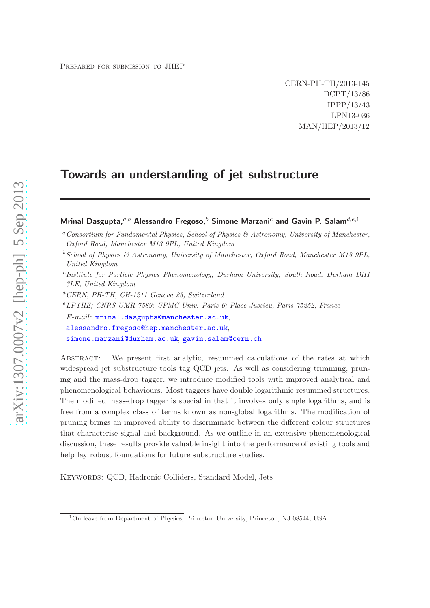CERN-PH-TH/2013-145 DCPT/13/86 IPPP/13/43 LPN13-036 MAN/HEP/2013/12

# Towards an understanding of jet substructure

# Mrinal Dasgupta, $a,b$  Alessandro Fregoso, $b$  Simone Marzani<sup>c</sup> and Gavin P. Salam<sup>d,e,1</sup>

- c *Institute for Particle Physics Phenomenology, Durham University, South Road, Durham DH1 3LE, United Kingdom*
- <sup>d</sup>*CERN, PH-TH, CH-1211 Geneva 23, Switzerland*
- <sup>e</sup>*LPTHE; CNRS UMR 7589; UPMC Univ. Paris 6; Place Jussieu, Paris 75252, France*

*E-mail:* [mrinal.dasgupta@manchester.ac.uk](mailto:mrinal.dasgupta@manchester.ac.uk), [alessandro.fregoso@hep.manchester.ac.uk](mailto:alessandro.fregoso@hep.manchester.ac.uk), [simone.marzani@durham.ac.uk](mailto:simone.marzani@durham.ac.uk), [gavin.salam@cern.ch](mailto:gavin.salam@cern.ch)

Abstract: We present first analytic, resummed calculations of the rates at which widespread jet substructure tools tag QCD jets. As well as considering trimming, pruning and the mass-drop tagger, we introduce modified tools with improved analytical and phenomenological behaviours. Most taggers have double logarithmic resummed structures. The modified mass-drop tagger is special in that it involves only single logarithms, and is free from a complex class of terms known as non-global logarithms. The modification of pruning brings an improved ability to discriminate between the different colour structures that characterise signal and background. As we outline in an extensive phenomenological discussion, these results provide valuable insight into the performance of existing tools and help lay robust foundations for future substructure studies.

KEYWORDS: QCD, Hadronic Colliders, Standard Model, Jets

<sup>a</sup>*Consortium for Fundamental Physics, School of Physics & Astronomy, University of Manchester, Oxford Road, Manchester M13 9PL, United Kingdom*

<sup>b</sup>*School of Physics & Astronomy, University of Manchester, Oxford Road, Manchester M13 9PL, United Kingdom*

<sup>1</sup>On leave from Department of Physics, Princeton University, Princeton, NJ 08544, USA.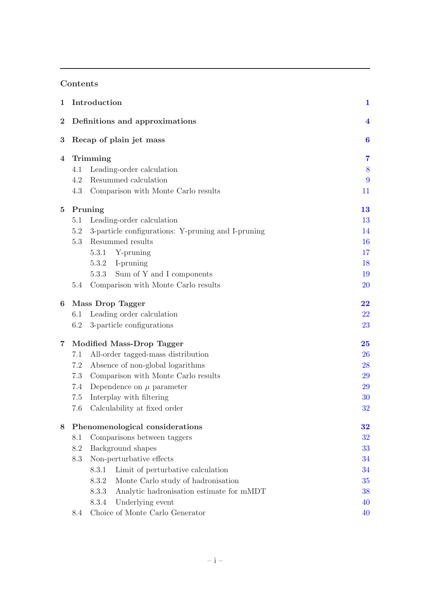## Contents

| 1        | Introduction                    | $\mathbf 1$                                        |           |  |
|----------|---------------------------------|----------------------------------------------------|-----------|--|
| $\bf{2}$ | Definitions and approximations  |                                                    |           |  |
| $\bf{3}$ | Recap of plain jet mass         | 6                                                  |           |  |
| 4        | Trimming                        | 7                                                  |           |  |
|          | 4.1                             | Leading-order calculation                          | 8         |  |
|          | 4.2                             | Resummed calculation                               | 9         |  |
|          | 4.3                             | Comparison with Monte Carlo results                | 11        |  |
| $\bf{5}$ | Pruning                         | 13                                                 |           |  |
|          | 5.1                             | Leading-order calculation                          | 13        |  |
|          | 5.2                             | 3-particle configurations: Y-pruning and I-pruning | 14        |  |
|          | 5.3                             | Resummed results                                   | <b>16</b> |  |
|          |                                 | 5.3.1<br>Y-pruning                                 | 17        |  |
|          |                                 | 5.3.2<br>I-pruning                                 | 18        |  |
|          |                                 | Sum of Y and I components<br>5.3.3                 | 19        |  |
|          | $5.4\,$                         | Comparison with Monte Carlo results                | 20        |  |
| 6        | <b>Mass Drop Tagger</b>         | 22                                                 |           |  |
|          | 6.1                             | Leading order calculation                          | 22        |  |
|          | 6.2                             | 3-particle configurations                          | 23        |  |
| 7        | Modified Mass-Drop Tagger       | 25                                                 |           |  |
|          | 7.1                             | 26                                                 |           |  |
|          | 7.2                             | Absence of non-global logarithms                   | 28        |  |
|          | 7.3                             | Comparison with Monte Carlo results                | 29        |  |
|          | 7.4                             | Dependence on $\mu$ parameter                      | 29        |  |
|          | 7.5                             | 30                                                 |           |  |
|          | 7.6                             | 32                                                 |           |  |
| 8        | Phenomenological considerations |                                                    |           |  |
|          | 8.1                             | Comparisons between taggers                        | 32        |  |
|          | 8.2                             | Background shapes                                  | 33        |  |
|          | 8.3                             | Non-perturbative effects                           | 34        |  |
|          |                                 | Limit of perturbative calculation<br>8.3.1         | 34        |  |
|          |                                 | Monte Carlo study of hadronisation<br>8.3.2        | 35        |  |
|          |                                 | Analytic hadronisation estimate for mMDT<br>8.3.3  | 38        |  |
|          |                                 | Underlying event<br>8.3.4                          | 40        |  |
|          | 8.4                             | 40                                                 |           |  |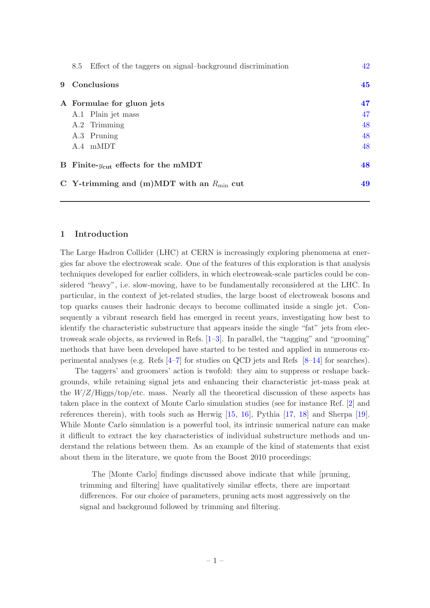| Effect of the taggers on signal-background discrimination<br>8.5 | 42 |  |
|------------------------------------------------------------------|----|--|
| 9 Conclusions                                                    |    |  |
| A Formulae for gluon jets                                        | 47 |  |
| A.1 Plain jet mass                                               | 47 |  |
| A.2 Trimming                                                     | 48 |  |
| A.3 Pruning                                                      | 48 |  |
| $A.4$ mMDT                                                       | 48 |  |
| B Finite- $y_{\text{cut}}$ effects for the mMDT                  | 48 |  |
| C Y-trimming and (m)MDT with an $R_{\text{min}}$ cut             | 49 |  |

## <span id="page-2-0"></span>1 Introduction

The Large Hadron Collider (LHC) at CERN is increasingly exploring phenomena at energies far above the electroweak scale. One of the features of this exploration is that analysis techniques developed for earlier colliders, in which electroweak-scale particles could be considered "heavy", i.e. slow-moving, have to be fundamentally reconsidered at the LHC. In particular, in the context of jet-related studies, the large boost of electroweak bosons and top quarks causes their hadronic decays to become collimated inside a single jet. Consequently a vibrant research field has emerged in recent years, investigating how best to identify the characteristic substructure that appears inside the single "fat" jets from electroweak scale objects, as reviewed in Refs. [\[1](#page-52-0)[–3\]](#page-52-1). In parallel, the "tagging" and "grooming" methods that have been developed have started to be tested and applied in numerous experimental analyses (e.g. Refs [\[4](#page-52-2)[–7\]](#page-53-0) for studies on QCD jets and Refs [\[8](#page-53-1)[–14](#page-53-2)] for searches).

The taggers' and groomers' action is twofold: they aim to suppress or reshape backgrounds, while retaining signal jets and enhancing their characteristic jet-mass peak at the  $W/Z/\text{Higgs}$ /top/etc. mass. Nearly all the theoretical discussion of these aspects has taken place in the context of Monte Carlo simulation studies (see for instance Ref. [\[2\]](#page-52-3) and references therein), with tools such as Herwig [\[15,](#page-53-3) [16](#page-53-4)], Pythia [\[17,](#page-53-5) [18](#page-53-6)] and Sherpa [\[19\]](#page-53-7). While Monte Carlo simulation is a powerful tool, its intrinsic numerical nature can make it difficult to extract the key characteristics of individual substructure methods and understand the relations between them. As an example of the kind of statements that exist about them in the literature, we quote from the Boost 2010 proceedings:

The [Monte Carlo] findings discussed above indicate that while [pruning, trimming and filtering] have qualitatively similar effects, there are important differences. For our choice of parameters, pruning acts most aggressively on the signal and background followed by trimming and filtering.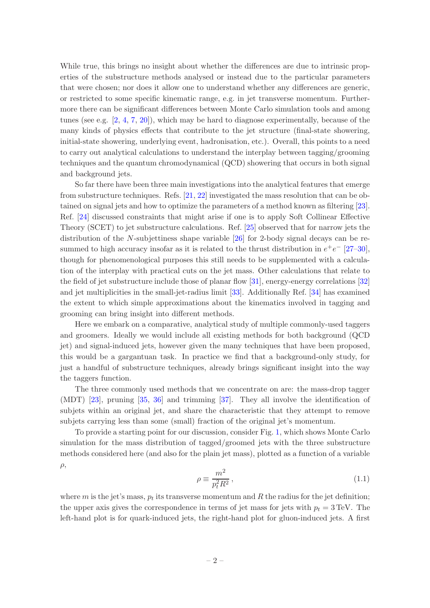While true, this brings no insight about whether the differences are due to intrinsic properties of the substructure methods analysed or instead due to the particular parameters that were chosen; nor does it allow one to understand whether any differences are generic, or restricted to some specific kinematic range, e.g. in jet transverse momentum. Furthermore there can be significant differences between Monte Carlo simulation tools and among tunes (see e.g. [\[2](#page-52-3), [4](#page-52-2), [7,](#page-53-0) [20](#page-53-8)]), which may be hard to diagnose experimentally, because of the many kinds of physics effects that contribute to the jet structure (final-state showering, initial-state showering, underlying event, hadronisation, etc.). Overall, this points to a need to carry out analytical calculations to understand the interplay between tagging/grooming techniques and the quantum chromodynamical (QCD) showering that occurs in both signal and background jets.

So far there have been three main investigations into the analytical features that emerge from substructure techniques. Refs. [\[21](#page-53-9), [22\]](#page-53-10) investigated the mass resolution that can be obtained on signal jets and how to optimize the parameters of a method known as filtering [\[23\]](#page-53-11). Ref. [\[24](#page-53-12)] discussed constraints that might arise if one is to apply Soft Collinear Effective Theory (SCET) to jet substructure calculations. Ref. [\[25](#page-53-13)] observed that for narrow jets the distribution of the N-subjettiness shape variable  $[26]$  for 2-body signal decays can be resummed to high accuracy insofar as it is related to the thrust distribution in  $e^+e^-$  [\[27](#page-53-15)[–30\]](#page-53-16), though for phenomenological purposes this still needs to be supplemented with a calculation of the interplay with practical cuts on the jet mass. Other calculations that relate to the field of jet substructure include those of planar flow [\[31\]](#page-53-17), energy-energy correlations [\[32\]](#page-53-18) and jet multiplicities in the small-jet-radius limit [\[33\]](#page-53-19). Additionally Ref. [\[34](#page-54-0)] has examined the extent to which simple approximations about the kinematics involved in tagging and grooming can bring insight into different methods.

Here we embark on a comparative, analytical study of multiple commonly-used taggers and groomers. Ideally we would include all existing methods for both background (QCD jet) and signal-induced jets, however given the many techniques that have been proposed, this would be a gargantuan task. In practice we find that a background-only study, for just a handful of substructure techniques, already brings significant insight into the way the taggers function.

The three commonly used methods that we concentrate on are: the mass-drop tagger (MDT) [\[23\]](#page-53-11), pruning [\[35](#page-54-1), [36](#page-54-2)] and trimming [\[37\]](#page-54-3). They all involve the identification of subjets within an original jet, and share the characteristic that they attempt to remove subjets carrying less than some (small) fraction of the original jet's momentum.

To provide a starting point for our discussion, consider Fig. [1,](#page-4-0) which shows Monte Carlo simulation for the mass distribution of tagged/groomed jets with the three substructure methods considered here (and also for the plain jet mass), plotted as a function of a variable  $\rho$ ,

$$
\rho \equiv \frac{m^2}{p_t^2 R^2},\tag{1.1}
$$

where  $m$  is the jet's mass,  $p_t$  its transverse momentum and  $R$  the radius for the jet definition; the upper axis gives the correspondence in terms of jet mass for jets with  $p_t = 3 \text{ TeV}$ . The left-hand plot is for quark-induced jets, the right-hand plot for gluon-induced jets. A first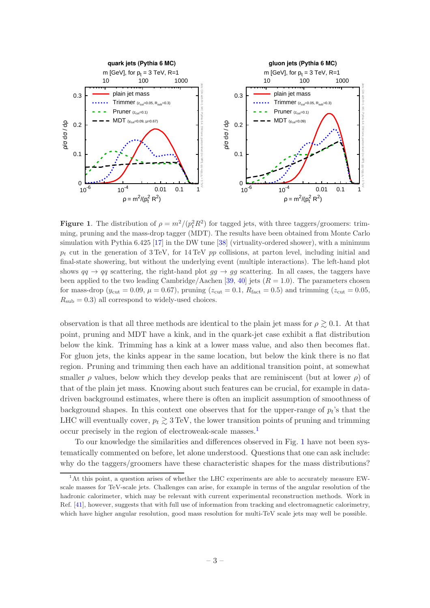

<span id="page-4-0"></span>**Figure 1.** The distribution of  $\rho = m^2/(p_t^2 R^2)$  for tagged jets, with three taggers/groomers: trimming, pruning and the mass-drop tagger (MDT). The results have been obtained from Monte Carlo simulation with Pythia  $6.425$  [\[17\]](#page-53-5) in the DW tune [\[38\]](#page-54-4) (virtuality-ordered shower), with a minimum  $p_t$  cut in the generation of 3 TeV, for 14 TeV pp collisions, at parton level, including initial and final-state showering, but without the underlying event (multiple interactions). The left-hand plot shows  $qq \rightarrow qq$  scattering, the right-hand plot  $gg \rightarrow gg$  scattering. In all cases, the taggers have been applied to the two leading Cambridge/Aachen [\[39](#page-54-5), [40](#page-54-6)] jets  $(R = 1.0)$ . The parameters chosen for mass-drop ( $y_{\text{cut}} = 0.09$ ,  $\mu = 0.67$ ), pruning ( $z_{\text{cut}} = 0.1$ ,  $R_{\text{fact}} = 0.5$ ) and trimming ( $z_{\text{cut}} = 0.05$ ,  $R_{\rm sub} = 0.3$ ) all correspond to widely-used choices.

observation is that all three methods are identical to the plain jet mass for  $\rho \geq 0.1$ . At that point, pruning and MDT have a kink, and in the quark-jet case exhibit a flat distribution below the kink. Trimming has a kink at a lower mass value, and also then becomes flat. For gluon jets, the kinks appear in the same location, but below the kink there is no flat region. Pruning and trimming then each have an additional transition point, at somewhat smaller  $\rho$  values, below which they develop peaks that are reminiscent (but at lower  $\rho$ ) of that of the plain jet mass. Knowing about such features can be crucial, for example in datadriven background estimates, where there is often an implicit assumption of smoothness of background shapes. In this context one observes that for the upper-range of  $p_t$ 's that the LHC will eventually cover,  $p_t \geq 3 \text{ TeV}$ , the lower transition points of pruning and trimming occur precisely in the region of electroweak-scale masses.[1](#page-4-1)

To our knowledge the similarities and differences observed in Fig. [1](#page-4-0) have not been systematically commented on before, let alone understood. Questions that one can ask include: why do the taggers/groomers have these characteristic shapes for the mass distributions?

<span id="page-4-1"></span> $1<sup>1</sup>$ At this point, a question arises of whether the LHC experiments are able to accurately measure EWscale masses for TeV-scale jets. Challenges can arise, for example in terms of the angular resolution of the hadronic calorimeter, which may be relevant with current experimental reconstruction methods. Work in Ref. [\[41\]](#page-54-7), however, suggests that with full use of information from tracking and electromagnetic calorimetry, which have higher angular resolution, good mass resolution for multi-TeV scale jets may well be possible.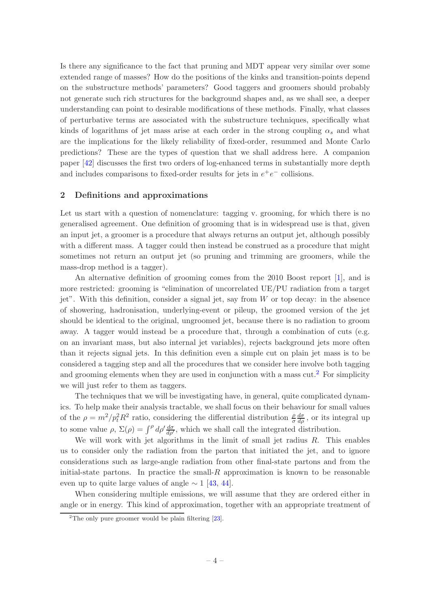Is there any significance to the fact that pruning and MDT appear very similar over some extended range of masses? How do the positions of the kinks and transition-points depend on the substructure methods' parameters? Good taggers and groomers should probably not generate such rich structures for the background shapes and, as we shall see, a deeper understanding can point to desirable modifications of these methods. Finally, what classes of perturbative terms are associated with the substructure techniques, specifically what kinds of logarithms of jet mass arise at each order in the strong coupling  $\alpha_s$  and what are the implications for the likely reliability of fixed-order, resummed and Monte Carlo predictions? These are the types of question that we shall address here. A companion paper [\[42\]](#page-54-8) discusses the first two orders of log-enhanced terms in substantially more depth and includes comparisons to fixed-order results for jets in  $e^+e^-$  collisions.

#### <span id="page-5-0"></span>2 Definitions and approximations

Let us start with a question of nomenclature: tagging v. grooming, for which there is no generalised agreement. One definition of grooming that is in widespread use is that, given an input jet, a groomer is a procedure that always returns an output jet, although possibly with a different mass. A tagger could then instead be construed as a procedure that might sometimes not return an output jet (so pruning and trimming are groomers, while the mass-drop method is a tagger).

An alternative definition of grooming comes from the 2010 Boost report [\[1](#page-52-0)], and is more restricted: grooming is "elimination of uncorrelated UE/PU radiation from a target jet". With this definition, consider a signal jet, say from  $W$  or top decay: in the absence of showering, hadronisation, underlying-event or pileup, the groomed version of the jet should be identical to the original, ungroomed jet, because there is no radiation to groom away. A tagger would instead be a procedure that, through a combination of cuts (e.g. on an invariant mass, but also internal jet variables), rejects background jets more often than it rejects signal jets. In this definition even a simple cut on plain jet mass is to be considered a tagging step and all the procedures that we consider here involve both tagging and grooming elements when they are used in conjunction with a mass  $\text{cut.}^2$  $\text{cut.}^2$  For simplicity we will just refer to them as taggers.

The techniques that we will be investigating have, in general, quite complicated dynamics. To help make their analysis tractable, we shall focus on their behaviour for small values of the  $\rho = m^2/p_t^2 R^2$  ratio, considering the differential distribution  $\frac{\rho}{\sigma}$  $\frac{d\sigma}{d\rho}$ , or its integral up to some value  $\rho$ ,  $\Sigma(\rho) = \int^{\rho} d\rho' \frac{d\sigma}{d\rho'}$ , which we shall call the integrated distribution.

We will work with jet algorithms in the limit of small jet radius  $R$ . This enables us to consider only the radiation from the parton that initiated the jet, and to ignore considerations such as large-angle radiation from other final-state partons and from the initial-state partons. In practice the small-R approximation is known to be reasonable even up to quite large values of angle  $\sim 1$  [\[43](#page-54-9), [44](#page-54-10)].

When considering multiple emissions, we will assume that they are ordered either in angle or in energy. This kind of approximation, together with an appropriate treatment of

<span id="page-5-1"></span><sup>&</sup>lt;sup>2</sup>The only pure groomer would be plain filtering  $[23]$ .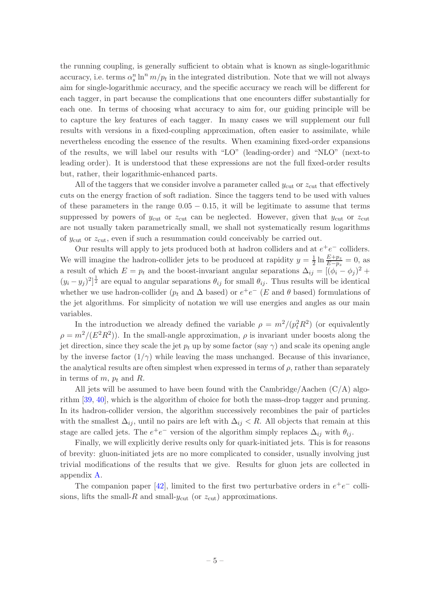the running coupling, is generally sufficient to obtain what is known as single-logarithmic accuracy, i.e. terms  $\alpha_s^n \ln^n m/p_t$  in the integrated distribution. Note that we will not always aim for single-logarithmic accuracy, and the specific accuracy we reach will be different for each tagger, in part because the complications that one encounters differ substantially for each one. In terms of choosing what accuracy to aim for, our guiding principle will be to capture the key features of each tagger. In many cases we will supplement our full results with versions in a fixed-coupling approximation, often easier to assimilate, while nevertheless encoding the essence of the results. When examining fixed-order expansions of the results, we will label our results with "LO" (leading-order) and "NLO" (next-to leading order). It is understood that these expressions are not the full fixed-order results but, rather, their logarithmic-enhanced parts.

All of the taggers that we consider involve a parameter called  $y_{\text{cut}}$  or  $z_{\text{cut}}$  that effectively cuts on the energy fraction of soft radiation. Since the taggers tend to be used with values of these parameters in the range  $0.05 - 0.15$ , it will be legitimate to assume that terms suppressed by powers of  $y_{\text{cut}}$  or  $z_{\text{cut}}$  can be neglected. However, given that  $y_{\text{cut}}$  or  $z_{\text{cut}}$ are not usually taken parametrically small, we shall not systematically resum logarithms of  $y_{\text{cut}}$  or  $z_{\text{cut}}$ , even if such a resummation could conceivably be carried out.

Our results will apply to jets produced both at hadron colliders and at  $e^+e^-$  colliders. We will imagine the hadron-collider jets to be produced at rapidity  $y = \frac{1}{2}$  $rac{1}{2} \ln \frac{E+p_z}{E-p_z} = 0$ , as a result of which  $E = p_t$  and the boost-invariant angular separations  $\Delta_{ij} = [(\phi_i - \phi_j)^2 +$  $(y_i - y_j)^2$ <sup>1</sup>/<sub>2</sub> are equal to angular separations  $\theta_{ij}$  for small  $\theta_{ij}$ . Thus results will be identical whether we use hadron-collider ( $p_t$  and  $\Delta$  based) or  $e^+e^-$  (E and  $\theta$  based) formulations of the jet algorithms. For simplicity of notation we will use energies and angles as our main variables.

In the introduction we already defined the variable  $\rho = m^2/(p_t^2 R^2)$  (or equivalently  $\rho = m^2/(E^2 R^2)$ ). In the small-angle approximation,  $\rho$  is invariant under boosts along the jet direction, since they scale the jet  $p_t$  up by some factor (say  $\gamma$ ) and scale its opening angle by the inverse factor  $(1/\gamma)$  while leaving the mass unchanged. Because of this invariance, the analytical results are often simplest when expressed in terms of  $\rho$ , rather than separately in terms of  $m$ ,  $p_t$  and  $R$ .

All jets will be assumed to have been found with the Cambridge/Aachen  $(C/A)$  algorithm [\[39](#page-54-5), [40](#page-54-6)], which is the algorithm of choice for both the mass-drop tagger and pruning. In its hadron-collider version, the algorithm successively recombines the pair of particles with the smallest  $\Delta_{ij}$ , until no pairs are left with  $\Delta_{ij} < R$ . All objects that remain at this stage are called jets. The  $e^+e^-$  version of the algorithm simply replaces  $\Delta_{ij}$  with  $\theta_{ij}$ .

Finally, we will explicitly derive results only for quark-initiated jets. This is for reasons of brevity: gluon-initiated jets are no more complicated to consider, usually involving just trivial modifications of the results that we give. Results for gluon jets are collected in appendix [A.](#page-48-0)

The companion paper [\[42\]](#page-54-8), limited to the first two perturbative orders in  $e^+e^-$  collisions, lifts the small-R and small- $y_{\text{cut}}$  (or  $z_{\text{cut}}$ ) approximations.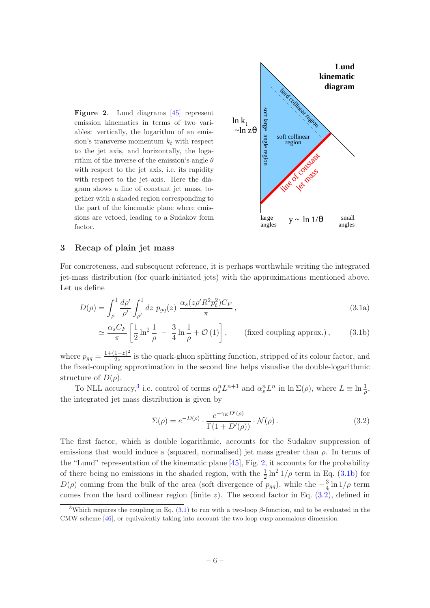<span id="page-7-2"></span>Figure 2. Lund diagrams [\[45\]](#page-54-11) represent emission kinematics in terms of two variables: vertically, the logarithm of an emission's transverse momentum  $k_t$  with respect to the jet axis, and horizontally, the logarithm of the inverse of the emission's angle  $\theta$ with respect to the jet axis, i.e. its rapidity with respect to the jet axis. Here the diagram shows a line of constant jet mass, together with a shaded region corresponding to the part of the kinematic plane where emissions are vetoed, leading to a Sudakov form factor.



#### <span id="page-7-0"></span>3 Recap of plain jet mass

For concreteness, and subsequent reference, it is perhaps worthwhile writing the integrated jet-mass distribution (for quark-initiated jets) with the approximations mentioned above. Let us define

<span id="page-7-5"></span>
$$
D(\rho) = \int_{\rho}^{1} \frac{d\rho'}{\rho'} \int_{\rho'}^{1} dz \ p_{gq}(z) \ \frac{\alpha_s (z \rho' R^2 p_t^2) C_F}{\pi}, \tag{3.1a}
$$

$$
\simeq \frac{\alpha_s C_F}{\pi} \left[ \frac{1}{2} \ln^2 \frac{1}{\rho} - \frac{3}{4} \ln \frac{1}{\rho} + \mathcal{O}(1) \right], \qquad \text{(fixed coupling approx.)}, \tag{3.1b}
$$

where  $p_{gq} = \frac{1 + (1 - z)^2}{2z}$  $\frac{1-z}{2z}$  is the quark-gluon splitting function, stripped of its colour factor, and the fixed-coupling approximation in the second line helps visualise the double-logarithmic structure of  $D(\rho)$ .

To NLL accuracy,<sup>[3](#page-7-1)</sup> i.e. control of terms  $\alpha_s^n L^{n+1}$  and  $\alpha_s^n L^n$  in  $\ln \Sigma(\rho)$ , where  $L \equiv \ln \frac{1}{\rho}$ , the integrated jet mass distribution is given by

<span id="page-7-4"></span><span id="page-7-3"></span>
$$
\Sigma(\rho) = e^{-D(\rho)} \cdot \frac{e^{-\gamma_E D'(\rho)}}{\Gamma(1 + D'(\rho))} \cdot \mathcal{N}(\rho).
$$
\n(3.2)

The first factor, which is double logarithmic, accounts for the Sudakov suppression of emissions that would induce a (squared, normalised) jet mass greater than  $\rho$ . In terms of the "Lund" representation of the kinematic plane  $[45]$ , Fig. [2,](#page-7-2) it accounts for the probability of there being no emissions in the shaded region, with the  $\frac{1}{2} \ln^2 1/\rho$  term in Eq. [\(3.1b\)](#page-7-3) for  $D(\rho)$  coming from the bulk of the area (soft divergence of  $p_{gq}$ ), while the  $-\frac{3}{4}$  $\frac{3}{4}\ln 1/\rho$  term comes from the hard collinear region (finite z). The second factor in Eq.  $(3.2)$ , defined in

<span id="page-7-1"></span><sup>&</sup>lt;sup>3</sup>Which requires the coupling in Eq.  $(3.1)$  to run with a two-loop  $\beta$ -function, and to be evaluated in the CMW scheme [\[46](#page-54-12)], or equivalently taking into account the two-loop cusp anomalous dimension.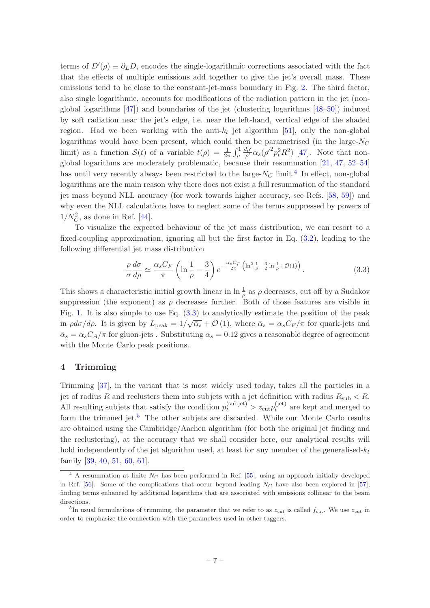terms of  $D'(\rho) \equiv \partial_L D$ , encodes the single-logarithmic corrections associated with the fact that the effects of multiple emissions add together to give the jet's overall mass. These emissions tend to be close to the constant-jet-mass boundary in Fig. [2.](#page-7-2) The third factor, also single logarithmic, accounts for modifications of the radiation pattern in the jet (nonglobal logarithms [\[47\]](#page-54-13)) and boundaries of the jet (clustering logarithms [\[48](#page-54-14)[–50](#page-54-15)]) induced by soft radiation near the jet's edge, i.e. near the left-hand, vertical edge of the shaded region. Had we been working with the anti- $k_t$  jet algorithm [\[51](#page-54-16)], only the non-global logarithms would have been present, which could then be parametrised (in the large- $N_C$ limit) as a function  $S(t)$  of a variable  $t(\rho) = \frac{1}{2\pi} \int_{\rho}^{1}$  $d\rho'$  $\frac{d\rho'}{\rho'}\alpha_s(\rho'^2p_t^2R^2)$  [\[47\]](#page-54-13). Note that nonglobal logarithms are moderately problematic, because their resummation [\[21](#page-53-9), [47](#page-54-13), [52](#page-54-17)[–54\]](#page-54-18) has until very recently always been restricted to the large- $N_C$  limit.<sup>[4](#page-8-1)</sup> In effect, non-global logarithms are the main reason why there does not exist a full resummation of the standard jet mass beyond NLL accuracy (for work towards higher accuracy, see Refs. [\[58](#page-54-19), [59](#page-54-20)]) and why even the NLL calculations have to neglect some of the terms suppressed by powers of  $1/N_C^2$ , as done in Ref. [\[44](#page-54-10)].

To visualize the expected behaviour of the jet mass distribution, we can resort to a fixed-coupling approximation, ignoring all but the first factor in Eq. [\(3.2\)](#page-7-4), leading to the following differential jet mass distribution

<span id="page-8-2"></span>
$$
\frac{\rho}{\sigma} \frac{d\sigma}{d\rho} \simeq \frac{\alpha_s C_F}{\pi} \left( \ln \frac{1}{\rho} - \frac{3}{4} \right) e^{-\frac{\alpha_s C_F}{2\pi} \left( \ln^2 \frac{1}{\rho} - \frac{3}{2} \ln \frac{1}{\rho} + \mathcal{O}(1) \right)}.
$$
\n(3.3)

This shows a characteristic initial growth linear in  $\ln \frac{1}{\rho}$  as  $\rho$  decreases, cut off by a Sudakov suppression (the exponent) as  $\rho$  decreases further. Both of those features are visible in Fig. [1.](#page-4-0) It is also simple to use Eq.  $(3.3)$  to analytically estimate the position of the peak in  $\rho d\sigma/d\rho$ . It is given by  $L_{\text{peak}} = 1/\sqrt{\bar{\alpha}_s} + \mathcal{O}(1)$ , where  $\bar{\alpha}_s = \alpha_s C_F/\pi$  for quark-jets and  $\bar{\alpha}_s = \alpha_s C_A/\pi$  for gluon-jets. Substituting  $\alpha_s = 0.12$  gives a reasonable degree of agreement with the Monte Carlo peak positions.

## <span id="page-8-0"></span>4 Trimming

Trimming [\[37](#page-54-3)], in the variant that is most widely used today, takes all the particles in a jet of radius R and reclusters them into subjets with a jet definition with radius  $R_{sub} < R$ . All resulting subjets that satisfy the condition  $p_t^{(\text{subject})} > z_{\text{cut}} p_t^{(\text{jet})}$  $t_t^{\text{(jet)}}$  are kept and merged to form the trimmed jet.<sup>[5](#page-8-3)</sup> The other subjets are discarded. While our Monte Carlo results are obtained using the Cambridge/Aachen algorithm (for both the original jet finding and the reclustering), at the accuracy that we shall consider here, our analytical results will hold independently of the jet algorithm used, at least for any member of the generalised- $k_t$ family [\[39](#page-54-5), [40](#page-54-6), [51,](#page-54-16) [60](#page-54-21), [61\]](#page-55-0).

<span id="page-8-1"></span> $4$  A resummation at finite  $N_C$  has been performed in Ref. [\[55](#page-54-22)], using an approach initially developed in Ref. [\[56\]](#page-54-23). Some of the complications that occur beyond leading  $N_C$  have also been explored in [\[57\]](#page-54-24), finding terms enhanced by additional logarithms that are associated with emissions collinear to the beam directions.

<span id="page-8-3"></span><sup>&</sup>lt;sup>5</sup>In usual formulations of trimming, the parameter that we refer to as  $z_{\text{cut}}$  is called  $f_{\text{cut}}$ . We use  $z_{\text{cut}}$  in order to emphasize the connection with the parameters used in other taggers.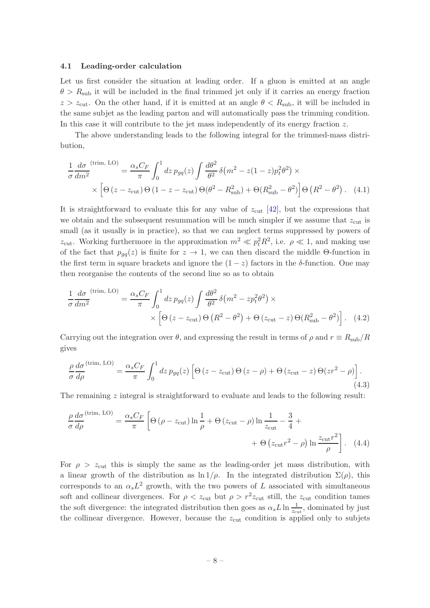#### <span id="page-9-0"></span>4.1 Leading-order calculation

Let us first consider the situation at leading order. If a gluon is emitted at an angle  $\theta > R_{\text{sub}}$  it will be included in the final trimmed jet only if it carries an energy fraction  $z > z_{\text{cut}}$ . On the other hand, if it is emitted at an angle  $\theta < R_{\text{sub}}$ , it will be included in the same subjet as the leading parton and will automatically pass the trimming condition. In this case it will contribute to the jet mass independently of its energy fraction  $z$ .

The above understanding leads to the following integral for the trimmed-mass distribution,

$$
\frac{1}{\sigma} \frac{d\sigma}{dm^2}^{(\text{trim, LO})} = \frac{\alpha_s C_F}{\pi} \int_0^1 dz \, p_{gq}(z) \int \frac{d\theta^2}{\theta^2} \delta(m^2 - z(1-z)p_t^2 \theta^2) \times
$$
\n
$$
\times \left[ \Theta(z - z_{\text{cut}}) \Theta(1 - z - z_{\text{cut}}) \Theta(\theta^2 - R_{\text{sub}}^2) + \Theta(R_{\text{sub}}^2 - \theta^2) \right] \Theta(R^2 - \theta^2). \tag{4.1}
$$

It is straightforward to evaluate this for any value of  $z_{\text{cut}}$  [\[42\]](#page-54-8), but the expressions that we obtain and the subsequent resummation will be much simpler if we assume that  $z_{\text{cut}}$  is small (as it usually is in practice), so that we can neglect terms suppressed by powers of  $z_{\text{cut}}$ . Working furthermore in the approximation  $m^2 \ll p_t^2 R^2$ , i.e.  $\rho \ll 1$ , and making use of the fact that  $p_{qq}(z)$  is finite for  $z \to 1$ , we can then discard the middle Θ-function in the first term in square brackets and ignore the  $(1-z)$  factors in the  $\delta$ -function. One may then reorganise the contents of the second line so as to obtain

$$
\frac{1}{\sigma} \frac{d\sigma}{dm^2}^{(\text{trim, LO})} = \frac{\alpha_s C_F}{\pi} \int_0^1 dz \, p_{gq}(z) \int \frac{d\theta^2}{\theta^2} \delta(m^2 - z p_t^2 \theta^2) \times \times \left[ \Theta \left( z - z_{\text{cut}} \right) \Theta \left( R^2 - \theta^2 \right) + \Theta \left( z_{\text{cut}} - z \right) \Theta \left( R^2_{\text{sub}} - \theta^2 \right) \right]. \tag{4.2}
$$

Carrying out the integration over  $\theta$ , and expressing the result in terms of  $\rho$  and  $r \equiv R_{sub}/R$ gives

$$
\frac{\rho}{\sigma} \frac{d\sigma}{d\rho}^{(\text{trim, LO})} = \frac{\alpha_s C_F}{\pi} \int_0^1 dz \, p_{gq}(z) \left[ \Theta \left( z - z_{\text{cut}} \right) \Theta \left( z - \rho \right) + \Theta \left( z_{\text{cut}} - z \right) \Theta \left( z r^2 - \rho \right) \right]. \tag{4.3}
$$

The remaining z integral is straightforward to evaluate and leads to the following result:

<span id="page-9-1"></span>
$$
\frac{\rho}{\sigma} \frac{d\sigma}{d\rho}^{(\text{trim, LO})} = \frac{\alpha_s C_F}{\pi} \left[ \Theta \left( \rho - z_{\text{cut}} \right) \ln \frac{1}{\rho} + \Theta \left( z_{\text{cut}} - \rho \right) \ln \frac{1}{z_{\text{cut}}} - \frac{3}{4} + \right. \\
\left. + \Theta \left( z_{\text{cut}} r^2 - \rho \right) \ln \frac{z_{\text{cut}} r^2}{\rho} \right].
$$
 (4.4)

For  $\rho > z_{\text{cut}}$  this is simply the same as the leading-order jet mass distribution, with a linear growth of the distribution as  $\ln 1/\rho$ . In the integrated distribution  $\Sigma(\rho)$ , this corresponds to an  $\alpha_s L^2$  growth, with the two powers of L associated with simultaneous soft and collinear divergences. For  $\rho < z_{\text{cut}}$  but  $\rho > r^2 z_{\text{cut}}$  still, the  $z_{\text{cut}}$  condition tames the soft divergence: the integrated distribution then goes as  $\alpha_s L \ln \frac{1}{z_{\text{cut}}}$ , dominated by just the collinear divergence. However, because the  $z_{\text{cut}}$  condition is applied only to subjets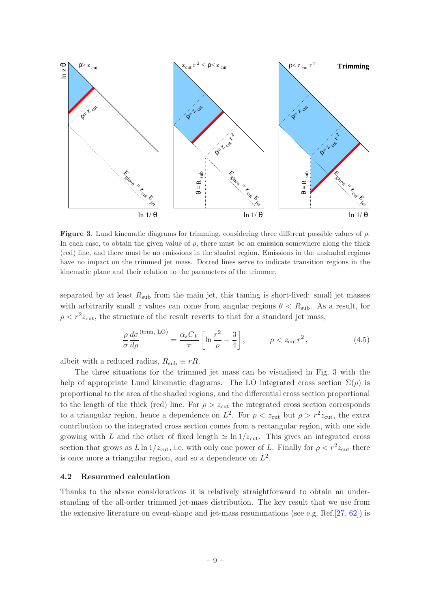

<span id="page-10-1"></span>Figure 3. Lund kinematic diagrams for trimming, considering three different possible values of  $\rho$ . In each case, to obtain the given value of  $\rho$ , there must be an emission somewhere along the thick (red) line, and there must be no emissions in the shaded region. Emissions in the unshaded regions have no impact on the trimmed jet mass. Dotted lines serve to indicate transition regions in the kinematic plane and their relation to the parameters of the trimmer.

separated by at least  $R_{sub}$  from the main jet, this taming is short-lived: small jet masses with arbitrarily small z values can come from angular regions  $\theta < R_{\text{sub}}$ . As a result, for  $\rho < r^2 z_{\text{cut}}$ , the structure of the result reverts to that for a standard jet mass,

$$
\frac{\rho}{\sigma} \frac{d\sigma}{d\rho}^{(\text{trim, LO})} = \frac{\alpha_s C_F}{\pi} \left[ \ln \frac{r^2}{\rho} - \frac{3}{4} \right], \qquad \rho < z_{\text{cut}} r^2, \qquad (4.5)
$$

albeit with a reduced radius,  $R_{sub} \equiv rR$ .

The three situations for the trimmed jet mass can be visualised in Fig. [3](#page-10-1) with the help of appropriate Lund kinematic diagrams. The LO integrated cross section  $\Sigma(\rho)$  is proportional to the area of the shaded regions, and the differential cross section proportional to the length of the thick (red) line. For  $\rho > z_{\text{cut}}$  the integrated cross section corresponds to a triangular region, hence a dependence on  $L^2$ . For  $\rho < z_{\text{cut}}$  but  $\rho > r^2 z_{\text{cut}}$ , the extra contribution to the integrated cross section comes from a rectangular region, with one side growing with L and the other of fixed length  $\simeq \ln 1/z_{\text{cut}}$ . This gives an integrated cross section that grows as  $L \ln 1/z_{\text{cut}}$ , i.e. with only one power of L. Finally for  $\rho < r^2 z_{\text{cut}}$  there is once more a triangular region, and so a dependence on  $L^2$ .

#### <span id="page-10-0"></span>4.2 Resummed calculation

Thanks to the above considerations it is relatively straightforward to obtain an understanding of the all-order trimmed jet-mass distribution. The key result that we use from the extensive literature on event-shape and jet-mass resummations (see e.g. Ref.[\[27,](#page-53-15) [62](#page-55-1)]) is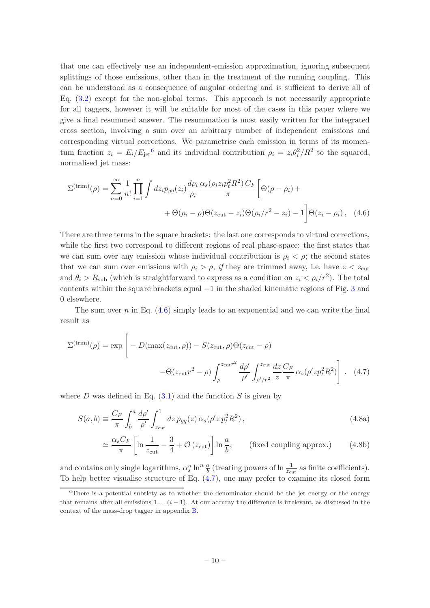that one can effectively use an independent-emission approximation, ignoring subsequent splittings of those emissions, other than in the treatment of the running coupling. This can be understood as a consequence of angular ordering and is sufficient to derive all of Eq. [\(3.2\)](#page-7-4) except for the non-global terms. This approach is not necessarily appropriate for all taggers, however it will be suitable for most of the cases in this paper where we give a final resummed answer. The resummation is most easily written for the integrated cross section, involving a sum over an arbitrary number of independent emissions and corresponding virtual corrections. We parametrise each emission in terms of its momentum fraction  $z_i = E_i/E_{\text{jet}}^6$  $z_i = E_i/E_{\text{jet}}^6$  and its individual contribution  $\rho_i = z_i \theta_i^2/R^2$  to the squared, normalised jet mass:

<span id="page-11-1"></span>
$$
\Sigma^{(\text{trim})}(\rho) = \sum_{n=0}^{\infty} \frac{1}{n!} \prod_{i=1}^{n} \int dz_i p_{gq}(z_i) \frac{d\rho_i}{\rho_i} \frac{\alpha_s(\rho_i z_i p_t^2 R^2) C_F}{\pi} \left[ \Theta(\rho - \rho_i) + \Theta(\rho_i - \rho) \Theta(z_{\text{cut}} - z_i) \Theta(\rho_i / r^2 - z_i) - 1 \right] \Theta(z_i - \rho_i), \quad (4.6)
$$

There are three terms in the square brackets: the last one corresponds to virtual corrections, while the first two correspond to different regions of real phase-space: the first states that we can sum over any emission whose individual contribution is  $\rho_i < \rho$ ; the second states that we can sum over emissions with  $\rho_i > \rho$ , *if* they are trimmed away, i.e. have  $z < z_{\text{cut}}$ and  $\theta_i > R_{\text{sub}}$  (which is straightforward to express as a condition on  $z_i < \rho_i/r^2$ ). The total contents within the square brackets equal −1 in the shaded kinematic regions of Fig. [3](#page-10-1) and 0 elsewhere.

The sum over n in Eq.  $(4.6)$  simply leads to an exponential and we can write the final result as

$$
\Sigma^{(\text{trim})}(\rho) = \exp\left[-D(\max(z_{\text{cut}}, \rho)) - S(z_{\text{cut}}, \rho)\Theta(z_{\text{cut}} - \rho)\right] - \Theta(z_{\text{cut}}r^2 - \rho)\int_{\rho}^{z_{\text{cut}}r^2} \frac{d\rho'}{\rho'} \int_{\rho'/r^2}^{z_{\text{cut}}} \frac{dz}{z} \frac{C_F}{\pi} \alpha_s(\rho' z p_t^2 R^2)\right].
$$
 (4.7)

where D was defined in Eq.  $(3.1)$  and the function S is given by

$$
S(a,b) \equiv \frac{C_F}{\pi} \int_b^a \frac{d\rho'}{\rho'} \int_{z_{\text{cut}}}^1 dz \, p_{gq}(z) \, \alpha_s(\rho' z \, p_t^2 R^2) \,, \tag{4.8a}
$$

<span id="page-11-3"></span><span id="page-11-2"></span>
$$
\simeq \frac{\alpha_s C_F}{\pi} \left[ \ln \frac{1}{z_{\text{cut}}} - \frac{3}{4} + \mathcal{O}\left(z_{\text{cut}}\right) \right] \ln \frac{a}{b}, \qquad \text{(fixed coupling approx.)} \tag{4.8b}
$$

and contains only single logarithms,  $\alpha_s^n \ln^n \frac{a}{b}$  (treating powers of  $\ln \frac{1}{z_{\text{cut}}}$  as finite coefficients). To help better visualise structure of Eq. [\(4.7\)](#page-11-2), one may prefer to examine its closed form

<span id="page-11-0"></span> $6$ There is a potential subtlety as to whether the denominator should be the jet energy or the energy that remains after all emissions  $1 \dots (i-1)$ . At our accuray the difference is irrelevant, as discussed in the context of the mass-drop tagger in appendix [B.](#page-49-3)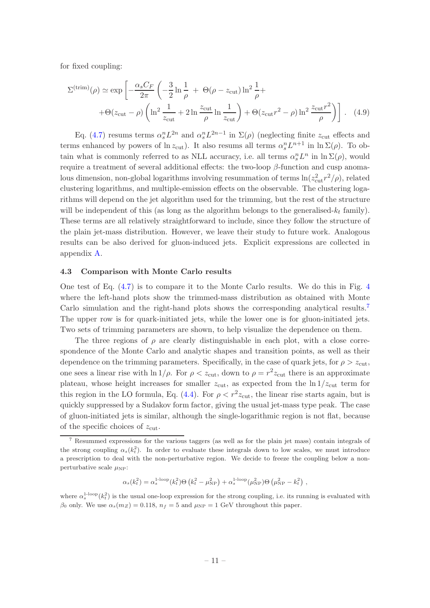for fixed coupling:

<span id="page-12-2"></span>
$$
\Sigma^{(\text{trim})}(\rho) \simeq \exp\left[-\frac{\alpha_s C_F}{2\pi} \left(-\frac{3}{2}\ln\frac{1}{\rho} + \Theta(\rho - z_{\text{cut}})\ln^2\frac{1}{\rho} + \Theta(z_{\text{cut}} - \rho)\left(\ln^2\frac{1}{z_{\text{cut}}} + 2\ln\frac{z_{\text{cut}}}{\rho}\ln\frac{1}{z_{\text{cut}}}\right) + \Theta(z_{\text{cut}}r^2 - \rho)\ln^2\frac{z_{\text{cut}}r^2}{\rho}\right)\right].
$$
 (4.9)

Eq. [\(4.7\)](#page-11-2) resums terms  $\alpha_s^n L^{2n}$  and  $\alpha_s^n L^{2n-1}$  in  $\Sigma(\rho)$  (neglecting finite  $z_{\text{cut}}$  effects and terms enhanced by powers of  $\ln z_{\text{cut}}$ ). It also resums all terms  $\alpha_s^n L^{n+1}$  in  $\ln \Sigma(\rho)$ . To obtain what is commonly referred to as NLL accuracy, i.e. all terms  $\alpha_s^n L^n$  in  $\ln \Sigma(\rho)$ , would require a treatment of several additional effects: the two-loop  $β$ -function and cusp anomalous dimension, non-global logarithms involving resummation of terms  $\ln(z_{\text{cut}}^2 r^2/\rho)$ , related clustering logarithms, and multiple-emission effects on the observable. The clustering logarithms will depend on the jet algorithm used for the trimming, but the rest of the structure will be independent of this (as long as the algorithm belongs to the generalised- $k_t$  family). These terms are all relatively straightforward to include, since they follow the structure of the plain jet-mass distribution. However, we leave their study to future work. Analogous results can be also derived for gluon-induced jets. Explicit expressions are collected in appendix [A.](#page-48-0)

#### <span id="page-12-0"></span>4.3 Comparison with Monte Carlo results

One test of Eq. [\(4.7\)](#page-11-2) is to compare it to the Monte Carlo results. We do this in Fig. [4](#page-13-0) where the left-hand plots show the trimmed-mass distribution as obtained with Monte Carlo simulation and the right-hand plots shows the corresponding analytical results.[7](#page-12-1) The upper row is for quark-initiated jets, while the lower one is for gluon-initiated jets. Two sets of trimming parameters are shown, to help visualize the dependence on them.

The three regions of  $\rho$  are clearly distinguishable in each plot, with a close correspondence of the Monte Carlo and analytic shapes and transition points, as well as their dependence on the trimming parameters. Specifically, in the case of quark jets, for  $\rho > z_{\text{cut}}$ , one sees a linear rise with  $\ln 1/\rho$ . For  $\rho < z_{\text{cut}}$ , down to  $\rho = r^2 z_{\text{cut}}$  there is an approximate plateau, whose height increases for smaller  $z_{\text{cut}}$ , as expected from the  $\ln 1/z_{\text{cut}}$  term for this region in the LO formula, Eq. [\(4.4\)](#page-9-1). For  $\rho < r^2 z_{\text{cut}}$ , the linear rise starts again, but is quickly suppressed by a Sudakov form factor, giving the usual jet-mass type peak. The case of gluon-initiated jets is similar, although the single-logarithmic region is not flat, because of the specific choices of  $z_{\text{cut}}$ .

$$
\alpha_s(k_t^2) = \alpha_s^{\text{1-loop}}(k_t^2) \Theta\left(k_t^2 - \mu_{\text{NP}}^2\right) + \alpha_s^{\text{1-loop}}(\mu_{\text{NP}}^2) \Theta\left(\mu_{\text{NP}}^2 - k_t^2\right),
$$

where  $\alpha_s^{1-loop}(k_t^2)$  is the usual one-loop expression for the strong coupling, i.e. its running is evaluated with  $\beta_0$  only. We use  $\alpha_s(m_Z) = 0.118$ ,  $n_f = 5$  and  $\mu_{NP} = 1$  GeV throughout this paper.

<span id="page-12-1"></span><sup>7</sup> Resummed expressions for the various taggers (as well as for the plain jet mass) contain integrals of the strong coupling  $\alpha_s(k_t^2)$ . In order to evaluate these integrals down to low scales, we must introduce a prescription to deal with the non-perturbative region. We decide to freeze the coupling below a nonperturbative scale  $\mu_{\text{NP}}$ :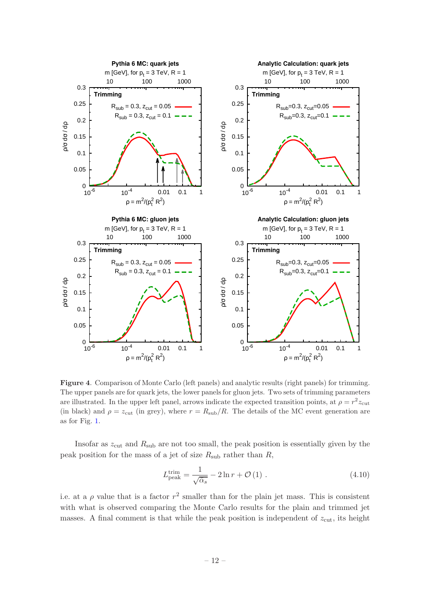

<span id="page-13-0"></span>Figure 4. Comparison of Monte Carlo (left panels) and analytic results (right panels) for trimming. The upper panels are for quark jets, the lower panels for gluon jets. Two sets of trimming parameters are illustrated. In the upper left panel, arrows indicate the expected transition points, at  $\rho = r^2 z_{\text{cut}}$ (in black) and  $\rho = z_{\text{cut}}$  (in grey), where  $r = R_{\text{sub}}/R$ . The details of the MC event generation are as for Fig. [1.](#page-4-0)

Insofar as  $z_{\text{cut}}$  and  $R_{\text{sub}}$  are not too small, the peak position is essentially given by the peak position for the mass of a jet of size  $R_{sub}$  rather than  $R$ ,

$$
L_{\text{peak}}^{\text{trim}} = \frac{1}{\sqrt{\bar{\alpha}_s}} - 2\ln r + \mathcal{O}(1) \tag{4.10}
$$

i.e. at a  $\rho$  value that is a factor  $r^2$  smaller than for the plain jet mass. This is consistent with what is observed comparing the Monte Carlo results for the plain and trimmed jet masses. A final comment is that while the peak position is independent of  $z_{\text{cut}}$ , its height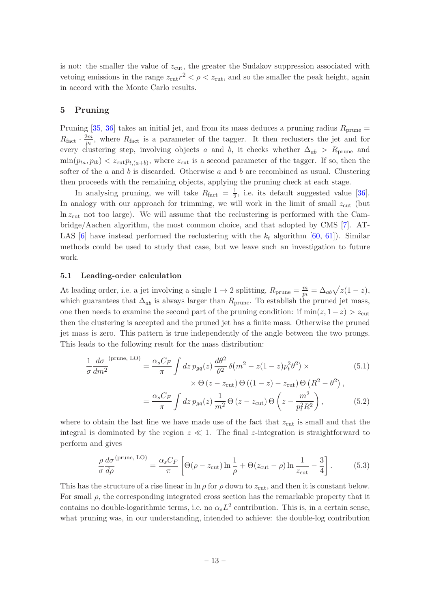is not: the smaller the value of  $z_{\text{cut}}$ , the greater the Sudakov suppression associated with vetoing emissions in the range  $z_{\text{cut}} r^2 < \rho < z_{\text{cut}}$ , and so the smaller the peak height, again in accord with the Monte Carlo results.

## <span id="page-14-0"></span>5 Pruning

Pruning [\[35](#page-54-1), [36\]](#page-54-2) takes an initial jet, and from its mass deduces a pruning radius  $R_{\text{prune}} =$  $R_{\text{fact}} \cdot \frac{2m}{p_t}$  $\frac{2m}{p_t}$ , where  $R_{\text{fact}}$  is a parameter of the tagger. It then reclusters the jet and for every clustering step, involving objects a and b, it checks whether  $\Delta_{ab} > R_{\text{prune}}$  and  $\min(p_{ta}, p_{tb}) < z_{\text{cut}} p_{t,(a+b)},$  where  $z_{\text{cut}}$  is a second parameter of the tagger. If so, then the softer of the a and b is discarded. Otherwise a and b are recombined as usual. Clustering then proceeds with the remaining objects, applying the pruning check at each stage.

In analysing pruning, we will take  $R_{\text{fact}} = \frac{1}{2}$  $\frac{1}{2}$ , i.e. its default suggested value [\[36\]](#page-54-2). In analogy with our approach for trimming, we will work in the limit of small  $z_{\text{cut}}$  (but  $\ln z_{\text{cut}}$  not too large). We will assume that the reclustering is performed with the Cambridge/Aachen algorithm, the most common choice, and that adopted by CMS [\[7](#page-53-0)]. AT-LAS [\[6](#page-52-4)] have instead performed the reclustering with the  $k_t$  algorithm [\[60,](#page-54-21) [61\]](#page-55-0)). Similar methods could be used to study that case, but we leave such an investigation to future work.

#### <span id="page-14-1"></span>5.1 Leading-order calculation

At leading order, i.e. a jet involving a single  $1 \rightarrow 2$  splitting,  $R_{\text{prune}} = \frac{m}{p_t}$  $\frac{m}{p_t} = \Delta_{ab} \sqrt{z(1-z)},$ which guarantees that  $\Delta_{ab}$  is always larger than  $R_{\text{prune}}$ . To establish the pruned jet mass, one then needs to examine the second part of the pruning condition: if  $min(z, 1-z) > z<sub>cut</sub>$ then the clustering is accepted and the pruned jet has a finite mass. Otherwise the pruned jet mass is zero. This pattern is true independently of the angle between the two prongs. This leads to the following result for the mass distribution:

$$
\frac{1}{\sigma} \frac{d\sigma}{dm^2}^{(\text{prune, LO})} = \frac{\alpha_s C_F}{\pi} \int dz \, p_{gq}(z) \, \frac{d\theta^2}{\theta^2} \, \delta(m^2 - z(1-z)p_t^2 \theta^2) \times \times \Theta(z - z_{\text{cut}}) \Theta((1-z) - z_{\text{cut}}) \Theta(R^2 - \theta^2),
$$
\n
$$
= \frac{\alpha_s C_F}{\pi} \int dz \, p_{gq}(z) \, \frac{1}{m^2} \Theta(z - z_{\text{cut}}) \Theta\left(z - \frac{m^2}{p_t^2 R^2}\right), \tag{5.2}
$$

where to obtain the last line we have made use of the fact that  $z_{\text{cut}}$  is small and that the integral is dominated by the region  $z \ll 1$ . The final z-integration is straightforward to perform and gives

<span id="page-14-2"></span>
$$
\frac{\rho}{\sigma} \frac{d\sigma}{d\rho}^{(\text{prune, LO})} = \frac{\alpha_s C_F}{\pi} \left[ \Theta(\rho - z_{\text{cut}}) \ln \frac{1}{\rho} + \Theta(z_{\text{cut}} - \rho) \ln \frac{1}{z_{\text{cut}}} - \frac{3}{4} \right]. \tag{5.3}
$$

This has the structure of a rise linear in  $\ln \rho$  for  $\rho$  down to  $z_{\text{cut}}$ , and then it is constant below. For small  $\rho$ , the corresponding integrated cross section has the remarkable property that it contains no double-logarithmic terms, i.e. no  $\alpha_s L^2$  contribution. This is, in a certain sense, what pruning was, in our understanding, intended to achieve: the double-log contribution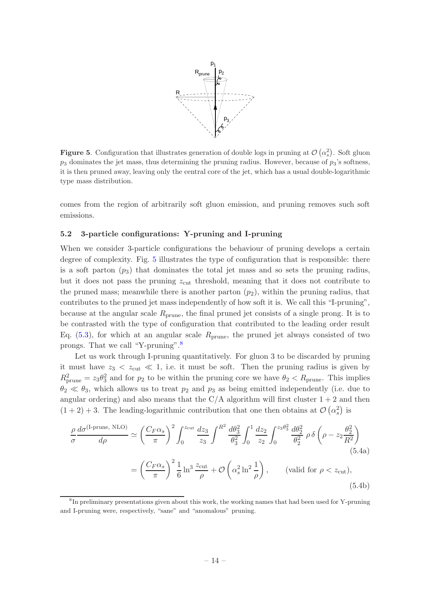

<span id="page-15-1"></span>**Figure 5.** Configuration that illustrates generation of double logs in pruning at  $\mathcal{O}(\alpha_s^2)$ . Soft gluon  $p_3$  dominates the jet mass, thus determining the pruning radius. However, because of  $p_3$ 's softness, it is then pruned away, leaving only the central core of the jet, which has a usual double-logarithmic type mass distribution.

comes from the region of arbitrarily soft gluon emission, and pruning removes such soft emissions.

## <span id="page-15-0"></span>5.2 3-particle configurations: Y-pruning and I-pruning

When we consider 3-particle configurations the behaviour of pruning develops a certain degree of complexity. Fig. [5](#page-15-1) illustrates the type of configuration that is responsible: there is a soft parton  $(p_3)$  that dominates the total jet mass and so sets the pruning radius, but it does not pass the pruning  $z_{\text{cut}}$  threshold, meaning that it does not contribute to the pruned mass; meanwhile there is another parton  $(p_2)$ , within the pruning radius, that contributes to the pruned jet mass independently of how soft it is. We call this "I-pruning", because at the angular scale  $R_{\text{prune}}$ , the final pruned jet consists of a single prong. It is to be contrasted with the type of configuration that contributed to the leading order result Eq.  $(5.3)$ , for which at an angular scale  $R_{\text{prune}}$ , the pruned jet always consisted of two prongs. That we call "Y-pruning".[8](#page-15-2)

Let us work through I-pruning quantitatively. For gluon 3 to be discarded by pruning it must have  $z_3 < z_{\text{cut}} \ll 1$ , i.e. it must be soft. Then the pruning radius is given by  $R_{\text{prune}}^2 = z_3 \theta_3^2$  and for  $p_2$  to be within the pruning core we have  $\theta_2 < R_{\text{prune}}$ . This implies  $\theta_2 \ll \theta_3$ , which allows us to treat  $p_2$  and  $p_3$  as being emitted independently (i.e. due to angular ordering) and also means that the  $C/A$  algorithm will first cluster  $1+2$  and then  $(1+2)+3$ . The leading-logarithmic contribution that one then obtains at  $\mathcal{O}(\alpha_s^2)$  is

<span id="page-15-3"></span>
$$
\frac{\rho}{\sigma} \frac{d\sigma^{(\text{I-prune, NLO})}}{d\rho} \simeq \left(\frac{C_F \alpha_s}{\pi}\right)^2 \int_0^{z_{\text{cut}}} \frac{dz_3}{z_3} \int_0^{R^2} \frac{d\theta_3^2}{\theta_3^2} \int_0^1 \frac{dz_2}{z_2} \int_0^{z_3 \theta_3^2} \frac{d\theta_2^2}{\theta_2^2} \rho \delta\left(\rho - z_2 \frac{\theta_2^2}{R^2}\right)
$$
\n
$$
= \left(\frac{C_F \alpha_s}{\pi}\right)^2 \frac{1}{6} \ln^3 \frac{z_{\text{cut}}}{\rho} + \mathcal{O}\left(\alpha_s^2 \ln^2 \frac{1}{\rho}\right), \qquad \text{(valid for } \rho < z_{\text{cut}}), \tag{5.4b}
$$

<span id="page-15-2"></span><sup>8</sup> In preliminary presentations given about this work, the working names that had been used for Y-pruning and I-pruning were, respectively, "sane" and "anomalous" pruning.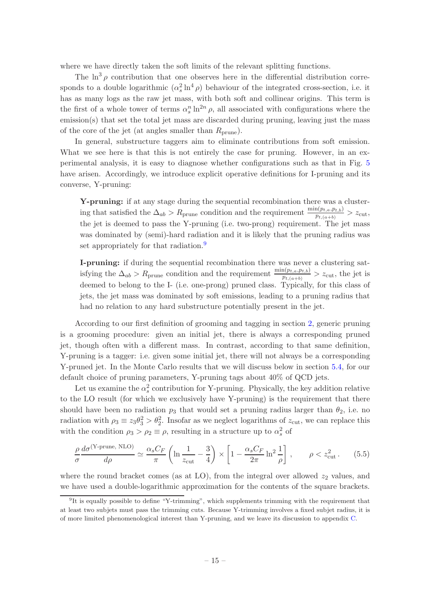where we have directly taken the soft limits of the relevant splitting functions.

The  $\ln^3 \rho$  contribution that one observes here in the differential distribution corresponds to a double logarithmic  $(\alpha_s^2 \ln^4 \rho)$  behaviour of the integrated cross-section, i.e. it has as many logs as the raw jet mass, with both soft and collinear origins. This term is the first of a whole tower of terms  $\alpha_s^n \ln^{2n} \rho$ , all associated with configurations where the emission(s) that set the total jet mass are discarded during pruning, leaving just the mass of the core of the jet (at angles smaller than  $R_{\text{prune}}$ ).

In general, substructure taggers aim to eliminate contributions from soft emission. What we see here is that this is not entirely the case for pruning. However, in an experimental analysis, it is easy to diagnose whether configurations such as that in Fig. [5](#page-15-1) have arisen. Accordingly, we introduce explicit operative definitions for I-pruning and its converse, Y-pruning:

Y-pruning: if at any stage during the sequential recombination there was a clustering that satisfied the  $\Delta_{ab} > R_{\text{prune}}$  condition and the requirement  $\frac{\min(p_{t,a}, p_{t,b})}{p_{t,(a+b)}} > z_{\text{cut}}$ , the jet is deemed to pass the Y-pruning (i.e. two-prong) requirement. The jet mass was dominated by (semi)-hard radiation and it is likely that the pruning radius was set appropriately for that radiation.<sup>[9](#page-16-0)</sup>

I-pruning: if during the sequential recombination there was never a clustering satisfying the  $\Delta_{ab} > R_{\text{prune}}$  condition and the requirement  $\frac{\min(p_{t,a},p_{t,b})}{p_{t,(a+b)}} > z_{\text{cut}}$ , the jet is deemed to belong to the I- (i.e. one-prong) pruned class. Typically, for this class of jets, the jet mass was dominated by soft emissions, leading to a pruning radius that had no relation to any hard substructure potentially present in the jet.

According to our first definition of grooming and tagging in section [2,](#page-5-0) generic pruning is a grooming procedure: given an initial jet, there is always a corresponding pruned jet, though often with a different mass. In contrast, according to that same definition, Y-pruning is a tagger: i.e. given some initial jet, there will not always be a corresponding Y-pruned jet. In the Monte Carlo results that we will discuss below in section [5.4,](#page-21-0) for our default choice of pruning parameters, Y-pruning tags about 40% of QCD jets.

Let us examine the  $\alpha_s^2$  contribution for Y-pruning. Physically, the key addition relative to the LO result (for which we exclusively have Y-pruning) is the requirement that there should have been no radiation  $p_3$  that would set a pruning radius larger than  $\theta_2$ , i.e. no radiation with  $\rho_3 \equiv z_3 \theta_3^2 > \theta_2^2$ . Insofar as we neglect logarithms of  $z_{\text{cut}}$ , we can replace this with the condition  $\rho_3 > \rho_2 \equiv \rho$ , resulting in a structure up to  $\alpha_s^2$  of

<span id="page-16-1"></span>
$$
\frac{\rho}{\sigma} \frac{d\sigma^{(\text{Y-prune, NLO})}}{d\rho} \simeq \frac{\alpha_s C_F}{\pi} \left( \ln \frac{1}{z_{\text{cut}}} - \frac{3}{4} \right) \times \left[ 1 - \frac{\alpha_s C_F}{2\pi} \ln^2 \frac{1}{\rho} \right], \qquad \rho < z_{\text{cut}}^2. \tag{5.5}
$$

where the round bracket comes (as at LO), from the integral over allowed  $z_2$  values, and we have used a double-logarithmic approximation for the contents of the square brackets.

<span id="page-16-0"></span><sup>&</sup>lt;sup>9</sup>It is equally possible to define "Y-trimming", which supplements trimming with the requirement that at least two subjets must pass the trimming cuts. Because Y-trimming involves a fixed subjet radius, it is of more limited phenomenological interest than Y-pruning, and we leave its discussion to appendix [C.](#page-50-0)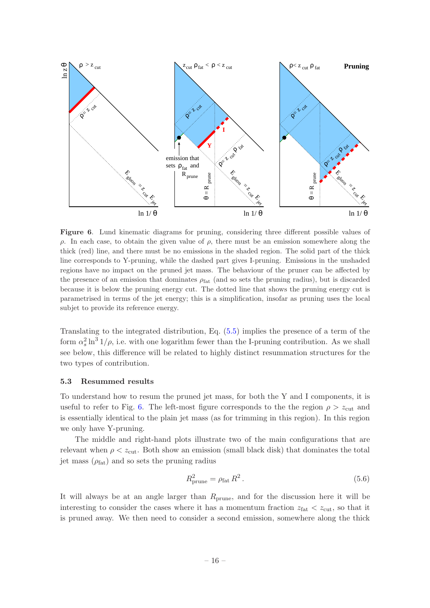

<span id="page-17-1"></span>Figure 6. Lund kinematic diagrams for pruning, considering three different possible values of ρ. In each case, to obtain the given value of ρ, there must be an emission somewhere along the thick (red) line, and there must be no emissions in the shaded region. The solid part of the thick line corresponds to Y-pruning, while the dashed part gives I-pruning. Emissions in the unshaded regions have no impact on the pruned jet mass. The behaviour of the pruner can be affected by the presence of an emission that dominates  $\rho_{\text{fat}}$  (and so sets the pruning radius), but is discarded because it is below the pruning energy cut. The dotted line that shows the pruning energy cut is parametrised in terms of the jet energy; this is a simplification, insofar as pruning uses the local subjet to provide its reference energy.

Translating to the integrated distribution, Eq. [\(5.5\)](#page-16-1) implies the presence of a term of the form  $\alpha_s^2 \ln^3 1/\rho$ , i.e. with one logarithm fewer than the I-pruning contribution. As we shall see below, this difference will be related to highly distinct resummation structures for the two types of contribution.

#### <span id="page-17-0"></span>5.3 Resummed results

To understand how to resum the pruned jet mass, for both the Y and I components, it is useful to refer to Fig. [6.](#page-17-1) The left-most figure corresponds to the the region  $\rho > z_{\text{cut}}$  and is essentially identical to the plain jet mass (as for trimming in this region). In this region we only have Y-pruning.

The middle and right-hand plots illustrate two of the main configurations that are relevant when  $\rho < z_{\text{cut}}$ . Both show an emission (small black disk) that dominates the total jet mass  $(\rho_{\text{fat}})$  and so sets the pruning radius

<span id="page-17-2"></span>
$$
R_{\text{prune}}^2 = \rho_{\text{fat}} R^2. \tag{5.6}
$$

It will always be at an angle larger than  $R_{\text{prune}}$ , and for the discussion here it will be interesting to consider the cases where it has a momentum fraction  $z_{\text{fat}} < z_{\text{cut}}$ , so that it is pruned away. We then need to consider a second emission, somewhere along the thick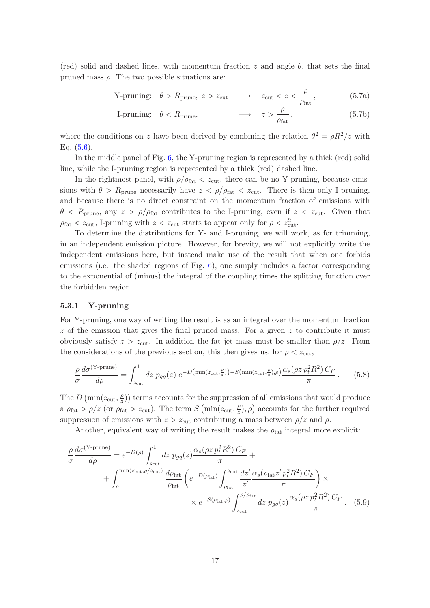(red) solid and dashed lines, with momentum fraction z and angle  $\theta$ , that sets the final pruned mass  $\rho$ . The two possible situations are:

$$
Y-pruning: \quad \theta > R_{prune}, \ z > z_{cut} \quad \longrightarrow \quad z_{cut} < z < \frac{\rho}{\rho_{fat}}, \tag{5.7a}
$$

I-pruning: 
$$
\theta < R_{\text{prune}}
$$
,  $\longrightarrow z > \frac{\rho}{\rho_{\text{fat}}},$  (5.7b)

where the conditions on z have been derived by combining the relation  $\theta^2 = \rho R^2/z$  with Eq.  $(5.6)$ .

In the middle panel of Fig. [6,](#page-17-1) the Y-pruning region is represented by a thick (red) solid line, while the I-pruning region is represented by a thick (red) dashed line.

In the rightmost panel, with  $\rho/\rho_{\text{fat}} < z_{\text{cut}}$ , there can be no Y-pruning, because emissions with  $\theta > R_{\text{prune}}$  necessarily have  $z < \rho/\rho_{\text{fat}} < z_{\text{cut}}$ . There is then only I-pruning, and because there is no direct constraint on the momentum fraction of emissions with  $\theta < R_{\text{prune}}$ , any  $z > \rho/\rho_{\text{fat}}$  contributes to the I-pruning, even if  $z < z_{\text{cut}}$ . Given that  $\rho_{\text{fat}} < z_{\text{cut}}$ , I-pruning with  $z < z_{\text{cut}}$  starts to appear only for  $\rho < z_{\text{cut}}^2$ .

To determine the distributions for Y- and I-pruning, we will work, as for trimming, in an independent emission picture. However, for brevity, we will not explicitly write the independent emissions here, but instead make use of the result that when one forbids emissions (i.e. the shaded regions of Fig.  $6$ ), one simply includes a factor corresponding to the exponential of (minus) the integral of the coupling times the splitting function over the forbidden region.

#### <span id="page-18-0"></span>5.3.1 Y-pruning

For Y-pruning, one way of writing the result is as an integral over the momentum fraction  $z$  of the emission that gives the final pruned mass. For a given  $z$  to contribute it must obviously satisfy  $z > z_{\text{cut}}$ . In addition the fat jet mass must be smaller than  $\rho/z$ . From the considerations of the previous section, this then gives us, for  $\rho < z<sub>cut</sub>$ ,

<span id="page-18-1"></span>
$$
\frac{\rho}{\sigma} \frac{d\sigma^{(\text{Y-prune})}}{d\rho} = \int_{z_{\text{cut}}}^{1} dz \ p_{gq}(z) \ e^{-D\left(\min(z_{\text{cut}}, \frac{\rho}{z})\right) - S\left(\min(z_{\text{cut}}, \frac{\rho}{z}), \rho\right)} \frac{\alpha_s(\rho z \ p_t^2 R^2) \ C_F}{\pi} \,. \tag{5.8}
$$

The D (min( $z_{\text{cut}}, \frac{\rho}{z}$ )  $\binom{p}{z}$ ) terms accounts for the suppression of all emissions that would produce a  $\rho_{\text{fat}} > \rho/z$  (or  $\rho_{\text{fat}} > z_{\text{cut}}$ ). The term  $S(\min(z_{\text{cut}}, \frac{\rho}{z}))$  $(\frac{\rho}{z}), \rho$  accounts for the further required suppression of emissions with  $z > z_{\text{cut}}$  contributing a mass between  $\rho/z$  and  $\rho$ .

<span id="page-18-2"></span>Another, equivalent way of writing the result makes the  $\rho_{\text{fat}}$  integral more explicit:

$$
\frac{\rho}{\sigma} \frac{d\sigma^{(\text{Y-prune})}}{d\rho} = e^{-D(\rho)} \int_{z_{\text{cut}}}^{1} dz \ p_{gq}(z) \frac{\alpha_s (\rho z \ p_t^2 R^2) C_F}{\pi} +
$$

$$
+ \int_{\rho}^{\min(z_{\text{cut}}, \rho/z_{\text{cut}})} \frac{d\rho_{\text{fat}}}{\rho_{\text{fat}}} \left( e^{-D(\rho_{\text{fat}})} \int_{\rho_{\text{fat}}}^{z_{\text{cut}}} \frac{dz'}{z'} \frac{\alpha_s (\rho_{\text{fat}} z' \ p_t^2 R^2) C_F}{\pi} \right) \times
$$

$$
\times e^{-S(\rho_{\text{fat}}, \rho)} \int_{z_{\text{cut}}}^{\rho/\rho_{\text{fat}}} dz \ p_{gq}(z) \frac{\alpha_s (\rho z \ p_t^2 R^2) C_F}{\pi} . \quad (5.9)
$$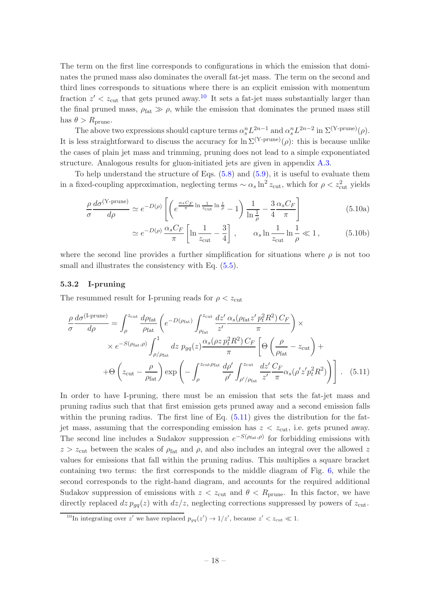The term on the first line corresponds to configurations in which the emission that dominates the pruned mass also dominates the overall fat-jet mass. The term on the second and third lines corresponds to situations where there is an explicit emission with momentum fraction  $z' < z_{\text{cut}}$  that gets pruned away.<sup>[10](#page-19-1)</sup> It sets a fat-jet mass substantially larger than the final pruned mass,  $\rho_{\text{fat}} \gg \rho$ , while the emission that dominates the pruned mass still has  $\theta > R_{\text{prune}}$ .

The above two expressions should capture terms  $\alpha_s^n L^{2n-1}$  and  $\alpha_s^n L^{2n-2}$  in  $\Sigma^{(\text{Y-prune})}(\rho)$ . It is less straightforward to discuss the accuracy for  $\ln \Sigma^{(Y\text{-prune})}(\rho)$ : this is because unlike the cases of plain jet mass and trimming, pruning does not lead to a simple exponentiated structure. Analogous results for gluon-initiated jets are given in appendix [A.3.](#page-49-1)

To help understand the structure of Eqs.  $(5.8)$  and  $(5.9)$ , it is useful to evaluate them in a fixed-coupling approximation, neglecting terms  $\sim \alpha_s \ln^2 z_{\text{cut}}$ , which for  $\rho < z_{\text{cut}}^2$  yields

$$
\frac{\rho}{\sigma} \frac{d\sigma^{(\text{Y-prune})}}{d\rho} \simeq e^{-D(\rho)} \left[ \left( e^{\frac{\alpha_s C_F}{\pi} \ln \frac{1}{z_{\text{cut}}} \ln \frac{1}{\rho}} - 1 \right) \frac{1}{\ln \frac{1}{\rho}} - \frac{3}{4} \frac{\alpha_s C_F}{\pi} \right]
$$
(5.10a)

<span id="page-19-3"></span><span id="page-19-2"></span>
$$
\simeq e^{-D(\rho)} \frac{\alpha_s C_F}{\pi} \left[ \ln \frac{1}{z_{\text{cut}}} - \frac{3}{4} \right] , \qquad \alpha_s \ln \frac{1}{z_{\text{cut}}} \ln \frac{1}{\rho} \ll 1 , \tag{5.10b}
$$

where the second line provides a further simplification for situations where  $\rho$  is not too small and illustrates the consistency with Eq.  $(5.5)$ .

## <span id="page-19-0"></span>5.3.2 I-pruning

The resummed result for I-pruning reads for  $\rho < z_{\text{cut}}$ 

$$
\frac{\rho}{\sigma} \frac{d\sigma^{(\text{I-prune})}}{d\rho} = \int_{\rho}^{z_{\text{cut}}} \frac{d\rho_{\text{fat}}}{\rho_{\text{fat}}} \left( e^{-D(\rho_{\text{fat}})} \int_{\rho_{\text{fat}}}^{z_{\text{cut}}} \frac{dz'}{z'} \frac{\alpha_s(\rho_{\text{fat}} z' p_t^2 R^2) C_F}{\pi} \right) \times
$$
  
×  $e^{-S(\rho_{\text{fat}}, \rho)} \int_{\rho/\rho_{\text{fat}}}^{1} dz p_{gq}(z) \frac{\alpha_s(\rho z p_t^2 R^2) C_F}{\pi} \left[ \Theta \left( \frac{\rho}{\rho_{\text{fat}}} - z_{\text{cut}} \right) +$   
+  $\Theta \left( z_{\text{cut}} - \frac{\rho}{\rho_{\text{fat}}} \right) \exp \left( - \int_{\rho}^{z_{\text{cut}} \rho_{\text{fat}}} \frac{d\rho'}{\rho'} \int_{\rho'/\rho_{\text{fat}}}^{z_{\text{cut}}} \frac{dz'}{z'} \frac{C_F}{\pi} \alpha_s(\rho' z' p_t^2 R^2) \right) \right].$  (5.11)

In order to have I-pruning, there must be an emission that sets the fat-jet mass and pruning radius such that that first emission gets pruned away and a second emission falls within the pruning radius. The first line of Eq.  $(5.11)$  gives the distribution for the fatjet mass, assuming that the corresponding emission has  $z < z<sub>cut</sub>$ , i.e. gets pruned away. The second line includes a Sudakov suppression  $e^{-S(\rho_{\text{fat}}, \rho)}$  for forbidding emissions with  $z > z_{\text{cut}}$  between the scales of  $\rho_{\text{fat}}$  and  $\rho$ , and also includes an integral over the allowed z values for emissions that fall within the pruning radius. This multiplies a square bracket containing two terms: the first corresponds to the middle diagram of Fig. [6,](#page-17-1) while the second corresponds to the right-hand diagram, and accounts for the required additional Sudakov suppression of emissions with  $z < z_{\text{cut}}$  and  $\theta < R_{\text{prune}}$ . In this factor, we have directly replaced  $dz p_{qq}(z)$  with  $dz/z$ , neglecting corrections suppressed by powers of  $z_{\text{cut}}$ .

<span id="page-19-1"></span><sup>&</sup>lt;sup>10</sup>In integrating over z' we have replaced  $p_{gq}(z') \rightarrow 1/z'$ , because  $z' < z_{\text{cut}} \ll 1$ .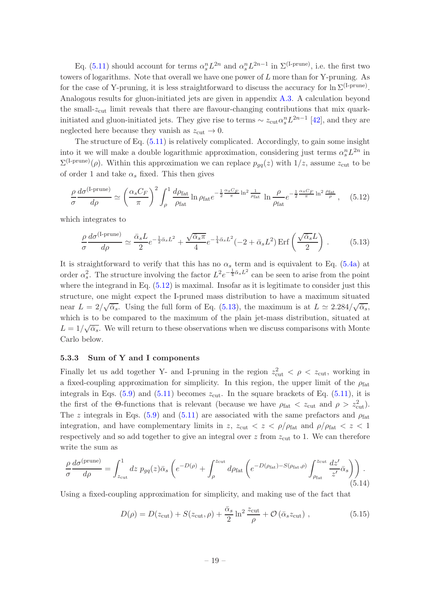Eq. [\(5.11\)](#page-19-2) should account for terms  $\alpha_s^n L^{2n}$  and  $\alpha_s^n L^{2n-1}$  in  $\Sigma^{(\text{I-prune})}$ , i.e. the first two towers of logarithms. Note that overall we have one power of L more than for Y-pruning. As for the case of Y-pruning, it is less straightforward to discuss the accuracy for  $\ln \Sigma^{(I-prune)}$ . Analogous results for gluon-initiated jets are given in appendix [A.3.](#page-49-1) A calculation beyond the small- $z<sub>cut</sub>$  limit reveals that there are flavour-changing contributions that mix quarkinitiated and gluon-initiated jets. They give rise to terms  $\sim z_{\text{cut}} \alpha_s^n L^{2n-1}$  [\[42](#page-54-8)], and they are neglected here because they vanish as  $z_{\text{cut}} \rightarrow 0$ .

The structure of Eq. [\(5.11\)](#page-19-2) is relatively complicated. Accordingly, to gain some insight into it we will make a double logarithmic approximation, considering just terms  $\alpha_s^n L^{2n}$  in  $\Sigma^{(I-prune)}(\rho)$ . Within this approximation we can replace  $p_{gq}(z)$  with  $1/z$ , assume  $z_{\text{cut}}$  to be of order 1 and take  $\alpha_s$  fixed. This then gives

<span id="page-20-1"></span>
$$
\frac{\rho}{\sigma} \frac{d\sigma^{(\text{I-prune})}}{d\rho} \simeq \left(\frac{\alpha_s C_F}{\pi}\right)^2 \int_{\rho}^1 \frac{d\rho_{\text{fat}}}{\rho_{\text{fat}}} \ln \rho_{\text{fat}} e^{-\frac{1}{2}\frac{\alpha_s C_F}{\pi} \ln^2 \frac{1}{\rho_{\text{fat}}}} \ln \frac{\rho}{\rho_{\text{fat}}} e^{-\frac{1}{2}\frac{\alpha_s C_F}{\pi} \ln^2 \frac{\rho_{\text{fat}}}{\rho}} ,\quad (5.12)
$$

which integrates to

<span id="page-20-2"></span>
$$
\frac{\rho}{\sigma} \frac{d\sigma^{(\text{I-prune})}}{d\rho} \simeq \frac{\bar{\alpha}_s L}{2} e^{-\frac{1}{2}\bar{\alpha}_s L^2} + \frac{\sqrt{\bar{\alpha}_s \pi}}{4} e^{-\frac{1}{4}\bar{\alpha}_s L^2} (-2 + \bar{\alpha}_s L^2) \operatorname{Erf}\left(\frac{\sqrt{\bar{\alpha}_s} L}{2}\right). \tag{5.13}
$$

It is straightforward to verify that this has no  $\alpha_s$  term and is equivalent to Eq. [\(5.4a\)](#page-15-3) at order  $\alpha_s^2$ . The structure involving the factor  $L^2 e^{-\frac{1}{4}\bar{\alpha}_s L^2}$  can be seen to arise from the point where the integrand in Eq.  $(5.12)$  is maximal. Insofar as it is legitimate to consider just this structure, one might expect the I-pruned mass distribution to have a maximum situated near  $L = 2/\sqrt{\bar{\alpha}_s}$ . Using the full form of Eq. [\(5.13\)](#page-20-2), the maximum is at  $L \simeq 2.284/\sqrt{\bar{\alpha}_s}$ , which is to be compared to the maximum of the plain jet-mass distribution, situated at  $L = 1/\sqrt{\bar{\alpha}_s}$ . We will return to these observations when we discuss comparisons with Monte Carlo below.

#### <span id="page-20-0"></span>5.3.3 Sum of Y and I components

Finally let us add together Y- and I-pruning in the region  $z_{\text{cut}}^2 < \rho < z_{\text{cut}}$ , working in a fixed-coupling approximation for simplicity. In this region, the upper limit of the  $\rho_{\text{fat}}$ integrals in Eqs.  $(5.9)$  and  $(5.11)$  becomes  $z_{\text{cut}}$ . In the square brackets of Eq.  $(5.11)$ , it is the first of the  $\Theta$ -functions that is relevant (because we have  $\rho_{\text{fat}} < z_{\text{cut}}$  and  $\rho > z_{\text{cut}}^2$ ). The z integrals in Eqs. [\(5.9\)](#page-18-2) and [\(5.11\)](#page-19-2) are associated with the same prefactors and  $\rho_{\text{fat}}$ integration, and have complementary limits in z,  $z_{\text{cut}} < z < \rho/\rho_{\text{fat}}$  and  $\rho/\rho_{\text{fat}} < z < 1$ respectively and so add together to give an integral over  $z$  from  $z_{\text{cut}}$  to 1. We can therefore write the sum as

$$
\frac{\rho}{\sigma} \frac{d\sigma^{\text{(prune)}}}{d\rho} = \int_{z_{\text{cut}}}^{1} dz \ p_{gq}(z) \bar{\alpha}_s \left( e^{-D(\rho)} + \int_{\rho}^{z_{\text{cut}}} d\rho_{\text{fat}} \left( e^{-D(\rho_{\text{fat}}) - S(\rho_{\text{fat}}, \rho)} \int_{\rho_{\text{fat}}}^{z_{\text{cut}}} \frac{dz'}{z'} \bar{\alpha}_s \right) \right). \tag{5.14}
$$

Using a fixed-coupling approximation for simplicity, and making use of the fact that

$$
D(\rho) = D(z_{\text{cut}}) + S(z_{\text{cut}}, \rho) + \frac{\bar{\alpha}_s}{2} \ln^2 \frac{z_{\text{cut}}}{\rho} + \mathcal{O}\left(\bar{\alpha}_s z_{\text{cut}}\right),\tag{5.15}
$$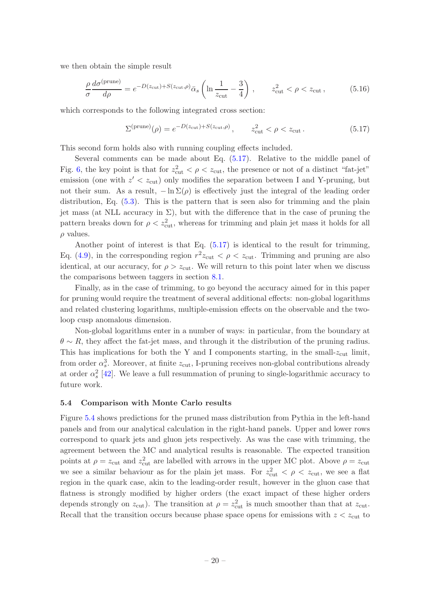we then obtain the simple result

$$
\frac{\rho}{\sigma} \frac{d\sigma^{\text{(prune)}}}{d\rho} = e^{-D(z_{\text{cut}}) + S(z_{\text{cut}}, \rho)} \bar{\alpha}_s \left( \ln \frac{1}{z_{\text{cut}}} - \frac{3}{4} \right) , \qquad z_{\text{cut}}^2 < \rho < z_{\text{cut}} , \tag{5.16}
$$

which corresponds to the following integrated cross section:

<span id="page-21-1"></span>
$$
\Sigma^{\text{(prune)}}(\rho) = e^{-D(z_{\text{cut}}) + S(z_{\text{cut}}, \rho)}, \qquad z_{\text{cut}}^2 < \rho < z_{\text{cut}}.
$$
\n
$$
(5.17)
$$

This second form holds also with running coupling effects included.

Several comments can be made about Eq. [\(5.17\)](#page-21-1). Relative to the middle panel of Fig. [6,](#page-17-1) the key point is that for  $z_{\text{cut}}^2 < \rho < z_{\text{cut}}$ , the presence or not of a distinct "fat-jet" emission (one with  $z' < z_{\text{cut}}$ ) only modifies the separation between I and Y-pruning, but not their sum. As a result,  $-\ln \Sigma(\rho)$  is effectively just the integral of the leading order distribution, Eq. [\(5.3\)](#page-14-2). This is the pattern that is seen also for trimming and the plain jet mass (at NLL accuracy in  $\Sigma$ ), but with the difference that in the case of pruning the pattern breaks down for  $\rho < z<sub>cut</sub><sup>2</sup>$ , whereas for trimming and plain jet mass it holds for all  $\rho$  values.

Another point of interest is that Eq.  $(5.17)$  is identical to the result for trimming, Eq. [\(4.9\)](#page-12-2), in the corresponding region  $r^2 z_{\text{cut}} < \rho < z_{\text{cut}}$ . Trimming and pruning are also identical, at our accuracy, for  $\rho > z_{\text{cut}}$ . We will return to this point later when we discuss the comparisons between taggers in section [8.1.](#page-33-2)

Finally, as in the case of trimming, to go beyond the accuracy aimed for in this paper for pruning would require the treatment of several additional effects: non-global logarithms and related clustering logarithms, multiple-emission effects on the observable and the twoloop cusp anomalous dimension.

Non-global logarithms enter in a number of ways: in particular, from the boundary at  $\theta \sim R$ , they affect the fat-jet mass, and through it the distribution of the pruning radius. This has implications for both the Y and I components starting, in the small- $z_{\text{cut}}$  limit, from order  $\alpha_s^3$ . Moreover, at finite  $z_{\text{cut}}$ , I-pruning receives non-global contributions already at order  $\alpha_s^2$  [\[42](#page-54-8)]. We leave a full resummation of pruning to single-logarithmic accuracy to future work.

#### <span id="page-21-0"></span>5.4 Comparison with Monte Carlo results

Figure [5.4](#page-21-0) shows predictions for the pruned mass distribution from Pythia in the left-hand panels and from our analytical calculation in the right-hand panels. Upper and lower rows correspond to quark jets and gluon jets respectively. As was the case with trimming, the agreement between the MC and analytical results is reasonable. The expected transition points at  $\rho = z_{\text{cut}}$  and  $z_{\text{cut}}^2$  are labelled with arrows in the upper MC plot. Above  $\rho = z_{\text{cut}}$ we see a similar behaviour as for the plain jet mass. For  $z_{\text{cut}}^2 < \rho < z_{\text{cut}}$ , we see a flat region in the quark case, akin to the leading-order result, however in the gluon case that flatness is strongly modified by higher orders (the exact impact of these higher orders depends strongly on  $z_{\text{cut}}$ ). The transition at  $\rho = z_{\text{cut}}^2$  is much smoother than that at  $z_{\text{cut}}$ . Recall that the transition occurs because phase space opens for emissions with  $z < z<sub>cut</sub>$  to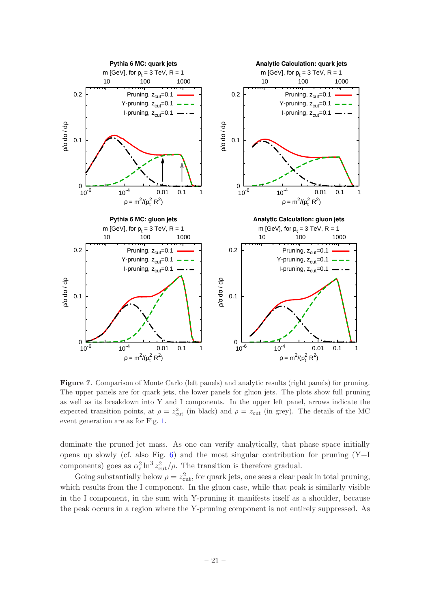

Figure 7. Comparison of Monte Carlo (left panels) and analytic results (right panels) for pruning. The upper panels are for quark jets, the lower panels for gluon jets. The plots show full pruning as well as its breakdown into Y and I components. In the upper left panel, arrows indicate the expected transition points, at  $\rho = z_{\text{cut}}^2$  (in black) and  $\rho = z_{\text{cut}}$  (in grey). The details of the MC event generation are as for Fig. [1.](#page-4-0)

dominate the pruned jet mass. As one can verify analytically, that phase space initially opens up slowly (cf. also Fig. [6\)](#page-17-1) and the most singular contribution for pruning  $(Y+I)$ components) goes as  $\alpha_s^2 \ln^3 z_{\text{cut}}^2/\rho$ . The transition is therefore gradual.

Going substantially below  $\rho = z_{\text{cut}}^2$ , for quark jets, one sees a clear peak in total pruning, which results from the I component. In the gluon case, while that peak is similarly visible in the I component, in the sum with Y-pruning it manifests itself as a shoulder, because the peak occurs in a region where the Y-pruning component is not entirely suppressed. As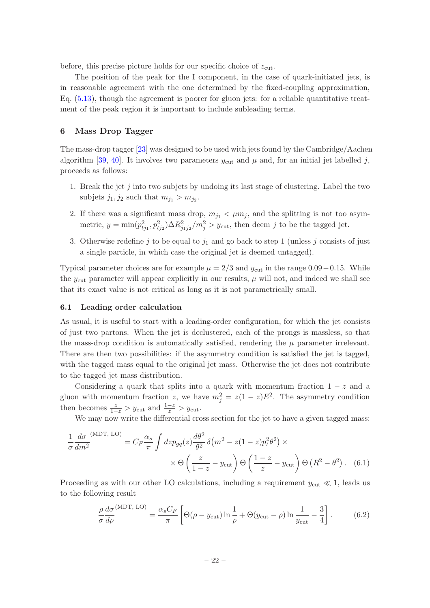before, this precise picture holds for our specific choice of  $z_{\text{cut}}$ .

The position of the peak for the I component, in the case of quark-initiated jets, is in reasonable agreement with the one determined by the fixed-coupling approximation, Eq. [\(5.13\)](#page-20-2), though the agreement is poorer for gluon jets: for a reliable quantitative treatment of the peak region it is important to include subleading terms.

## <span id="page-23-0"></span>6 Mass Drop Tagger

The mass-drop tagger [\[23\]](#page-53-11) was designed to be used with jets found by the Cambridge/Aachen algorithm [\[39](#page-54-5), [40\]](#page-54-6). It involves two parameters  $y_{\text{cut}}$  and  $\mu$  and, for an initial jet labelled j, proceeds as follows:

- 1. Break the jet j into two subjets by undoing its last stage of clustering. Label the two subjets  $j_1, j_2$  such that  $m_{j_1} > m_{j_2}$ .
- 2. If there was a significant mass drop,  $m_{j_1} < \mu m_j$ , and the splitting is not too asymmetric,  $y = \min(p_{ij_1}^2, p_{ij_2}^2) \Delta R_{j_1 j_2}^2 / m_j^2 > y_{\text{cut}}$ , then deem j to be the tagged jet.
- <span id="page-23-2"></span>3. Otherwise redefine j to be equal to  $j_1$  and go back to step 1 (unless j consists of just a single particle, in which case the original jet is deemed untagged).

Typical parameter choices are for example  $\mu = 2/3$  and  $y_{\text{cut}}$  in the range 0.09 – 0.15. While the  $y_{\text{cut}}$  parameter will appear explicitly in our results,  $\mu$  will not, and indeed we shall see that its exact value is not critical as long as it is not parametrically small.

#### <span id="page-23-1"></span>6.1 Leading order calculation

As usual, it is useful to start with a leading-order configuration, for which the jet consists of just two partons. When the jet is declustered, each of the prongs is massless, so that the mass-drop condition is automatically satisfied, rendering the  $\mu$  parameter irrelevant. There are then two possibilities: if the asymmetry condition is satisfied the jet is tagged, with the tagged mass equal to the original jet mass. Otherwise the jet does not contribute to the tagged jet mass distribution.

Considering a quark that splits into a quark with momentum fraction  $1 - z$  and a gluon with momentum fraction z, we have  $m_j^2 = z(1-z)E^2$ . The asymmetry condition then becomes  $\frac{z}{1-z} > y_{\text{cut}}$  and  $\frac{1-z}{z} > y_{\text{cut}}$ .

We may now write the differential cross section for the jet to have a given tagged mass:

$$
\frac{1}{\sigma} \frac{d\sigma}{dm^2}^{(\text{MDT, LO})} = C_F \frac{\alpha_s}{\pi} \int dz p_{gq}(z) \frac{d\theta^2}{\theta^2} \delta(m^2 - z(1-z)p_t^2 \theta^2) \times \times \Theta\left(\frac{z}{1-z} - y_{\text{cut}}\right) \Theta\left(\frac{1-z}{z} - y_{\text{cut}}\right) \Theta\left(R^2 - \theta^2\right). \tag{6.1}
$$

Proceeding as with our other LO calculations, including a requirement  $y_{\text{cut}} \ll 1$ , leads us to the following result

<span id="page-23-3"></span>
$$
\frac{\rho}{\sigma} \frac{d\sigma}{d\rho}^{(\text{MDT, LO})} = \frac{\alpha_s C_F}{\pi} \left[ \Theta(\rho - y_{\text{cut}}) \ln \frac{1}{\rho} + \Theta(y_{\text{cut}} - \rho) \ln \frac{1}{y_{\text{cut}}} - \frac{3}{4} \right].
$$
 (6.2)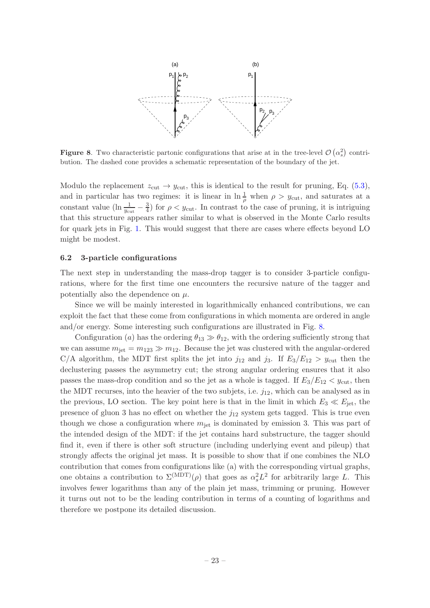

<span id="page-24-1"></span>**Figure 8.** Two characteristic partonic configurations that arise at in the tree-level  $\mathcal{O}(\alpha_s^2)$  contribution. The dashed cone provides a schematic representation of the boundary of the jet.

Modulo the replacement  $z_{\text{cut}} \rightarrow y_{\text{cut}}$ , this is identical to the result for pruning, Eq. [\(5.3\)](#page-14-2), and in particular has two regimes: it is linear in  $\ln \frac{1}{\rho}$  when  $\rho > y_{\text{cut}}$ , and saturates at a constant value ( $\ln \frac{1}{y_{\text{cut}}} - \frac{3}{4}$  $\frac{3}{4}$ ) for  $\rho < y_{\text{cut}}$ . In contrast to the case of pruning, it is intriguing that this structure appears rather similar to what is observed in the Monte Carlo results for quark jets in Fig. [1.](#page-4-0) This would suggest that there are cases where effects beyond LO might be modest.

## <span id="page-24-0"></span>6.2 3-particle configurations

The next step in understanding the mass-drop tagger is to consider 3-particle configurations, where for the first time one encounters the recursive nature of the tagger and potentially also the dependence on  $\mu$ .

Since we will be mainly interested in logarithmically enhanced contributions, we can exploit the fact that these come from configurations in which momenta are ordered in angle and/or energy. Some interesting such configurations are illustrated in Fig. [8.](#page-24-1)

Configuration (a) has the ordering  $\theta_{13} \gg \theta_{12}$ , with the ordering sufficiently strong that we can assume  $m_{\text{jet}} = m_{123} \gg m_{12}$ . Because the jet was clustered with the angular-ordered C/A algorithm, the MDT first splits the jet into  $j_{12}$  and  $j_3$ . If  $E_3/E_{12} > y_{\text{cut}}$  then the declustering passes the asymmetry cut; the strong angular ordering ensures that it also passes the mass-drop condition and so the jet as a whole is tagged. If  $E_3/E_{12} < y_{\text{cut}}$ , then the MDT recurses, into the heavier of the two subjets, i.e.  $j_{12}$ , which can be analysed as in the previous, LO section. The key point here is that in the limit in which  $E_3 \ll E_{\text{jet}}$ , the presence of gluon 3 has no effect on whether the  $j_{12}$  system gets tagged. This is true even though we chose a configuration where  $m_{\text{jet}}$  is dominated by emission 3. This was part of the intended design of the MDT: if the jet contains hard substructure, the tagger should find it, even if there is other soft structure (including underlying event and pileup) that strongly affects the original jet mass. It is possible to show that if one combines the NLO contribution that comes from configurations like (a) with the corresponding virtual graphs, one obtains a contribution to  $\Sigma^{\text{(MDT)}}(\rho)$  that goes as  $\alpha_s^2 L^2$  for arbitrarily large L. This involves fewer logarithms than any of the plain jet mass, trimming or pruning. However it turns out not to be the leading contribution in terms of a counting of logarithms and therefore we postpone its detailed discussion.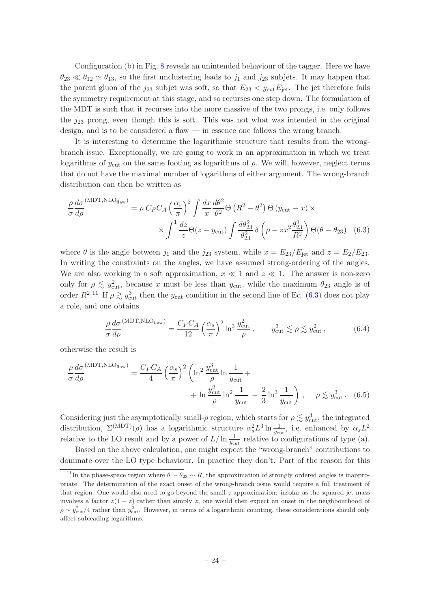Configuration (b) in Fig. [8](#page-24-1) reveals an unintended behaviour of the tagger. Here we have  $\theta_{23} \ll \theta_{12} \simeq \theta_{13}$ , so the first unclustering leads to  $j_1$  and  $j_{23}$  subjets. It may happen that the parent gluon of the  $j_{23}$  subjet was soft, so that  $E_{23} < y_{\text{cut}} E_{\text{jet}}$ . The jet therefore fails the symmetry requirement at this stage, and so recurses one step down. The formulation of the MDT is such that it recurses into the more massive of the two prongs, i.e. only follows the  $j_{23}$  prong, even though this is soft. This was not what was intended in the original design, and is to be considered a flaw — in essence one follows the wrong branch.

It is interesting to determine the logarithmic structure that results from the wrongbranch issue. Exceptionally, we are going to work in an approximation in which we treat logarithms of  $y_{\text{cut}}$  on the same footing as logarithms of  $\rho$ . We will, however, neglect terms that do not have the maximal number of logarithms of either argument. The wrong-branch distribution can then be written as

$$
\frac{\rho}{\sigma} \frac{d\sigma}{d\rho}^{(\text{MDT,NLO}_{\text{flaw}})} = \rho \ C_F C_A \left(\frac{\alpha_s}{\pi}\right)^2 \int \frac{dx}{x} \frac{d\theta^2}{\theta^2} \Theta \left(R^2 - \theta^2\right) \Theta \left(y_{\text{cut}} - x\right) \times \\ \times \int^1 \frac{dz}{z} \Theta(z - y_{\text{cut}}) \int \frac{d\theta_{23}^2}{\theta_{23}^2} \delta \left(\rho - zx^2 \frac{\theta_{23}^2}{R^2}\right) \Theta(\theta - \theta_{23}) \tag{6.3}
$$

where  $\theta$  is the angle between  $j_1$  and the  $j_{23}$  system, while  $x = E_{23}/E_{\text{jet}}$  and  $z = E_2/E_{23}$ . In writing the constraints on the angles, we have assumed strong-ordering of the angles. We are also working in a soft approximation,  $x \ll 1$  and  $z \ll 1$ . The answer is non-zero only for  $\rho \lesssim y_{\text{cut}}^2$ , because x must be less than  $y_{\text{cut}}$ , while the maximum  $\theta_{23}$  angle is of order  $R^2$ .<sup>[11](#page-25-0)</sup> If  $\rho \gtrsim y_{\text{cut}}^3$  then the y<sub>cut</sub> condition in the second line of Eq. [\(6.3\)](#page-25-1) does not play a role, and one obtains

<span id="page-25-1"></span>
$$
\frac{\rho}{\sigma} \frac{d\sigma}{d\rho}^{(\text{MDT,NLO}_{\text{flaw}})} = \frac{C_F C_A}{12} \left(\frac{\alpha_s}{\pi}\right)^2 \ln^3 \frac{y_{\text{cut}}^2}{\rho}, \qquad y_{\text{cut}}^3 \lesssim \rho \lesssim y_{\text{cut}}^2, \tag{6.4}
$$

otherwise the result is

$$
\frac{\rho}{\sigma} \frac{d\sigma}{d\rho}^{(\text{MDT,NLO}_{\text{flaw}})} = \frac{C_F C_A}{4} \left(\frac{\alpha_s}{\pi}\right)^2 \left(\ln^2 \frac{y_{\text{cut}}^3}{\rho} \ln \frac{1}{y_{\text{cut}}} + \ln \frac{y_{\text{cut}}^2}{\rho} \ln^2 \frac{1}{y_{\text{cut}}} - \frac{2}{3} \ln^3 \frac{1}{y_{\text{cut}}}\right), \quad \rho \lesssim y_{\text{cut}}^3. \quad (6.5)
$$

Considering just the asymptotically small- $\rho$  region, which starts for  $\rho \lesssim y_{\text{cut}}^3$ , the integrated distribution,  $\Sigma^{(\text{MDT})}(\rho)$  has a logarithmic structure  $\alpha_s^2 L^3 \ln \frac{1}{y_{\text{cut}}}$ , i.e. enhanced by  $\alpha_s L^2$ relative to the LO result and by a power of  $L/\ln \frac{1}{y_{\text{cut}}}$  relative to configurations of type (a).

Based on the above calculation, one might expect the "wrong-branch" contributions to dominate over the LO type behaviour. In practice they don't. Part of the reason for this

<span id="page-25-0"></span><sup>&</sup>lt;sup>11</sup>In the phase-space region where  $\theta \sim \theta_{23} \sim R$ , the approximation of strongly ordered angles is inappropriate. The determination of the exact onset of the wrong-branch issue would require a full treatment of that region. One would also need to go beyond the small-z approximation: insofar as the squared jet mass involves a factor  $z(1-z)$  rather than simply z, one would then expect an onset in the neighbourhood of  $\rho \sim y_{\text{cut}}^2/4$  rather than  $y_{\text{cut}}^2$ . However, in terms of a logarithmic counting, these considerations should only affect subleading logarithms.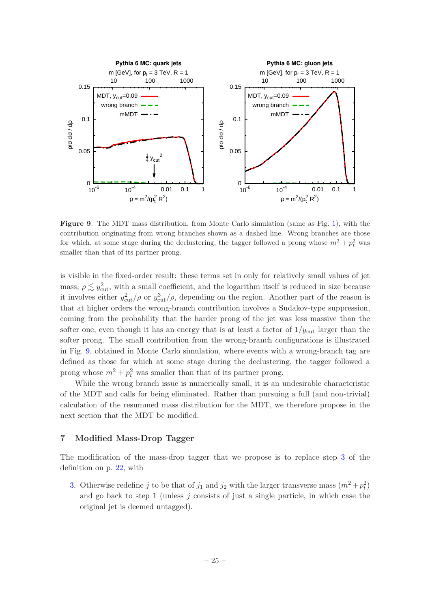

<span id="page-26-1"></span>Figure 9. The MDT mass distribution, from Monte Carlo simulation (same as Fig. [1\)](#page-4-0), with the contribution originating from wrong branches shown as a dashed line. Wrong branches are those for which, at some stage during the declustering, the tagger followed a prong whose  $m^2 + p_t^2$  was smaller than that of its partner prong.

is visible in the fixed-order result: these terms set in only for relatively small values of jet mass,  $\rho \lesssim y_{\text{cut}}^2$ , with a small coefficient, and the logarithm itself is reduced in size because it involves either  $y_{\text{cut}}^2/\rho$  or  $y_{\text{cut}}^3/\rho$ , depending on the region. Another part of the reason is that at higher orders the wrong-branch contribution involves a Sudakov-type suppression, coming from the probability that the harder prong of the jet was less massive than the softer one, even though it has an energy that is at least a factor of  $1/y_{\text{cut}}$  larger than the softer prong. The small contribution from the wrong-branch configurations is illustrated in Fig. [9,](#page-26-1) obtained in Monte Carlo simulation, where events with a wrong-branch tag are defined as those for which at some stage during the declustering, the tagger followed a prong whose  $m^2 + p_t^2$  was smaller than that of its partner prong.

While the wrong branch issue is numerically small, it is an undesirable characteristic of the MDT and calls for being eliminated. Rather than pursuing a full (and non-trivial) calculation of the resummed mass distribution for the MDT, we therefore propose in the next section that the MDT be modified.

## <span id="page-26-0"></span>7 Modified Mass-Drop Tagger

The modification of the mass-drop tagger that we propose is to replace step [3](#page-23-2) of the definition on p. [22,](#page-23-2) with

[3.](#page-23-2) Otherwise redefine j to be that of  $j_1$  and  $j_2$  with the larger transverse mass  $(m^2 + p_t^2)$ and go back to step  $1$  (unless  $j$  consists of just a single particle, in which case the original jet is deemed untagged).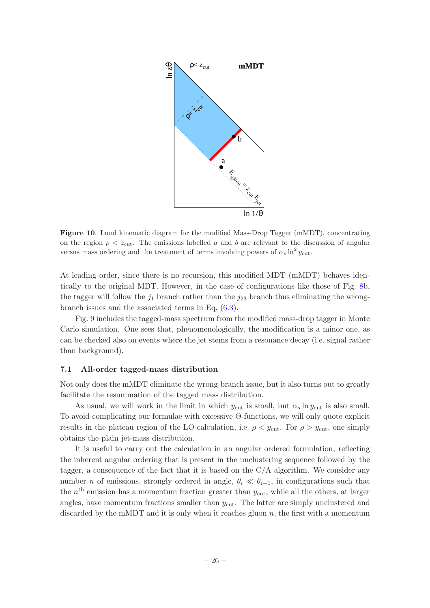

<span id="page-27-1"></span>Figure 10. Lund kinematic diagram for the modified Mass-Drop Tagger (mMDT), concentrating on the region  $\rho < z<sub>cut</sub>$ . The emissions labelled a and b are relevant to the discussion of angular versus mass ordering and the treatment of terms involving powers of  $\alpha_s \ln^2 y_{\text{cut}}$ .

At leading order, since there is no recursion, this modified MDT (mMDT) behaves identically to the original MDT. However, in the case of configurations like those of Fig. [8b](#page-24-1), the tagger will follow the  $j_1$  branch rather than the  $j_{23}$  branch thus eliminating the wrongbranch issues and the associated terms in Eq. [\(6.3\)](#page-25-1).

Fig. [9](#page-26-1) includes the tagged-mass spectrum from the modified mass-drop tagger in Monte Carlo simulation. One sees that, phenomenologically, the modification is a minor one, as can be checked also on events where the jet stems from a resonance decay (i.e. signal rather than background).

## <span id="page-27-0"></span>7.1 All-order tagged-mass distribution

Not only does the mMDT eliminate the wrong-branch issue, but it also turns out to greatly facilitate the resummation of the tagged mass distribution.

As usual, we will work in the limit in which  $y_{\text{cut}}$  is small, but  $\alpha_s \ln y_{\text{cut}}$  is also small. To avoid complicating our formulae with excessive Θ-functions, we will only quote explicit results in the plateau region of the LO calculation, i.e.  $\rho < y_{\text{cut}}$ . For  $\rho > y_{\text{cut}}$ , one simply obtains the plain jet-mass distribution.

It is useful to carry out the calculation in an angular ordered formulation, reflecting the inherent angular ordering that is present in the unclustering sequence followed by the tagger, a consequence of the fact that it is based on the  $C/A$  algorithm. We consider any number *n* of emissions, strongly ordered in angle,  $\theta_i \ll \theta_{i-1}$ , in configurations such that the  $n<sup>th</sup>$  emission has a momentum fraction greater than  $y<sub>cut</sub>$ , while all the others, at larger angles, have momentum fractions smaller than  $y_{\text{cut}}$ . The latter are simply unclustered and discarded by the mMDT and it is only when it reaches gluon  $n$ , the first with a momentum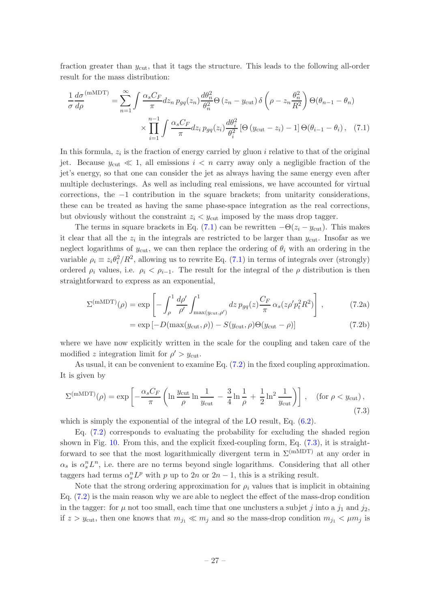fraction greater than  $y_{\text{cut}}$ , that it tags the structure. This leads to the following all-order result for the mass distribution:

<span id="page-28-0"></span>
$$
\frac{1}{\sigma} \frac{d\sigma}{d\rho}^{(\text{mMDT})} = \sum_{n=1}^{\infty} \int \frac{\alpha_s C_F}{\pi} dz_n \, p_{gq}(z_n) \frac{d\theta_n^2}{\theta_n^2} \Theta \left(z_n - y_{\text{cut}}\right) \delta \left(\rho - z_n \frac{\theta_n^2}{R^2}\right) \Theta(\theta_{n-1} - \theta_n)
$$

$$
\times \prod_{i=1}^{n-1} \int \frac{\alpha_s C_F}{\pi} dz_i \, p_{gq}(z_i) \frac{d\theta_i^2}{\theta_i^2} \left[\Theta \left(y_{\text{cut}} - z_i\right) - 1\right] \Theta(\theta_{i-1} - \theta_i), \quad (7.1)
$$

In this formula,  $z_i$  is the fraction of energy carried by gluon i relative to that of the original jet. Because  $y_{\text{cut}} \ll 1$ , all emissions  $i < n$  carry away only a negligible fraction of the jet's energy, so that one can consider the jet as always having the same energy even after multiple declusterings. As well as including real emissions, we have accounted for virtual corrections, the −1 contribution in the square brackets; from unitarity considerations, these can be treated as having the same phase-space integration as the real corrections, but obviously without the constraint  $z_i < y_{\text{cut}}$  imposed by the mass drop tagger.

The terms in square brackets in Eq. [\(7.1\)](#page-28-0) can be rewritten  $-\Theta(z_i - y_{\text{cut}})$ . This makes it clear that all the  $z_i$  in the integrals are restricted to be larger than  $y_{\text{cut}}$ . Insofar as we neglect logarithms of  $y_{\text{cut}}$ , we can then replace the ordering of  $\theta_i$  with an ordering in the variable  $\rho_i \equiv z_i \theta_i^2 / R^2$ , allowing us to rewrite Eq. [\(7.1\)](#page-28-0) in terms of integrals over (strongly) ordered  $\rho_i$  values, i.e.  $\rho_i < \rho_{i-1}$ . The result for the integral of the  $\rho$  distribution is then straightforward to express as an exponential,

$$
\Sigma^{(\text{mMDT})}(\rho) = \exp\left[-\int_{\rho}^{1} \frac{d\rho'}{\rho'} \int_{\max(y_{\text{cut}}, \rho')}^{1} dz \, p_{gq}(z) \frac{C_F}{\pi} \, \alpha_s(z \rho' p_t^2 R^2)\right],\tag{7.2a}
$$

<span id="page-28-1"></span>
$$
= \exp[-D(\max(y_{\text{cut}}, \rho)) - S(y_{\text{cut}}, \rho)\Theta(y_{\text{cut}} - \rho)] \tag{7.2b}
$$

where we have now explicitly written in the scale for the coupling and taken care of the modified z integration limit for  $\rho' > y_{\text{cut}}$ .

As usual, it can be convenient to examine Eq. [\(7.2\)](#page-28-1) in the fixed coupling approximation. It is given by

<span id="page-28-2"></span>
$$
\Sigma^{(\text{mMDT})}(\rho) = \exp\left[-\frac{\alpha_s C_F}{\pi} \left(\ln \frac{y_{\text{cut}}}{\rho} \ln \frac{1}{y_{\text{cut}}} - \frac{3}{4} \ln \frac{1}{\rho} + \frac{1}{2} \ln^2 \frac{1}{y_{\text{cut}}}\right)\right], \quad (\text{for } \rho < y_{\text{cut}}),\tag{7.3}
$$

which is simply the exponential of the integral of the LO result, Eq.  $(6.2)$ .

Eq. [\(7.2\)](#page-28-1) corresponds to evaluating the probability for excluding the shaded region shown in Fig. [10.](#page-27-1) From this, and the explicit fixed-coupling form, Eq. [\(7.3\)](#page-28-2), it is straightforward to see that the most logarithmically divergent term in  $\Sigma^{(mMDT)}$  at any order in  $\alpha_s$  is  $\alpha_s^n L^n$ , i.e. there are no terms beyond single logarithms. Considering that all other taggers had terms  $\alpha_s^n L^p$  with p up to 2n or  $2n - 1$ , this is a striking result.

Note that the strong ordering approximation for  $\rho_i$  values that is implicit in obtaining Eq. [\(7.2\)](#page-28-1) is the main reason why we are able to neglect the effect of the mass-drop condition in the tagger: for  $\mu$  not too small, each time that one unclusters a subjet j into a  $j_1$  and  $j_2$ , if  $z > y_{\text{cut}}$ , then one knows that  $m_{j_1} \ll m_j$  and so the mass-drop condition  $m_{j_1} < \mu m_j$  is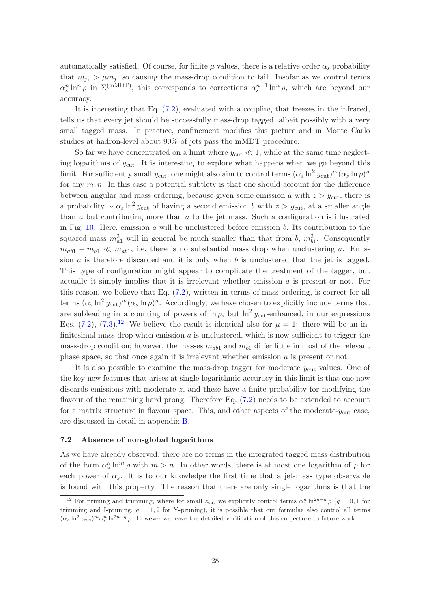automatically satisfied. Of course, for finite  $\mu$  values, there is a relative order  $\alpha_s$  probability that  $m_{i_1} > \mu m_i$ , so causing the mass-drop condition to fail. Insofar as we control terms  $\alpha_s^n \ln^n \rho$  in  $\Sigma^{(mMDT)}$ , this corresponds to corrections  $\alpha_s^{n+1} \ln^n \rho$ , which are beyond our accuracy.

It is interesting that Eq. [\(7.2\)](#page-28-1), evaluated with a coupling that freezes in the infrared, tells us that every jet should be successfully mass-drop tagged, albeit possibly with a very small tagged mass. In practice, confinement modifies this picture and in Monte Carlo studies at hadron-level about 90% of jets pass the mMDT procedure.

So far we have concentrated on a limit where  $y_{\text{cut}} \ll 1$ , while at the same time neglecting logarithms of  $y_{\text{cut}}$ . It is interesting to explore what happens when we go beyond this limit. For sufficiently small  $y_{\text{cut}}$ , one might also aim to control terms  $(\alpha_s \ln^2 y_{\text{cut}})^m (\alpha_s \ln \rho)^n$ for any  $m, n$ . In this case a potential subtlety is that one should account for the difference between angular and mass ordering, because given some emission a with  $z > y<sub>cut</sub>$ , there is a probability  $\sim \alpha_s \ln^2 y_{\text{cut}}$  of having a second emission b with  $z > y_{\text{cut}}$ , at a smaller angle than  $a$  but contributing more than  $a$  to the jet mass. Such a configuration is illustrated in Fig. [10.](#page-27-1) Here, emission  $\alpha$  will be unclustered before emission  $\beta$ . Its contribution to the squared mass  $m_{a_1}^2$  will in general be much smaller than that from b,  $m_{b_1}^2$ . Consequently  $m_{ab1} - m_{b1} \ll m_{ab1}$ , i.e. there is no substantial mass drop when unclustering a. Emission  $a$  is therefore discarded and it is only when  $b$  is unclustered that the jet is tagged. This type of configuration might appear to complicate the treatment of the tagger, but actually it simply implies that it is irrelevant whether emission  $a$  is present or not. For this reason, we believe that Eq. [\(7.2\)](#page-28-1), written in terms of mass ordering, is correct for all terms  $(\alpha_s \ln^2 y_{\text{cut}})^m (\alpha_s \ln \rho)^n$ . Accordingly, we have chosen to explicitly include terms that are subleading in a counting of powers of  $\ln \rho$ , but  $\ln^2 y_{\text{cut}}$ -enhanced, in our expressions Eqs. [\(7.2\)](#page-28-1), [\(7.3\)](#page-28-2).<sup>[12](#page-29-1)</sup> We believe the result is identical also for  $\mu = 1$ : there will be an infinitesimal mass drop when emission  $a$  is unclustered, which is now sufficient to trigger the mass-drop condition; however, the masses  $m_{ab1}$  and  $m_{b1}$  differ little in most of the relevant phase space, so that once again it is irrelevant whether emission  $a$  is present or not.

It is also possible to examine the mass-drop tagger for moderate  $y_{\text{cut}}$  values. One of the key new features that arises at single-logarithmic accuracy in this limit is that one now discards emissions with moderate  $z$ , and these have a finite probability for modifying the flavour of the remaining hard prong. Therefore Eq.  $(7.2)$  needs to be extended to account for a matrix structure in flavour space. This, and other aspects of the moderate- $y_{\text{cut}}$  case, are discussed in detail in appendix [B.](#page-49-3)

## <span id="page-29-0"></span>7.2 Absence of non-global logarithms

As we have already observed, there are no terms in the integrated tagged mass distribution of the form  $\alpha_s^n \ln^m \rho$  with  $m > n$ . In other words, there is at most one logarithm of  $\rho$  for each power of  $\alpha_s$ . It is to our knowledge the first time that a jet-mass type observable is found with this property. The reason that there are only single logarithms is that the

<span id="page-29-1"></span><sup>&</sup>lt;sup>12</sup> For pruning and trimming, where for small  $z_{\text{cut}}$  we explicitly control terms  $\alpha_s^n \ln^{2n-q} \rho$  (q = 0,1 for trimming and I-pruning,  $q = 1, 2$  for Y-pruning), it is possible that our formulae also control all terms  $(\alpha_s \ln^2 z_{\text{cut}})^m \alpha_s^n \ln^{2n-q} \rho$ . However we leave the detailed verification of this conjecture to future work.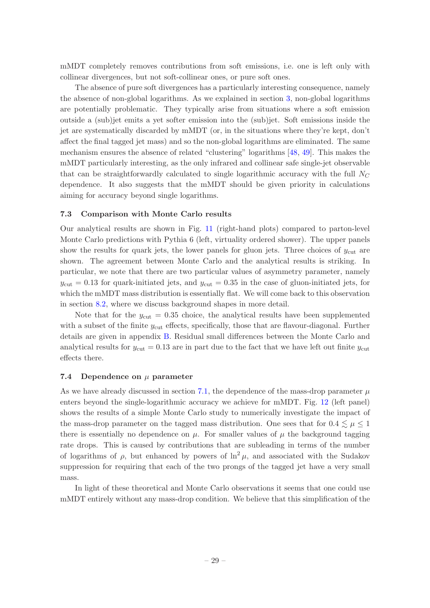mMDT completely removes contributions from soft emissions, i.e. one is left only with collinear divergences, but not soft-collinear ones, or pure soft ones.

The absence of pure soft divergences has a particularly interesting consequence, namely the absence of non-global logarithms. As we explained in section [3,](#page-7-0) non-global logarithms are potentially problematic. They typically arise from situations where a soft emission outside a (sub)jet emits a yet softer emission into the (sub)jet. Soft emissions inside the jet are systematically discarded by mMDT (or, in the situations where they're kept, don't affect the final tagged jet mass) and so the non-global logarithms are eliminated. The same mechanism ensures the absence of related "clustering" logarithms [\[48](#page-54-14), [49\]](#page-54-25). This makes the mMDT particularly interesting, as the only infrared and collinear safe single-jet observable that can be straightforwardly calculated to single logarithmic accuracy with the full  $N_C$ dependence. It also suggests that the mMDT should be given priority in calculations aiming for accuracy beyond single logarithms.

#### <span id="page-30-0"></span>7.3 Comparison with Monte Carlo results

Our analytical results are shown in Fig. [11](#page-31-1) (right-hand plots) compared to parton-level Monte Carlo predictions with Pythia 6 (left, virtuality ordered shower). The upper panels show the results for quark jets, the lower panels for gluon jets. Three choices of  $y_{\text{cut}}$  are shown. The agreement between Monte Carlo and the analytical results is striking. In particular, we note that there are two particular values of asymmetry parameter, namely  $y_{\text{cut}} = 0.13$  for quark-initiated jets, and  $y_{\text{cut}} = 0.35$  in the case of gluon-initiated jets, for which the mMDT mass distribution is essentially flat. We will come back to this observation in section [8.2,](#page-34-0) where we discuss background shapes in more detail.

Note that for the  $y_{\text{cut}} = 0.35$  choice, the analytical results have been supplemented with a subset of the finite  $y_{\text{cut}}$  effects, specifically, those that are flavour-diagonal. Further details are given in appendix [B.](#page-49-3) Residual small differences between the Monte Carlo and analytical results for  $y_{\text{cut}} = 0.13$  are in part due to the fact that we have left out finite  $y_{\text{cut}}$ effects there.

#### <span id="page-30-1"></span>7.4 Dependence on  $\mu$  parameter

As we have already discussed in section [7.1,](#page-27-0) the dependence of the mass-drop parameter  $\mu$ enters beyond the single-logarithmic accuracy we achieve for mMDT. Fig. [12](#page-32-0) (left panel) shows the results of a simple Monte Carlo study to numerically investigate the impact of the mass-drop parameter on the tagged mass distribution. One sees that for  $0.4 \leq \mu \leq 1$ there is essentially no dependence on  $\mu$ . For smaller values of  $\mu$  the background tagging rate drops. This is caused by contributions that are subleading in terms of the number of logarithms of  $\rho$ , but enhanced by powers of  $\ln^2 \mu$ , and associated with the Sudakov suppression for requiring that each of the two prongs of the tagged jet have a very small mass.

In light of these theoretical and Monte Carlo observations it seems that one could use mMDT entirely without any mass-drop condition. We believe that this simplification of the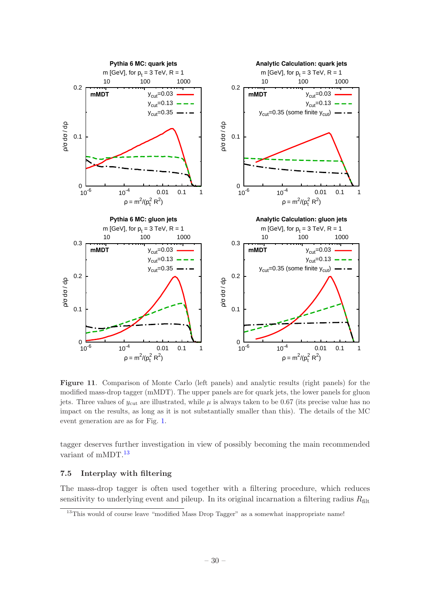

<span id="page-31-1"></span>Figure 11. Comparison of Monte Carlo (left panels) and analytic results (right panels) for the modified mass-drop tagger (mMDT). The upper panels are for quark jets, the lower panels for gluon jets. Three values of  $y_{\text{cut}}$  are illustrated, while  $\mu$  is always taken to be 0.67 (its precise value has no impact on the results, as long as it is not substantially smaller than this). The details of the MC event generation are as for Fig. [1.](#page-4-0)

tagger deserves further investigation in view of possibly becoming the main recommended variant of mMDT.<sup>[13](#page-31-2)</sup>

## <span id="page-31-0"></span>7.5 Interplay with filtering

The mass-drop tagger is often used together with a filtering procedure, which reduces sensitivity to underlying event and pileup. In its original incarnation a filtering radius  $R_{\text{filt}}$ 

<span id="page-31-2"></span><sup>&</sup>lt;sup>13</sup>This would of course leave "modified Mass Drop Tagger" as a somewhat inappropriate name!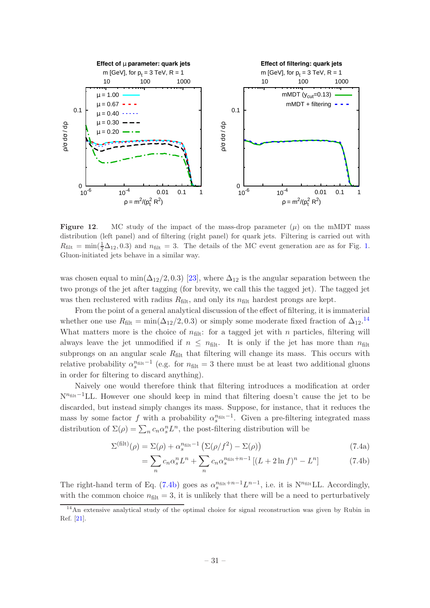

<span id="page-32-0"></span>**Figure 12.** MC study of the impact of the mass-drop parameter  $(\mu)$  on the mMDT mass distribution (left panel) and of filtering (right panel) for quark jets. Filtering is carried out with  $R_{\text{filt}} = \min(\frac{1}{2}\Delta_{12}, 0.3)$  and  $n_{\text{filt}} = 3$ . The details of the MC event generation are as for Fig. [1.](#page-4-0) Gluon-initiated jets behave in a similar way.

was chosen equal to min( $\Delta_{12}/2, 0.3$ ) [\[23\]](#page-53-11), where  $\Delta_{12}$  is the angular separation between the two prongs of the jet after tagging (for brevity, we call this the tagged jet). The tagged jet was then reclustered with radius  $R_{\text{filt}}$ , and only its  $n_{\text{filt}}$  hardest prongs are kept.

From the point of a general analytical discussion of the effect of filtering, it is immaterial whether one use  $R_{\text{filt}} = \min(\Delta_{12}/2, 0.3)$  or simply some moderate fixed fraction of  $\Delta_{12}$ .<sup>[14](#page-32-1)</sup> What matters more is the choice of  $n_{\text{filt}}$ : for a tagged jet with n particles, filtering will always leave the jet unmodified if  $n \leq n_{\text{filt}}$ . It is only if the jet has more than  $n_{\text{filt}}$ subprongs on an angular scale  $R_{\text{filt}}$  that filtering will change its mass. This occurs with relative probability  $\alpha_s^{n_{\text{filt}}-1}$  (e.g. for  $n_{\text{filt}} = 3$  there must be at least two additional gluons in order for filtering to discard anything).

Naively one would therefore think that filtering introduces a modification at order N<sup>n<sub>filt</sub>−1</sup>LL. However one should keep in mind that filtering doesn't cause the jet to be discarded, but instead simply changes its mass. Suppose, for instance, that it reduces the mass by some factor f with a probability  $\alpha_s^{n_{\text{filt}}-1}$ . Given a pre-filtering integrated mass distribution of  $\Sigma(\rho) = \sum_n c_n \alpha_s^n L^n$ , the post-filtering distribution will be

$$
\Sigma^{(\text{filt})}(\rho) = \Sigma(\rho) + \alpha_s^{n_{\text{filt}} - 1} \left( \Sigma(\rho/f^2) - \Sigma(\rho) \right)
$$
\n(7.4a)

<span id="page-32-2"></span>
$$
= \sum_{n} c_n \alpha_s^n L^n + \sum_{n} c_n \alpha_s^{n_{\text{filt}} + n - 1} \left[ (L + 2 \ln f)^n - L^n \right] \tag{7.4b}
$$

The right-hand term of Eq. [\(7.4b\)](#page-32-2) goes as  $\alpha_s^{n_{\text{filt}}+n-1}L^{n-1}$ , i.e. it is N<sup>n<sub>filt</sub>LL. Accordingly,</sup> with the common choice  $n_{\text{filt}} = 3$ , it is unlikely that there will be a need to perturbatively

<span id="page-32-1"></span><sup>14</sup>An extensive analytical study of the optimal choice for signal reconstruction was given by Rubin in Ref. [\[21](#page-53-9)].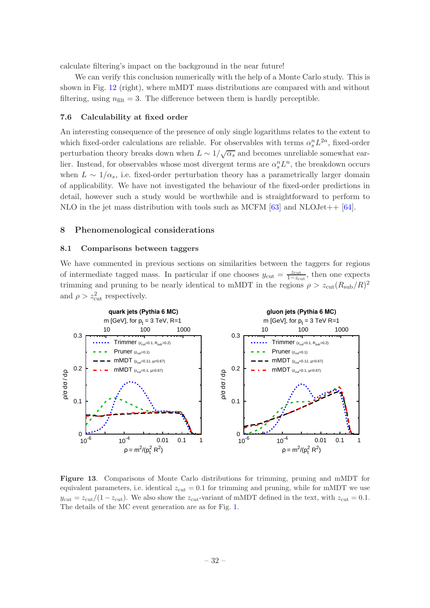calculate filtering's impact on the background in the near future!

We can verify this conclusion numerically with the help of a Monte Carlo study. This is shown in Fig. [12](#page-32-0) (right), where mMDT mass distributions are compared with and without filtering, using  $n_{\text{filt}} = 3$ . The difference between them is hardly perceptible.

#### <span id="page-33-0"></span>7.6 Calculability at fixed order

An interesting consequence of the presence of only single logarithms relates to the extent to which fixed-order calculations are reliable. For observables with terms  $\alpha_s^n L^{2n}$ , fixed-order perturbation theory breaks down when  $L \sim 1/\sqrt{\alpha_s}$  and becomes unreliable somewhat earlier. Instead, for observables whose most divergent terms are  $\alpha_s^n L^n$ , the breakdown occurs when  $L \sim 1/\alpha_s$ , i.e. fixed-order perturbation theory has a parametrically larger domain of applicability. We have not investigated the behaviour of the fixed-order predictions in detail, however such a study would be worthwhile and is straightforward to perform to NLO in the jet mass distribution with tools such as MCFM  $[63]$  and NLOJet++  $[64]$ .

#### <span id="page-33-2"></span><span id="page-33-1"></span>8 Phenomenological considerations

## 8.1 Comparisons between taggers

We have commented in previous sections on similarities between the taggers for regions of intermediate tagged mass. In particular if one chooses  $y_{\text{cut}} = \frac{z_{\text{cut}}}{1 - z_{\text{cut}}},$  then one expects trimming and pruning to be nearly identical to mMDT in the regions  $\rho > z_{\text{cut}}(R_{\text{sub}}/R)^2$ and  $\rho > z_{\text{cut}}^2$  respectively.



<span id="page-33-3"></span>Figure 13. Comparisons of Monte Carlo distributions for trimming, pruning and mMDT for equivalent parameters, i.e. identical  $z_{\text{cut}} = 0.1$  for trimming and pruning, while for mMDT we use  $y_{\text{cut}} = z_{\text{cut}}/(1 - z_{\text{cut}})$ . We also show the  $z_{\text{cut}}$ -variant of mMDT defined in the text, with  $z_{\text{cut}} = 0.1$ . The details of the MC event generation are as for Fig. [1.](#page-4-0)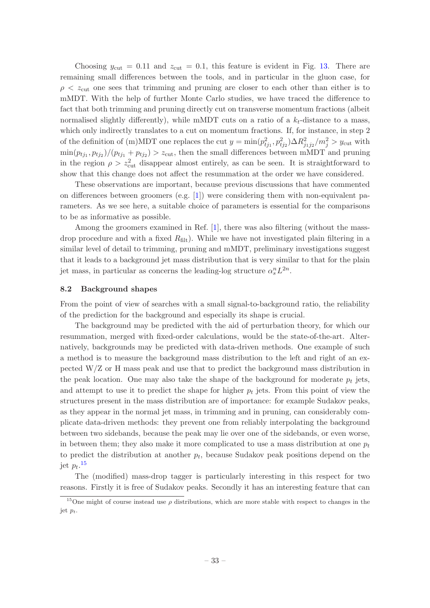Choosing  $y_{\text{cut}} = 0.11$  and  $z_{\text{cut}} = 0.1$ , this feature is evident in Fig. [13.](#page-33-3) There are remaining small differences between the tools, and in particular in the gluon case, for  $\rho < z<sub>cut</sub>$  one sees that trimming and pruning are closer to each other than either is to mMDT. With the help of further Monte Carlo studies, we have traced the difference to fact that both trimming and pruning directly cut on transverse momentum fractions (albeit normalised slightly differently), while mMDT cuts on a ratio of a  $k_t$ -distance to a mass, which only indirectly translates to a cut on momentum fractions. If, for instance, in step 2 of the definition of (m)MDT one replaces the cut  $y = \min(p_{tj_1}^2, p_{tj_2}^2) \Delta R_{j_1j_2}^2/m_j^2 > y_{\text{cut}}$  with  $\min(p_{tj_1}, p_{tj_2})/(p_{tj_1} + p_{tj_2}) > z_{\text{cut}}$ , then the small differences between mMDT and pruning in the region  $\rho > z<sub>cut</sub><sup>2</sup>$  disappear almost entirely, as can be seen. It is straightforward to show that this change does not affect the resummation at the order we have considered.

These observations are important, because previous discussions that have commented on differences between groomers (e.g.  $[1]$ ) were considering them with non-equivalent parameters. As we see here, a suitable choice of parameters is essential for the comparisons to be as informative as possible.

Among the groomers examined in Ref. [\[1](#page-52-0)], there was also filtering (without the massdrop procedure and with a fixed  $R_{\text{filt}}$ . While we have not investigated plain filtering in a similar level of detail to trimming, pruning and mMDT, preliminary investigations suggest that it leads to a background jet mass distribution that is very similar to that for the plain jet mass, in particular as concerns the leading-log structure  $\alpha_s^n L^{2n}$ .

#### <span id="page-34-0"></span>8.2 Background shapes

From the point of view of searches with a small signal-to-background ratio, the reliability of the prediction for the background and especially its shape is crucial.

The background may be predicted with the aid of perturbation theory, for which our resummation, merged with fixed-order calculations, would be the state-of-the-art. Alternatively, backgrounds may be predicted with data-driven methods. One example of such a method is to measure the background mass distribution to the left and right of an expected W/Z or H mass peak and use that to predict the background mass distribution in the peak location. One may also take the shape of the background for moderate  $p_t$  jets, and attempt to use it to predict the shape for higher  $p_t$  jets. From this point of view the structures present in the mass distribution are of importance: for example Sudakov peaks, as they appear in the normal jet mass, in trimming and in pruning, can considerably complicate data-driven methods: they prevent one from reliably interpolating the background between two sidebands, because the peak may lie over one of the sidebands, or even worse, in between them; they also make it more complicated to use a mass distribution at one  $p_t$ to predict the distribution at another  $p_t$ , because Sudakov peak positions depend on the jet  $p_t$ .<sup>[15](#page-34-1)</sup>

The (modified) mass-drop tagger is particularly interesting in this respect for two reasons. Firstly it is free of Sudakov peaks. Secondly it has an interesting feature that can

<span id="page-34-1"></span><sup>&</sup>lt;sup>15</sup>One might of course instead use  $\rho$  distributions, which are more stable with respect to changes in the jet  $p_t$ .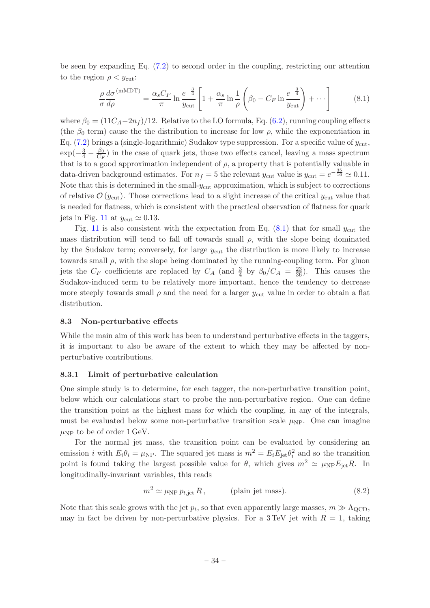be seen by expanding Eq. [\(7.2\)](#page-28-1) to second order in the coupling, restricting our attention to the region  $\rho < y_{\text{cut}}$ :

<span id="page-35-2"></span>
$$
\frac{\rho}{\sigma} \frac{d\sigma}{d\rho}^{(\text{mMDT})} = \frac{\alpha_s C_F}{\pi} \ln \frac{e^{-\frac{3}{4}}}{y_{\text{cut}}} \left[ 1 + \frac{\alpha_s}{\pi} \ln \frac{1}{\rho} \left( \beta_0 - C_F \ln \frac{e^{-\frac{3}{4}}}{y_{\text{cut}}} \right) + \cdots \right]
$$
(8.1)

where  $\beta_0 = (11C_A - 2n_f)/12$ . Relative to the LO formula, Eq. [\(6.2\)](#page-23-3), running coupling effects (the  $\beta_0$  term) cause the the distribution to increase for low  $\rho$ , while the exponentiation in Eq.  $(7.2)$  brings a (single-logarithmic) Sudakov type suppression. For a specific value of  $y_{\text{cut}}$ ,  $\exp(-\frac{3}{4}-\frac{\beta_0}{C_F})$  $\frac{\rho_0}{C_F}$ ) in the case of quark jets, those two effects cancel, leaving a mass spectrum that is to a good approximation independent of  $\rho$ , a property that is potentially valuable in data-driven background estimates. For  $n_f = 5$  the relevant  $y_{\text{cut}}$  value is  $y_{\text{cut}} = e^{-\frac{35}{16}} \approx 0.11$ . Note that this is determined in the small- $y_{\text{cut}}$  approximation, which is subject to corrections of relative  $\mathcal{O}(y_{\text{cut}})$ . Those corrections lead to a slight increase of the critical  $y_{\text{cut}}$  value that is needed for flatness, which is consistent with the practical observation of flatness for quark jets in Fig. [11](#page-31-1) at  $y_{\text{cut}} \simeq 0.13$ .

Fig. [11](#page-31-1) is also consistent with the expectation from Eq.  $(8.1)$  that for small  $y_{\text{cut}}$  the mass distribution will tend to fall off towards small  $\rho$ , with the slope being dominated by the Sudakov term; conversely, for large  $y_{\text{cut}}$  the distribution is more likely to increase towards small  $\rho$ , with the slope being dominated by the running-coupling term. For gluon jets the  $C_F$  coefficients are replaced by  $C_A$  (and  $\frac{3}{4}$  by  $\beta_0/C_A = \frac{23}{36}$ ). This causes the Sudakov-induced term to be relatively more important, hence the tendency to decrease more steeply towards small  $\rho$  and the need for a larger  $y_{\text{cut}}$  value in order to obtain a flat distribution.

#### <span id="page-35-0"></span>8.3 Non-perturbative effects

While the main aim of this work has been to understand perturbative effects in the taggers, it is important to also be aware of the extent to which they may be affected by nonperturbative contributions.

## <span id="page-35-1"></span>8.3.1 Limit of perturbative calculation

One simple study is to determine, for each tagger, the non-perturbative transition point, below which our calculations start to probe the non-perturbative region. One can define the transition point as the highest mass for which the coupling, in any of the integrals, must be evaluated below some non-perturbative transition scale  $\mu_{NP}$ . One can imagine  $\mu_{\text{NP}}$  to be of order 1 GeV.

For the normal jet mass, the transition point can be evaluated by considering an emission *i* with  $E_i \theta_i = \mu_{\text{NP}}$ . The squared jet mass is  $m^2 = E_i E_{\text{jet}} \theta_i^2$  and so the transition point is found taking the largest possible value for  $\theta$ , which gives  $m^2 \simeq \mu_{\text{NP}} E_{\text{jet}} R$ . In longitudinally-invariant variables, this reads

<span id="page-35-3"></span>
$$
m^2 \simeq \mu_{\rm NP} \, p_{t, \text{jet}} \, R \,, \qquad \text{(plain jet mass)}.\tag{8.2}
$$

Note that this scale grows with the jet  $p_t$ , so that even apparently large masses,  $m \gg \Lambda_{\rm QCD}$ , may in fact be driven by non-perturbative physics. For a 3 TeV jet with  $R = 1$ , taking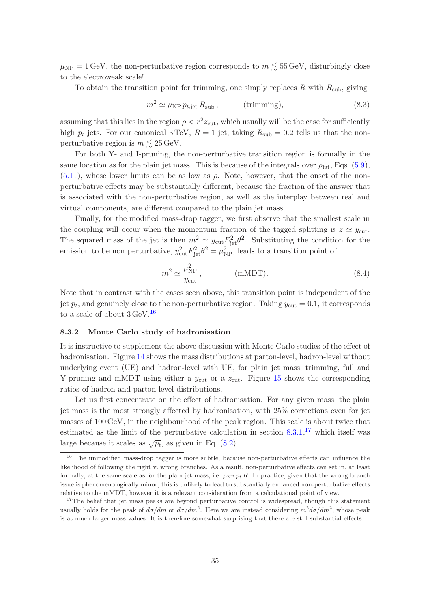$\mu_{\rm NP} = 1 \,\text{GeV}$ , the non-perturbative region corresponds to  $m \lesssim 55 \,\text{GeV}$ , disturbingly close to the electroweak scale!

To obtain the transition point for trimming, one simply replaces R with  $R_{\text{sub}}$ , giving

$$
m^2 \simeq \mu_{\rm NP} \, p_{t, \text{jet}} \, R_{\text{sub}} \,, \qquad \text{(trimming)}, \tag{8.3}
$$

assuming that this lies in the region  $\rho < r^2 z_{\text{cut}}$ , which usually will be the case for sufficiently high  $p_t$  jets. For our canonical 3 TeV,  $R = 1$  jet, taking  $R_{sub} = 0.2$  tells us that the nonperturbative region is  $m \lesssim 25 \,\text{GeV}$ .

For both Y- and I-pruning, the non-perturbative transition region is formally in the same location as for the plain jet mass. This is because of the integrals over  $\rho_{\text{fat}}$ , Eqs. [\(5.9\)](#page-18-2),  $(5.11)$ , whose lower limits can be as low as  $\rho$ . Note, however, that the onset of the nonperturbative effects may be substantially different, because the fraction of the answer that is associated with the non-perturbative region, as well as the interplay between real and virtual components, are different compared to the plain jet mass.

Finally, for the modified mass-drop tagger, we first observe that the smallest scale in the coupling will occur when the momentum fraction of the tagged splitting is  $z \simeq y_{\text{cut}}$ . The squared mass of the jet is then  $m^2 \simeq y_{\text{cut}} E_{\text{jet}}^2 \theta^2$ . Substituting the condition for the emission to be non perturbative,  $y_{\text{cut}}^2 E_{\text{jet}}^2 \theta^2 = \mu_{\text{NP}}^2$ , leads to a transition point of

$$
m^2 \simeq \frac{\mu_{\rm NP}^2}{y_{\rm cut}}, \qquad \qquad \text{(mMDT)}.\tag{8.4}
$$

Note that in contrast with the cases seen above, this transition point is independent of the jet  $p_t$ , and genuinely close to the non-perturbative region. Taking  $y_{\text{cut}} = 0.1$ , it corresponds to a scale of about  $3 \text{ GeV}$ .<sup>[16](#page-36-1)</sup>

#### <span id="page-36-0"></span>8.3.2 Monte Carlo study of hadronisation

It is instructive to supplement the above discussion with Monte Carlo studies of the effect of hadronisation. Figure [14](#page-37-0) shows the mass distributions at parton-level, hadron-level without underlying event (UE) and hadron-level with UE, for plain jet mass, trimming, full and Y-pruning and mMDT using either a  $y_{\text{cut}}$  or a  $z_{\text{cut}}$ . Figure [15](#page-38-0) shows the corresponding ratios of hadron and parton-level distributions.

Let us first concentrate on the effect of hadronisation. For any given mass, the plain jet mass is the most strongly affected by hadronisation, with 25% corrections even for jet masses of 100 GeV, in the neighbourhood of the peak region. This scale is about twice that estimated as the limit of the perturbative calculation in section [8.3.1,](#page-35-1) [17](#page-36-2) which itself was large because it scales as  $\sqrt{p_t}$ , as given in Eq. [\(8.2\)](#page-35-3).

<span id="page-36-1"></span><sup>&</sup>lt;sup>16</sup> The unmodified mass-drop tagger is more subtle, because non-perturbative effects can influence the likelihood of following the right v. wrong branches. As a result, non-perturbative effects can set in, at least formally, at the same scale as for the plain jet mass, i.e.  $\mu_{\text{NP}} p_t R$ . In practice, given that the wrong branch issue is phenomenologically minor, this is unlikely to lead to substantially enhanced non-perturbative effects relative to the mMDT, however it is a relevant consideration from a calculational point of view.

<span id="page-36-2"></span><sup>&</sup>lt;sup>17</sup>The belief that jet mass peaks are beyond perturbative control is widespread, though this statement usually holds for the peak of  $d\sigma/dm$  or  $d\sigma/dm^2$ . Here we are instead considering  $m^2d\sigma/dm^2$ , whose peak is at much larger mass values. It is therefore somewhat surprising that there are still substantial effects.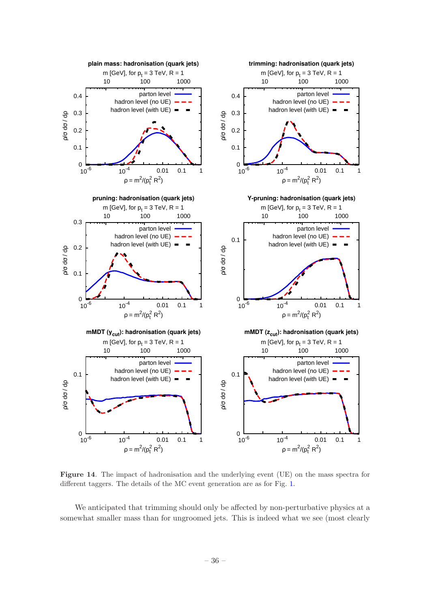

<span id="page-37-0"></span>Figure 14. The impact of hadronisation and the underlying event (UE) on the mass spectra for different taggers. The details of the MC event generation are as for Fig. [1.](#page-4-0)

We anticipated that trimming should only be affected by non-perturbative physics at a somewhat smaller mass than for ungroomed jets. This is indeed what we see (most clearly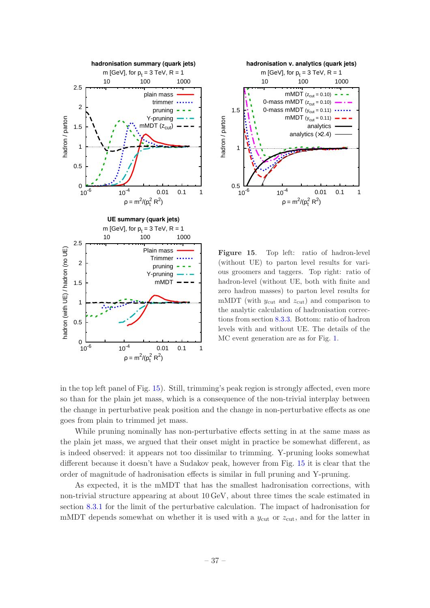



<span id="page-38-0"></span>Figure 15. Top left: ratio of hadron-level (without UE) to parton level results for various groomers and taggers. Top right: ratio of hadron-level (without UE, both with finite and zero hadron masses) to parton level results for mMDT (with  $y_{\text{cut}}$  and  $z_{\text{cut}}$ ) and comparison to the analytic calculation of hadronisation corrections from section [8.3.3.](#page-39-0) Bottom: ratio of hadron levels with and without UE. The details of the MC event generation are as for Fig. [1.](#page-4-0)

in the top left panel of Fig. [15\)](#page-38-0). Still, trimming's peak region is strongly affected, even more so than for the plain jet mass, which is a consequence of the non-trivial interplay between the change in perturbative peak position and the change in non-perturbative effects as one goes from plain to trimmed jet mass.

While pruning nominally has non-perturbative effects setting in at the same mass as the plain jet mass, we argued that their onset might in practice be somewhat different, as is indeed observed: it appears not too dissimilar to trimming. Y-pruning looks somewhat different because it doesn't have a Sudakov peak, however from Fig. [15](#page-38-0) it is clear that the order of magnitude of hadronisation effects is similar in full pruning and Y-pruning.

As expected, it is the mMDT that has the smallest hadronisation corrections, with non-trivial structure appearing at about 10 GeV, about three times the scale estimated in section [8.3.1](#page-35-1) for the limit of the perturbative calculation. The impact of hadronisation for mMDT depends somewhat on whether it is used with a  $y_{\text{cut}}$  or  $z_{\text{cut}}$ , and for the latter in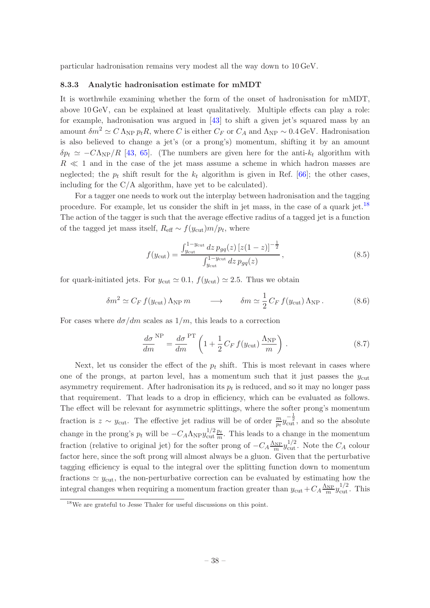<span id="page-39-0"></span>particular hadronisation remains very modest all the way down to 10 GeV.

#### 8.3.3 Analytic hadronisation estimate for mMDT

It is worthwhile examining whether the form of the onset of hadronisation for mMDT, above 10 GeV, can be explained at least qualitatively. Multiple effects can play a role: for example, hadronisation was argued in [\[43\]](#page-54-9) to shift a given jet's squared mass by an amount  $\delta m^2 \simeq C \Lambda_{\rm NP} p_t R$ , where C is either  $C_F$  or  $C_A$  and  $\Lambda_{\rm NP} \sim 0.4$  GeV. Hadronisation is also believed to change a jet's (or a prong's) momentum, shifting it by an amount  $\delta p_t \simeq -C\Lambda_{\rm NP}/R$  [\[43,](#page-54-9) [65](#page-55-4)]. (The numbers are given here for the anti- $k_t$  algorithm with  $R \ll 1$  and in the case of the jet mass assume a scheme in which hadron masses are neglected; the  $p_t$  shift result for the  $k_t$  algorithm is given in Ref. [\[66\]](#page-55-5); the other cases, including for the C/A algorithm, have yet to be calculated).

For a tagger one needs to work out the interplay between hadronisation and the tagging procedure. For example, let us consider the shift in jet mass, in the case of a quark jet.[18](#page-39-1) The action of the tagger is such that the average effective radius of a tagged jet is a function of the tagged jet mass itself,  $R_{\text{eff}} \sim f(y_{\text{cut}})m/p_t$ , where

$$
f(y_{\text{cut}}) = \frac{\int_{y_{\text{cut}}}^{1-y_{\text{cut}}} dz \, p_{gq}(z) \, [z(1-z)]^{-\frac{1}{2}}}{\int_{y_{\text{cut}}}^{1-y_{\text{cut}}} dz \, p_{gq}(z)},
$$
(8.5)

for quark-initiated jets. For  $y_{\text{cut}} \simeq 0.1$ ,  $f(y_{\text{cut}}) \simeq 2.5$ . Thus we obtain

$$
\delta m^2 \simeq C_F f(y_{\text{cut}}) \Lambda_{\text{NP}} m \qquad \longrightarrow \qquad \delta m \simeq \frac{1}{2} C_F f(y_{\text{cut}}) \Lambda_{\text{NP}} . \tag{8.6}
$$

For cases where  $d\sigma/dm$  scales as  $1/m$ , this leads to a correction

<span id="page-39-2"></span>
$$
\frac{d\sigma}{dm}^{\text{NP}} = \frac{d\sigma}{dm}^{\text{PT}} \left( 1 + \frac{1}{2} C_F f(y_{\text{cut}}) \frac{\Lambda_{\text{NP}}}{m} \right). \tag{8.7}
$$

Next, let us consider the effect of the  $p_t$  shift. This is most relevant in cases where one of the prongs, at parton level, has a momentum such that it just passes the  $y_{\text{cut}}$ asymmetry requirement. After hadronisation its  $p_t$  is reduced, and so it may no longer pass that requirement. That leads to a drop in efficiency, which can be evaluated as follows. The effect will be relevant for asymmetric splittings, where the softer prong's momentum fraction is  $z \sim y_{\text{cut}}$ . The effective jet radius will be of order  $\frac{m}{p_t} y_{\text{cut}}^{-\frac{1}{2}}$ , and so the absolute change in the prong's  $p_t$  will be  $-C_A \Lambda_{\rm NP} y_{\rm cut}^{1/2}$  $\frac{1}{2}\frac{p_t}{m}$ . This leads to a change in the momentum fraction (relative to original jet) for the softer prong of  $-C_A \frac{\Lambda_{\rm NP}}{m} y_{\rm cut}^{1/2}$ . Note the  $C_A$  colour factor here, since the soft prong will almost always be a gluon. Given that the perturbative tagging efficiency is equal to the integral over the splitting function down to momentum fractions  $\simeq y_{\text{cut}}$ , the non-perturbative correction can be evaluated by estimating how the integral changes when requiring a momentum fraction greater than  $y_{\text{cut}} + C_A \frac{\Lambda_{\text{NP}}}{m} y_{\text{cut}}^{1/2}$ . This

<span id="page-39-1"></span><sup>18</sup>We are grateful to Jesse Thaler for useful discussions on this point.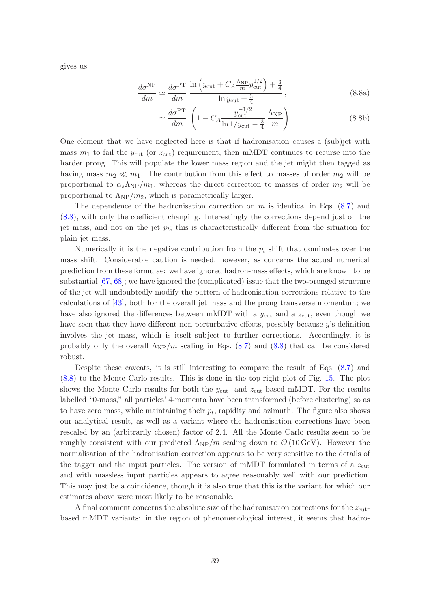<span id="page-40-0"></span>gives us

$$
\frac{d\sigma^{\rm NP}}{dm} \simeq \frac{d\sigma^{\rm PT}}{dm} \frac{\ln\left(y_{\rm cut} + C_A \frac{\Lambda_{\rm NP}}{m} y_{\rm cut}^{1/2}\right) + \frac{3}{4}}{\ln y_{\rm cut} + \frac{3}{4}},\tag{8.8a}
$$

$$
\simeq \frac{d\sigma^{\rm PT}}{dm} \left( 1 - C_A \frac{y_{\rm cut}^{-1/2}}{\ln 1/y_{\rm cut} - \frac{3}{4}} \frac{\Lambda_{\rm NP}}{m} \right). \tag{8.8b}
$$

One element that we have neglected here is that if hadronisation causes a (sub)jet with mass  $m_1$  to fail the  $y_{\text{cut}}$  (or  $z_{\text{cut}}$ ) requirement, then mMDT continues to recurse into the harder prong. This will populate the lower mass region and the jet might then tagged as having mass  $m_2 \ll m_1$ . The contribution from this effect to masses of order  $m_2$  will be proportional to  $\alpha_s \Lambda_{\rm NP}/m_1$ , whereas the direct correction to masses of order  $m_2$  will be proportional to  $\Lambda_{\rm NP}/m_2$ , which is parametrically larger.

The dependence of the hadronisation correction on  $m$  is identical in Eqs. [\(8.7\)](#page-39-2) and [\(8.8\)](#page-40-0), with only the coefficient changing. Interestingly the corrections depend just on the jet mass, and not on the jet  $p_t$ ; this is characteristically different from the situation for plain jet mass.

Numerically it is the negative contribution from the  $p_t$  shift that dominates over the mass shift. Considerable caution is needed, however, as concerns the actual numerical prediction from these formulae: we have ignored hadron-mass effects, which are known to be substantial [\[67,](#page-55-6) [68\]](#page-55-7); we have ignored the (complicated) issue that the two-pronged structure of the jet will undoubtedly modify the pattern of hadronisation corrections relative to the calculations of [\[43\]](#page-54-9), both for the overall jet mass and the prong transverse momentum; we have also ignored the differences between mMDT with a  $y_{\text{cut}}$  and a  $z_{\text{cut}}$ , even though we have seen that they have different non-perturbative effects, possibly because y's definition involves the jet mass, which is itself subject to further corrections. Accordingly, it is probably only the overall  $\Lambda_{\rm NP}/m$  scaling in Eqs. [\(8.7\)](#page-39-2) and [\(8.8\)](#page-40-0) that can be considered robust.

Despite these caveats, it is still interesting to compare the result of Eqs. [\(8.7\)](#page-39-2) and [\(8.8\)](#page-40-0) to the Monte Carlo results. This is done in the top-right plot of Fig. [15.](#page-38-0) The plot shows the Monte Carlo results for both the  $y_{\text{cut}}$ - and  $z_{\text{cut}}$ -based mMDT. For the results labelled "0-mass," all particles' 4-momenta have been transformed (before clustering) so as to have zero mass, while maintaining their  $p_t$ , rapidity and azimuth. The figure also shows our analytical result, as well as a variant where the hadronisation corrections have been rescaled by an (arbitrarily chosen) factor of 2.4. All the Monte Carlo results seem to be roughly consistent with our predicted  $\Lambda_{\rm NP}/m$  scaling down to  $\mathcal{O}(10 \,\text{GeV})$ . However the normalisation of the hadronisation correction appears to be very sensitive to the details of the tagger and the input particles. The version of mMDT formulated in terms of a  $z_{\text{cut}}$ and with massless input particles appears to agree reasonably well with our prediction. This may just be a coincidence, though it is also true that this is the variant for which our estimates above were most likely to be reasonable.

A final comment concerns the absolute size of the hadronisation corrections for the  $z_{\text{cut}}$ based mMDT variants: in the region of phenomenological interest, it seems that hadro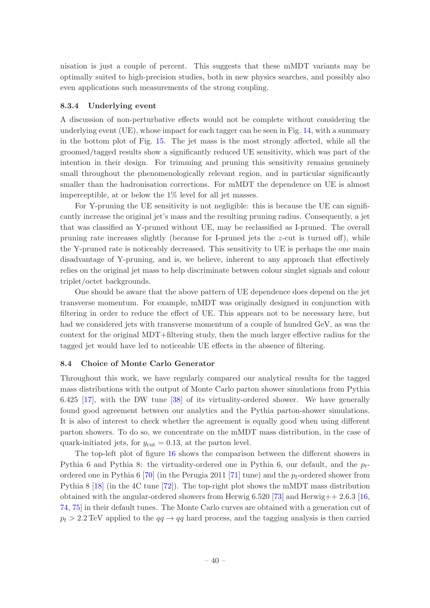nisation is just a couple of percent. This suggests that these mMDT variants may be optimally suited to high-precision studies, both in new physics searches, and possibly also even applications such measurements of the strong coupling.

## <span id="page-41-0"></span>8.3.4 Underlying event

A discussion of non-perturbative effects would not be complete without considering the underlying event (UE), whose impact for each tagger can be seen in Fig. [14,](#page-37-0) with a summary in the bottom plot of Fig. [15.](#page-38-0) The jet mass is the most strongly affected, while all the groomed/tagged results show a significantly reduced UE sensitivity, which was part of the intention in their design. For trimming and pruning this sensitivity remains genuinely small throughout the phenomenologically relevant region, and in particular significantly smaller than the hadronisation corrections. For mMDT the dependence on UE is almost imperceptible, at or below the 1% level for all jet masses.

For Y-pruning the UE sensitivity is not negligible: this is because the UE can significantly increase the original jet's mass and the resulting pruning radius. Consequently, a jet that was classified as Y-pruned without UE, may be reclassified as I-pruned. The overall pruning rate increases slightly (because for I-pruned jets the  $z$ -cut is turned off), while the Y-pruned rate is noticeably decreased. This sensitivity to UE is perhaps the one main disadvantage of Y-pruning, and is, we believe, inherent to any approach that effectively relies on the original jet mass to help discriminate between colour singlet signals and colour triplet/octet backgrounds.

One should be aware that the above pattern of UE dependence does depend on the jet transverse momentum. For example, mMDT was originally designed in conjunction with filtering in order to reduce the effect of UE. This appears not to be necessary here, but had we considered jets with transverse momentum of a couple of hundred GeV, as was the context for the original MDT+filtering study, then the much larger effective radius for the tagged jet would have led to noticeable UE effects in the absence of filtering.

## <span id="page-41-1"></span>8.4 Choice of Monte Carlo Generator

Throughout this work, we have regularly compared our analytical results for the tagged mass distributions with the output of Monte Carlo parton shower simulations from Pythia 6.425 [\[17](#page-53-5)], with the DW tune [\[38\]](#page-54-4) of its virtuality-ordered shower. We have generally found good agreement between our analytics and the Pythia parton-shower simulations. It is also of interest to check whether the agreement is equally good when using different parton showers. To do so, we concentrate on the mMDT mass distribution, in the case of quark-initiated jets, for  $y_{\text{cut}} = 0.13$ , at the parton level.

The top-left plot of figure [16](#page-42-0) shows the comparison between the different showers in Pythia 6 and Pythia 8: the virtuality-ordered one in Pythia 6, our default, and the  $p_t$ -ordered one in Pythia 6 [\[70](#page-55-8)] (in the Perugia 2011 [\[71\]](#page-55-9) tune) and the  $p_t$ -ordered shower from Pythia 8 [\[18](#page-53-6)] (in the 4C tune [\[72](#page-55-10)]). The top-right plot shows the mMDT mass distribution obtained with the angular-ordered showers from Herwig  $6.520$  [\[73](#page-55-11)] and Herwig++ 2.6.3 [\[16,](#page-53-4) [74](#page-55-12), [75](#page-55-13)] in their default tunes. The Monte Carlo curves are obtained with a generation cut of  $p_t > 2.2$  TeV applied to the  $qq \rightarrow qq$  hard process, and the tagging analysis is then carried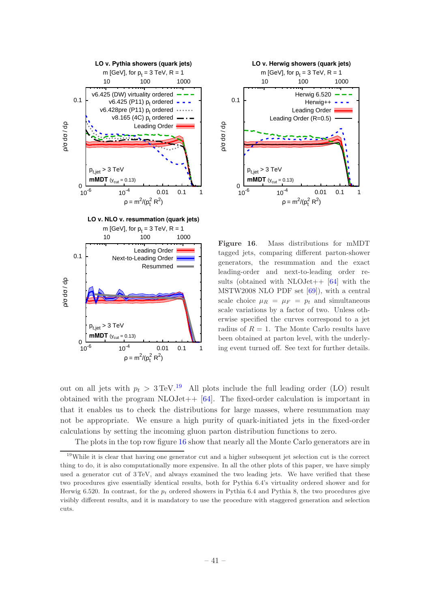



<span id="page-42-0"></span>Figure 16. Mass distributions for mMDT tagged jets, comparing different parton-shower generators, the resummation and the exact leading-order and next-to-leading order results (obtained with  $NLOJet++$  [\[64\]](#page-55-3) with the MSTW2008 NLO PDF set [\[69\]](#page-55-14)), with a central scale choice  $\mu_R = \mu_F = p_t$  and simultaneous scale variations by a factor of two. Unless otherwise specified the curves correspond to a jet radius of  $R = 1$ . The Monte Carlo results have been obtained at parton level, with the underlying event turned off. See text for further details.

out on all jets with  $p_t > 3 \text{TeV}^{19}$  $p_t > 3 \text{TeV}^{19}$  $p_t > 3 \text{TeV}^{19}$  All plots include the full leading order (LO) result obtained with the program  $NLOJet++$  [\[64](#page-55-3)]. The fixed-order calculation is important in that it enables us to check the distributions for large masses, where resummation may not be appropriate. We ensure a high purity of quark-initiated jets in the fixed-order calculations by setting the incoming gluon parton distribution functions to zero.

The plots in the top row figure [16](#page-42-0) show that nearly all the Monte Carlo generators are in

<span id="page-42-1"></span><sup>19</sup>While it is clear that having one generator cut and a higher subsequent jet selection cut is the correct thing to do, it is also computationally more expensive. In all the other plots of this paper, we have simply used a generator cut of 3 TeV, and always examined the two leading jets. We have verified that these two procedures give essentially identical results, both for Pythia 6.4's virtuality ordered shower and for Herwig 6.520. In contrast, for the  $p_t$  ordered showers in Pythia 6.4 and Pythia 8, the two procedures give visibly different results, and it is mandatory to use the procedure with staggered generation and selection cuts.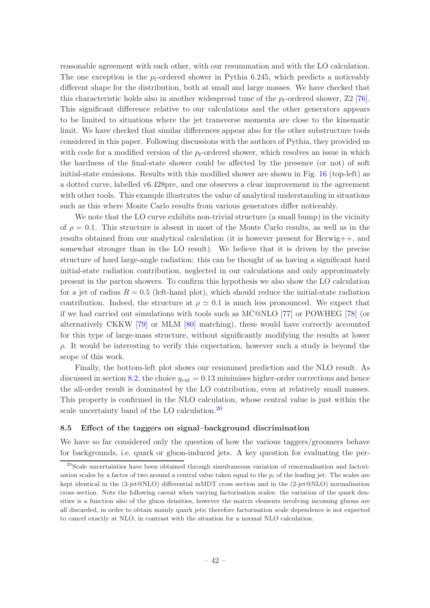reasonable agreement with each other, with our resummation and with the LO calculation. The one exception is the  $p_t$ -ordered shower in Pythia 6.245, which predicts a noticeably different shape for the distribution, both at small and large masses. We have checked that this characteristic holds also in another widespread tune of the  $p_t$ -ordered shower, Z2 [\[76\]](#page-55-15). This significant difference relative to our calculations and the other generators appears to be limited to situations where the jet transverse momenta are close to the kinematic limit. We have checked that similar differences appear also for the other substructure tools considered in this paper. Following discussions with the authors of Pythia, they provided us with code for a modified version of the  $p_t$ -ordered shower, which resolves an issue in which the hardness of the final-state shower could be affected by the presence (or not) of soft initial-state emissions. Results with this modified shower are shown in Fig. [16](#page-42-0) (top-left) as a dotted curve, labelled v6.428pre, and one observes a clear improvement in the agreement with other tools. This example illustrates the value of analytical understanding in situations such as this where Monte Carlo results from various generators differ noticeably.

We note that the LO curve exhibits non-trivial structure (a small bump) in the vicinity of  $\rho = 0.1$ . This structure is absent in most of the Monte Carlo results, as well as in the results obtained from our analytical calculation (it is however present for Herwig++, and somewhat stronger than in the LO result). We believe that it is driven by the precise structure of hard large-angle radiation: this can be thought of as having a significant hard initial-state radiation contribution, neglected in our calculations and only approximately present in the parton showers. To confirm this hypothesis we also show the LO calculation for a jet of radius  $R = 0.5$  (left-hand plot), which should reduce the initial-state radiation contribution. Indeed, the structure at  $\rho \simeq 0.1$  is much less pronounced. We expect that if we had carried out simulations with tools such as MC@NLO [\[77](#page-55-16)] or POWHEG [\[78](#page-55-17)] (or alternatively CKKW [\[79\]](#page-55-18) or MLM [\[80](#page-55-19)] matching), these would have correctly accounted for this type of large-mass structure, without significantly modifying the results at lower  $\rho$ . It would be interesting to verify this expectation, however such a study is beyond the scope of this work.

Finally, the bottom-left plot shows our resummed prediction and the NLO result. As discussed in section [8.2,](#page-34-0) the choice  $y_{\text{cut}} = 0.13$  minimises higher-order corrections and hence the all-order result is dominated by the LO contribution, even at relatively small masses. This property is confirmed in the NLO calculation, whose central value is just within the scale uncertainty band of the LO calculation.<sup>[20](#page-43-1)</sup>

#### <span id="page-43-0"></span>8.5 Effect of the taggers on signal–background discrimination

We have so far considered only the question of how the various taggers/groomers behave for backgrounds, i.e. quark or gluon-induced jets. A key question for evaluating the per-

<span id="page-43-1"></span> $20$ Scale uncertainties have been obtained through simultaneous variation of renormalisation and factorisation scales by a factor of two around a central value taken equal to the  $p_t$  of the leading jet. The scales are kept identical in the (3-jet@NLO) differential mMDT cross section and in the (2-jet@NLO) normalisation cross section. Note the following caveat when varying factorisation scales: the variation of the quark densities is a function also of the gluon densities, however the matrix elements involving incoming gluons are all discarded, in order to obtain mainly quark jets; therefore factorisation scale dependence is not expected to cancel exactly at NLO, in contrast with the situation for a normal NLO calculation.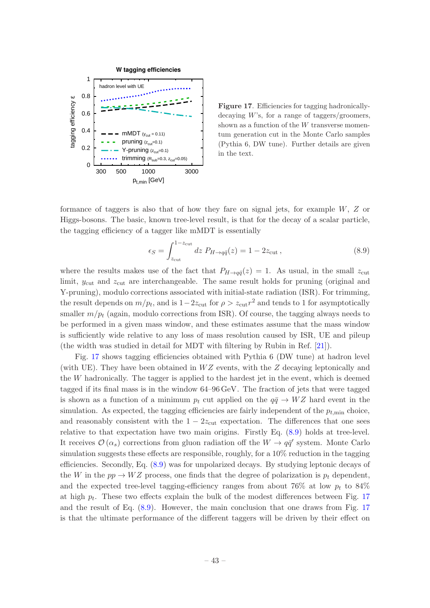

<span id="page-44-0"></span>Figure 17. Efficiencies for tagging hadronicallydecaying  $W$ 's, for a range of taggers/groomers, shown as a function of the W transverse momentum generation cut in the Monte Carlo samples (Pythia 6, DW tune). Further details are given in the text.

formance of taggers is also that of how they fare on signal jets, for example  $W, Z$  or Higgs-bosons. The basic, known tree-level result, is that for the decay of a scalar particle, the tagging efficiency of a tagger like mMDT is essentially

<span id="page-44-1"></span>
$$
\epsilon_S = \int_{z_{\text{cut}}}^{1-z_{\text{cut}}} dz P_{H \to q\bar{q}}(z) = 1 - 2z_{\text{cut}} , \qquad (8.9)
$$

where the results makes use of the fact that  $P_{H\rightarrow q\bar{q}}(z) = 1$ . As usual, in the small  $z_{\text{cut}}$ limit,  $y_{\text{cut}}$  and  $z_{\text{cut}}$  are interchangeable. The same result holds for pruning (original and Y-pruning), modulo corrections associated with initial-state radiation (ISR). For trimming, the result depends on  $m/p_t$ , and is  $1-2z_{\text{cut}}$  for  $\rho > z_{\text{cut}} r^2$  and tends to 1 for asymptotically smaller  $m/p_t$  (again, modulo corrections from ISR). Of course, the tagging always needs to be performed in a given mass window, and these estimates assume that the mass window is sufficiently wide relative to any loss of mass resolution caused by ISR, UE and pileup (the width was studied in detail for MDT with filtering by Rubin in Ref. [\[21](#page-53-9)]).

Fig. [17](#page-44-0) shows tagging efficiencies obtained with Pythia 6 (DW tune) at hadron level (with UE). They have been obtained in  $WZ$  events, with the Z decaying leptonically and the  $W$  hadronically. The tagger is applied to the hardest jet in the event, which is deemed tagged if its final mass is in the window 64–96 GeV. The fraction of jets that were tagged is shown as a function of a minimum  $p_t$  cut applied on the  $q\bar{q} \rightarrow WZ$  hard event in the simulation. As expected, the tagging efficiencies are fairly independent of the  $p_{t,\text{min}}$  choice, and reasonably consistent with the  $1 - 2z_{\text{cut}}$  expectation. The differences that one sees relative to that expectation have two main origins. Firstly Eq. [\(8.9\)](#page-44-1) holds at tree-level. It receives  $\mathcal{O}(\alpha_s)$  corrections from gluon radiation off the  $W \to q\bar{q}'$  system. Monte Carlo simulation suggests these effects are responsible, roughly, for a 10% reduction in the tagging efficiencies. Secondly, Eq. [\(8.9\)](#page-44-1) was for unpolarized decays. By studying leptonic decays of the W in the  $pp \rightarrow WZ$  process, one finds that the degree of polarization is  $p_t$  dependent, and the expected tree-level tagging-efficiency ranges from about 76% at low  $p_t$  to 84% at high  $p_t$ . These two effects explain the bulk of the modest differences between Fig. [17](#page-44-0) and the result of Eq. [\(8.9\)](#page-44-1). However, the main conclusion that one draws from Fig. [17](#page-44-0) is that the ultimate performance of the different taggers will be driven by their effect on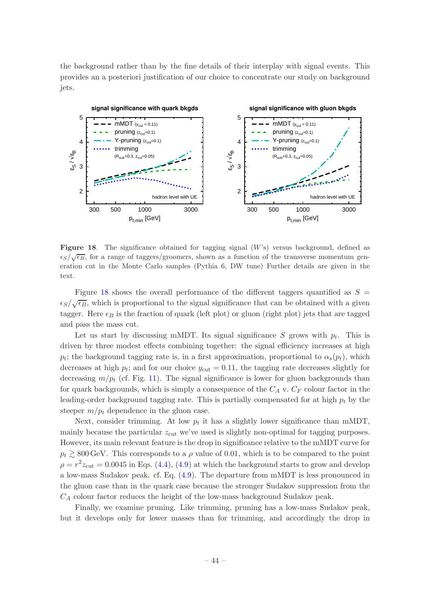the background rather than by the fine details of their interplay with signal events. This provides an a posteriori justification of our choice to concentrate our study on background jets.



<span id="page-45-0"></span>**Figure 18.** The significance obtained for tagging signal  $(W)$ s) versus background, defined as  $\epsilon_S/\sqrt{\epsilon_B}$ , for a range of taggers/groomers, shown as a function of the transverse momentum generation cut in the Monte Carlo samples (Pythia 6, DW tune) Further details are given in the text.

Figure [18](#page-45-0) shows the overall performance of the different taggers quantified as  $S =$  $\epsilon_S/\sqrt{\epsilon_B}$ , which is proportional to the signal significance that can be obtained with a given tagger. Here  $\epsilon_B$  is the fraction of quark (left plot) or gluon (right plot) jets that are tagged and pass the mass cut.

Let us start by discussing mMDT. Its signal significance S grows with  $p_t$ . This is driven by three modest effects combining together: the signal efficiency increases at high  $p_t$ ; the background tagging rate is, in a first approximation, proportional to  $\alpha_s(p_t)$ , which decreases at high  $p_t$ ; and for our choice  $y_{\text{cut}} = 0.11$ , the tagging rate decreases slightly for decreasing  $m/p_t$  (cf. Fig. [11\)](#page-31-1). The signal significance is lower for gluon backgrounds than for quark backgrounds, which is simply a consequence of the  $C_A$  v.  $C_F$  colour factor in the leading-order background tagging rate. This is partially compensated for at high  $p_t$  by the steeper  $m/p_t$  dependence in the gluon case.

Next, consider trimming. At low  $p_t$  it has a slightly lower significance than mMDT, mainly because the particular  $z_{\text{cut}}$  we've used is slightly non-optimal for tagging purposes. However, its main relevant feature is the drop in significance relative to the mMDT curve for  $p_t \gtrsim 800 \,\text{GeV}$ . This corresponds to a  $\rho$  value of 0.01, which is to be compared to the point  $\rho = r^2 z_{\text{cut}} = 0.0045$  in Eqs. [\(4.4\)](#page-9-1), [\(4.9\)](#page-12-2) at which the background starts to grow and develop a low-mass Sudakov peak. cf. Eq. [\(4.9\)](#page-12-2). The departure from mMDT is less pronounced in the gluon case than in the quark case because the stronger Sudakov suppression from the  $C_A$  colour factor reduces the height of the low-mass background Sudakov peak.

Finally, we examine pruning. Like trimming, pruning has a low-mass Sudakov peak, but it develops only for lower masses than for trimming, and accordingly the drop in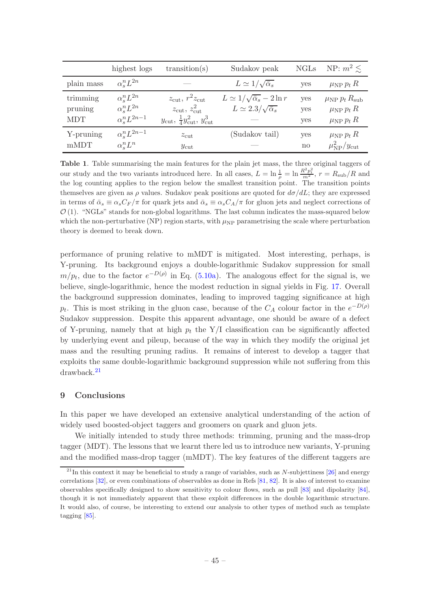|                                   | highest logs                                                                 | transition(s)                                                                                                                      | Sudakov peak                                                                         | <b>NGLs</b>       | NP: $m^2 \leq$                                                                 |
|-----------------------------------|------------------------------------------------------------------------------|------------------------------------------------------------------------------------------------------------------------------------|--------------------------------------------------------------------------------------|-------------------|--------------------------------------------------------------------------------|
| plain mass                        | $\alpha^n_{\circ}L^{2n}$                                                     |                                                                                                                                    | $L \simeq 1/\sqrt{\bar{\alpha}_s}$                                                   | yes               | $\mu_{\rm NP} p_t R$                                                           |
| trimming<br>pruning<br><b>MDT</b> | $\alpha_{s}^{n}L^{2n}$<br>$\alpha_s^n L^{2n}$<br>$\alpha_{\circ}^n L^{2n-1}$ | $z_{\rm cut}, r^2 z_{\rm cut}$<br>$z_{\rm cut}, z_{\rm cut}^2$<br>$y_{\text{cut}}, \frac{1}{4} y_{\text{cut}}^2, y_{\text{cut}}^3$ | $L \simeq 1/\sqrt{\bar{\alpha}_s} - 2 \ln r$<br>$L \simeq 2.3/\sqrt{\bar{\alpha}_s}$ | yes<br>yes<br>yes | $\mu_{\rm NP} p_t R_{\rm sub}$<br>$\mu_{\rm NP} p_t R$<br>$\mu_{\rm NP} p_t R$ |
| Y-pruning<br>mMDT                 | $\alpha_s^n L^{2n-1}$<br>$\alpha^n_{\circ}L^n$                               | $z_{\rm cut}$<br>$y_{\text{cut}}$                                                                                                  | (Sudakov tail)                                                                       | yes<br>no         | $\mu_{\rm NP} p_t R$<br>$\mu_{\rm NP}^2/y_{\rm cut}$                           |

<span id="page-46-2"></span>Table 1. Table summarising the main features for the plain jet mass, the three original taggers of our study and the two variants introduced here. In all cases,  $L = \ln \frac{1}{\rho} = \ln \frac{R^2 p_t^2}{m^2}$ ,  $r = R_{\text{sub}}/R$  and the log counting applies to the region below the smallest transition point. The transition points themselves are given as  $\rho$  values. Sudakov peak positions are quoted for  $d\sigma/dL$ ; they are expressed in terms of  $\bar{\alpha}_s \equiv \alpha_s C_F/\pi$  for quark jets and  $\bar{\alpha}_s \equiv \alpha_s C_A/\pi$  for gluon jets and neglect corrections of  $\mathcal{O}(1)$ . "NGLs" stands for non-global logarithms. The last column indicates the mass-squared below which the non-perturbative (NP) region starts, with  $\mu_{NP}$  parametrising the scale where perturbation theory is deemed to break down.

performance of pruning relative to mMDT is mitigated. Most interesting, perhaps, is Y-pruning. Its background enjoys a double-logarithmic Sudakov suppression for small  $m/p_t$ , due to the factor  $e^{-D(\rho)}$  in Eq. [\(5.10a\)](#page-19-3). The analogous effect for the signal is, we believe, single-logarithmic, hence the modest reduction in signal yields in Fig. [17.](#page-44-0) Overall the background suppression dominates, leading to improved tagging significance at high  $p_t$ . This is most striking in the gluon case, because of the  $C_A$  colour factor in the  $e^{-D(\rho)}$ Sudakov suppression. Despite this apparent advantage, one should be aware of a defect of Y-pruning, namely that at high  $p_t$  the Y/I classification can be significantly affected by underlying event and pileup, because of the way in which they modify the original jet mass and the resulting pruning radius. It remains of interest to develop a tagger that exploits the same double-logarithmic background suppression while not suffering from this drawback.[21](#page-46-1)

## <span id="page-46-0"></span>9 Conclusions

In this paper we have developed an extensive analytical understanding of the action of widely used boosted-object taggers and groomers on quark and gluon jets.

We initially intended to study three methods: trimming, pruning and the mass-drop tagger (MDT). The lessons that we learnt there led us to introduce new variants, Y-pruning and the modified mass-drop tagger (mMDT). The key features of the different taggers are

<span id="page-46-1"></span> $^{21}$ In this context it may be beneficial to study a range of variables, such as N-subjettiness [\[26](#page-53-14)] and energy correlations [\[32](#page-53-18)], or even combinations of observables as done in Refs [\[81](#page-55-20), [82](#page-55-21)]. It is also of interest to examine observables specifically designed to show sensitivity to colour flows, such as pull [\[83](#page-55-22)] and dipolarity [\[84\]](#page-55-23), though it is not immediately apparent that these exploit differences in the double logarithmic structure. It would also, of course, be interesting to extend our analysis to other types of method such as template tagging [\[85\]](#page-55-24).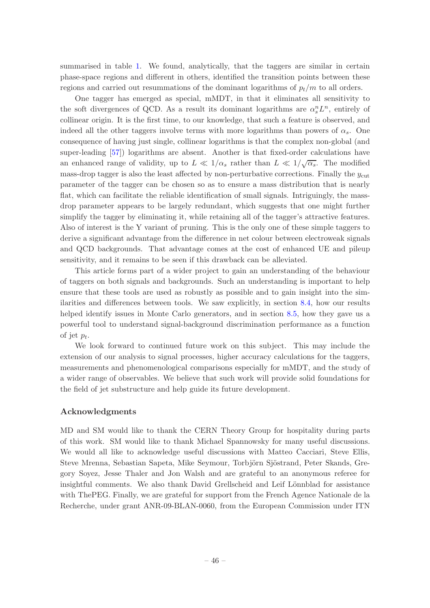summarised in table [1.](#page-46-2) We found, analytically, that the taggers are similar in certain phase-space regions and different in others, identified the transition points between these regions and carried out resummations of the dominant logarithms of  $p_t/m$  to all orders.

One tagger has emerged as special, mMDT, in that it eliminates all sensitivity to the soft divergences of QCD. As a result its dominant logarithms are  $\alpha_s^n L^n$ , entirely of collinear origin. It is the first time, to our knowledge, that such a feature is observed, and indeed all the other taggers involve terms with more logarithms than powers of  $\alpha_s$ . One consequence of having just single, collinear logarithms is that the complex non-global (and super-leading [\[57](#page-54-24)]) logarithms are absent. Another is that fixed-order calculations have an enhanced range of validity, up to  $L \ll 1/\alpha_s$  rather than  $L \ll 1/\sqrt{\alpha_s}$ . The modified mass-drop tagger is also the least affected by non-perturbative corrections. Finally the  $y_{\text{cut}}$ parameter of the tagger can be chosen so as to ensure a mass distribution that is nearly flat, which can facilitate the reliable identification of small signals. Intriguingly, the massdrop parameter appears to be largely redundant, which suggests that one might further simplify the tagger by eliminating it, while retaining all of the tagger's attractive features. Also of interest is the Y variant of pruning. This is the only one of these simple taggers to derive a significant advantage from the difference in net colour between electroweak signals and QCD backgrounds. That advantage comes at the cost of enhanced UE and pileup sensitivity, and it remains to be seen if this drawback can be alleviated.

This article forms part of a wider project to gain an understanding of the behaviour of taggers on both signals and backgrounds. Such an understanding is important to help ensure that these tools are used as robustly as possible and to gain insight into the similarities and differences between tools. We saw explicitly, in section [8.4,](#page-41-1) how our results helped identify issues in Monte Carlo generators, and in section [8.5,](#page-43-0) how they gave us a powerful tool to understand signal-background discrimination performance as a function of jet  $p_t$ .

We look forward to continued future work on this subject. This may include the extension of our analysis to signal processes, higher accuracy calculations for the taggers, measurements and phenomenological comparisons especially for mMDT, and the study of a wider range of observables. We believe that such work will provide solid foundations for the field of jet substructure and help guide its future development.

## Acknowledgments

MD and SM would like to thank the CERN Theory Group for hospitality during parts of this work. SM would like to thank Michael Spannowsky for many useful discussions. We would all like to acknowledge useful discussions with Matteo Cacciari, Steve Ellis, Steve Mrenna, Sebastian Sapeta, Mike Seymour, Torbjörn Sjöstrand, Peter Skands, Gregory Soyez, Jesse Thaler and Jon Walsh and are grateful to an anonymous referee for insightful comments. We also thank David Grellscheid and Leif Lönnblad for assistance with ThePEG. Finally, we are grateful for support from the French Agence Nationale de la Recherche, under grant ANR-09-BLAN-0060, from the European Commission under ITN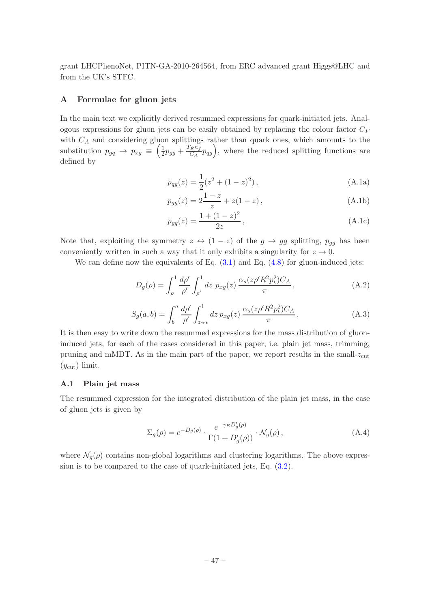grant LHCPhenoNet, PITN-GA-2010-264564, from ERC advanced grant Higgs@LHC and from the UK's STFC.

## <span id="page-48-0"></span>A Formulae for gluon jets

In the main text we explicitly derived resummed expressions for quark-initiated jets. Analogous expressions for gluon jets can be easily obtained by replacing the colour factor  $C_F$ with  $C_A$  and considering gluon splittings rather than quark ones, which amounts to the substitution  $p_{gq} \rightarrow p_{xg} \equiv \left(\frac{1}{2}\right)$  $rac{1}{2}p_{gg} + \frac{T_R n_f}{C_A}$  $\frac{F_R n_f}{C_A} p_{qg}$ , where the reduced splitting functions are defined by

$$
p_{qg}(z) = \frac{1}{2}(z^2 + (1 - z)^2),
$$
\n(A.1a)

$$
p_{gg}(z) = 2\frac{1-z}{z} + z(1-z),
$$
\n(A.1b)

$$
p_{gq}(z) = \frac{1 + (1 - z)^2}{2z},
$$
\n(A.1c)

Note that, exploiting the symmetry  $z \leftrightarrow (1-z)$  of the  $g \rightarrow gg$  splitting,  $p_{gg}$  has been conveniently written in such a way that it only exhibits a singularity for  $z \to 0$ .

We can define now the equivalents of Eq.  $(3.1)$  and Eq.  $(4.8)$  for gluon-induced jets:

$$
D_g(\rho) = \int_{\rho}^1 \frac{d\rho'}{\rho'} \int_{\rho'}^1 dz \ p_{xg}(z) \frac{\alpha_s(z\rho' R^2 p_t^2) C_A}{\pi}, \tag{A.2}
$$

$$
S_g(a,b) = \int_b^a \frac{d\rho'}{\rho'} \int_{z_{\text{cut}}}^1 dz \, p_{xg}(z) \, \frac{\alpha_s(z\rho' R^2 p_t^2) C_A}{\pi}, \tag{A.3}
$$

It is then easy to write down the resummed expressions for the mass distribution of gluoninduced jets, for each of the cases considered in this paper, i.e. plain jet mass, trimming, pruning and mMDT. As in the main part of the paper, we report results in the small- $z_{\text{cut}}$  $(y_{\text{cut}})$  limit.

## <span id="page-48-1"></span>A.1 Plain jet mass

The resummed expression for the integrated distribution of the plain jet mass, in the case of gluon jets is given by

$$
\Sigma_g(\rho) = e^{-D_g(\rho)} \cdot \frac{e^{-\gamma_E D'_g(\rho)}}{\Gamma(1 + D'_g(\rho))} \cdot \mathcal{N}_g(\rho) ,\qquad (A.4)
$$

where  $\mathcal{N}_q(\rho)$  contains non-global logarithms and clustering logarithms. The above expression is to be compared to the case of quark-initiated jets, Eq. [\(3.2\)](#page-7-4).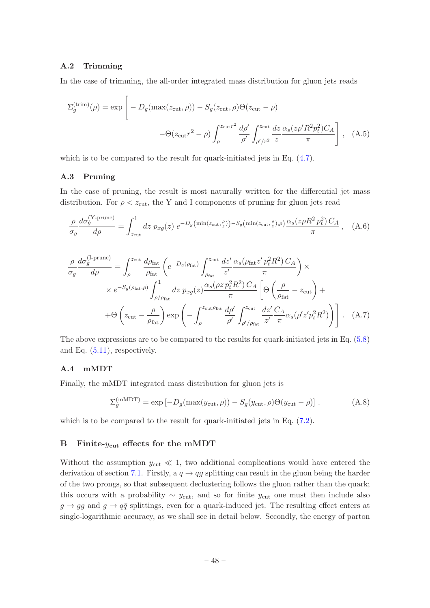## <span id="page-49-0"></span>A.2 Trimming

In the case of trimming, the all-order integrated mass distribution for gluon jets reads

$$
\Sigma_g^{\text{(trim)}}(\rho) = \exp\left[ -D_g(\max(z_{\text{cut}}, \rho)) - S_g(z_{\text{cut}}, \rho)\Theta(z_{\text{cut}} - \rho) -\Theta(z_{\text{cut}}r^2 - \rho) \int_{\rho}^{z_{\text{cut}}r^2} \frac{d\rho'}{\rho'} \int_{\rho'/r^2}^{z_{\text{cut}}} \frac{dz}{z} \frac{\alpha_s(z\rho'R^2p_t^2)C_A}{\pi} \right], \quad (A.5)
$$

<span id="page-49-1"></span>which is to be compared to the result for quark-initiated jets in Eq.  $(4.7)$ .

## A.3 Pruning

In the case of pruning, the result is most naturally written for the differential jet mass distribution. For  $\rho < z<sub>cut</sub>$ , the Y and I components of pruning for gluon jets read

$$
\frac{\rho}{\sigma_g} \frac{d\sigma_g^{(Y-\text{prune})}}{d\rho} = \int_{z_{\text{cut}}}^1 dz \ p_{xg}(z) \ e^{-D_g\left(\min(z_{\text{cut}}, \frac{\rho}{z})\right) - S_g\left(\min(z_{\text{cut}}, \frac{\rho}{z}), \rho\right)} \frac{\alpha_s(z\rho R^2 p_t^2) C_A}{\pi}, \quad (A.6)
$$

$$
\frac{\rho}{\sigma_g} \frac{d\sigma_g^{(\text{I-prune})}}{d\rho} = \int_{\rho}^{z_{\text{cut}}} \frac{d\rho_{\text{fat}}}{\rho_{\text{fat}}} \left( e^{-D_g(\rho_{\text{fat}})} \int_{\rho_{\text{flat}}}^{z_{\text{cut}}} \frac{dz'}{z'} \frac{\alpha_s(\rho_{\text{fat}} z' p_t^2 R^2) C_A}{\pi} \right) \times
$$
  
×  $e^{-S_g(\rho_{\text{fat}}, \rho)} \int_{\rho/\rho_{\text{fat}}}^1 dz p_{xg}(z) \frac{\alpha_s(\rho z p_t^2 R^2) C_A}{\pi} \left[ \Theta \left( \frac{\rho}{\rho_{\text{fat}}} - z_{\text{cut}} \right) +$   
+  $\Theta \left( z_{\text{cut}} - \frac{\rho}{\rho_{\text{fat}}} \right) \exp \left( - \int_{\rho}^{z_{\text{cut}} \rho_{\text{fat}}} \frac{d\rho'}{\rho'} \int_{\rho'/\rho_{\text{fat}}}^{z_{\text{cut}}} \frac{dz'}{z'} \frac{C_A}{\pi} \alpha_s(\rho' z' p_t^2 R^2) \right) \right].$  (A.7)

The above expressions are to be compared to the results for quark-initiated jets in Eq. [\(5.8\)](#page-18-1) and Eq. [\(5.11\)](#page-19-2), respectively.

## <span id="page-49-2"></span>A.4 mMDT

Finally, the mMDT integrated mass distribution for gluon jets is

$$
\Sigma_g^{\text{(mMDT)}} = \exp\left[-D_g(\max(y_{\text{cut}}, \rho)) - S_g(y_{\text{cut}}, \rho)\Theta(y_{\text{cut}} - \rho)\right].
$$
 (A.8)

which is to be compared to the result for quark-initiated jets in Eq.  $(7.2)$ .

#### <span id="page-49-3"></span>B Finite- $y_{\text{cut}}$  effects for the mMDT

Without the assumption  $y_{\text{cut}} \ll 1$ , two additional complications would have entered the derivation of section [7.1.](#page-27-0) Firstly, a  $q \rightarrow qg$  splitting can result in the gluon being the harder of the two prongs, so that subsequent declustering follows the gluon rather than the quark; this occurs with a probability  $\sim y_{\text{cut}}$ , and so for finite  $y_{\text{cut}}$  one must then include also  $g \to gg$  and  $g \to q\bar{q}$  splittings, even for a quark-induced jet. The resulting effect enters at single-logarithmic accuracy, as we shall see in detail below. Secondly, the energy of parton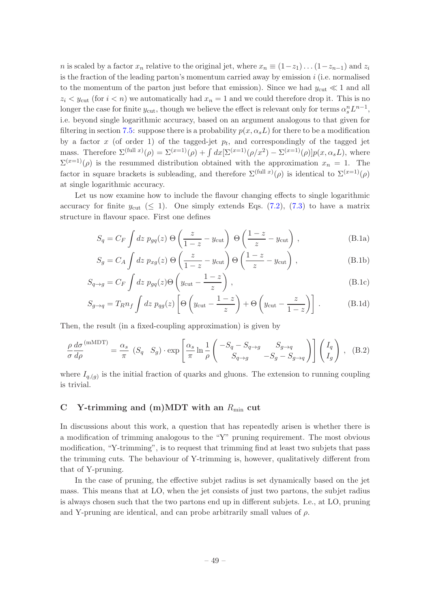n is scaled by a factor  $x_n$  relative to the original jet, where  $x_n \equiv (1-z_1)...(1-z_{n-1})$  and  $z_i$ is the fraction of the leading parton's momentum carried away by emission  $i$  (i.e. normalised to the momentum of the parton just before that emission). Since we had  $y_{\text{cut}} \ll 1$  and all  $z_i < y_{\text{cut}}$  (for  $i < n$ ) we automatically had  $x_n = 1$  and we could therefore drop it. This is no longer the case for finite  $y_{\text{cut}}$ , though we believe the effect is relevant only for terms  $\alpha_s^n L^{n-1}$ , i.e. beyond single logarithmic accuracy, based on an argument analogous to that given for filtering in section [7.5:](#page-31-0) suppose there is a probability  $p(x, \alpha_s L)$  for there to be a modification by a factor x (of order 1) of the tagged-jet  $p_t$ , and correspondingly of the tagged jet mass. Therefore  $\Sigma^{(\text{full } x)}(\rho) = \Sigma^{(x=1)}(\rho) + \int dx [\Sigma^{(x=1)}(\rho/x^2) - \Sigma^{(x=1)}(\rho)] p(x, \alpha_s L)$ , where  $\Sigma^{(x=1)}(\rho)$  is the resummed distribution obtained with the approximation  $x_n = 1$ . The factor in square brackets is subleading, and therefore  $\Sigma^{(\text{full } x)}(\rho)$  is identical to  $\Sigma^{(x=1)}(\rho)$ at single logarithmic accuracy.

Let us now examine how to include the flavour changing effects to single logarithmic accuracy for finite  $y_{\text{cut}} \leq 1$ . One simply extends Eqs. [\(7.2\)](#page-28-1), [\(7.3\)](#page-28-2) to have a matrix structure in flavour space. First one defines

$$
S_q = C_F \int dz \ p_{gq}(z) \ \Theta \left( \frac{z}{1-z} - y_{\text{cut}} \right) \ \Theta \left( \frac{1-z}{z} - y_{\text{cut}} \right) \,, \tag{B.1a}
$$

$$
S_g = C_A \int dz \ p_{xg}(z) \Theta \left( \frac{z}{1-z} - y_{\text{cut}} \right) \Theta \left( \frac{1-z}{z} - y_{\text{cut}} \right), \tag{B.1b}
$$

$$
S_{q \to g} = C_F \int dz \ p_{gq}(z) \Theta \left( y_{\text{cut}} - \frac{1-z}{z} \right) , \qquad (B.1c)
$$

$$
S_{g \to q} = T_R n_f \int dz \ p_{qg}(z) \left[ \Theta \left( y_{\text{cut}} - \frac{1-z}{z} \right) + \Theta \left( y_{\text{cut}} - \frac{z}{1-z} \right) \right]. \tag{B.1d}
$$

Then, the result (in a fixed-coupling approximation) is given by

$$
\frac{\rho}{\sigma} \frac{d\sigma}{d\rho}^{(\text{mMDT})} = \frac{\alpha_s}{\pi} \left( S_q \quad S_g \right) \cdot \exp\left[ \frac{\alpha_s}{\pi} \ln \frac{1}{\rho} \left( \frac{-S_q - S_{q \to g}}{S_{q \to g}} \frac{S_{g \to q}}{-S_g - S_{g \to q}} \right) \right] \begin{pmatrix} I_q \\ I_g \end{pmatrix}, \quad \text{(B.2)}
$$

where  $I_{q,(g)}$  is the initial fraction of quarks and gluons. The extension to running coupling is trivial.

## <span id="page-50-0"></span>C Y-trimming and (m)MDT with an  $R_{\text{min}}$  cut

In discussions about this work, a question that has repeatedly arisen is whether there is a modification of trimming analogous to the "Y" pruning requirement. The most obvious modification, "Y-trimming", is to request that trimming find at least two subjets that pass the trimming cuts. The behaviour of Y-trimming is, however, qualitatively different from that of Y-pruning.

In the case of pruning, the effective subjet radius is set dynamically based on the jet mass. This means that at LO, when the jet consists of just two partons, the subjet radius is always chosen such that the two partons end up in different subjets. I.e., at LO, pruning and Y-pruning are identical, and can probe arbitrarily small values of  $\rho$ .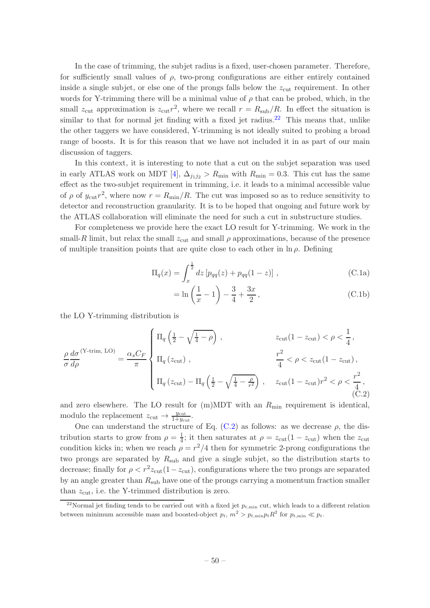In the case of trimming, the subjet radius is a fixed, user-chosen parameter. Therefore, for sufficiently small values of  $\rho$ , two-prong configurations are either entirely contained inside a single subjet, or else one of the prongs falls below the  $z_{\text{cut}}$  requirement. In other words for Y-trimming there will be a minimal value of  $\rho$  that can be probed, which, in the small  $z_{\text{cut}}$  approximation is  $z_{\text{cut}}r^2$ , where we recall  $r = R_{\text{sub}}/R$ . In effect the situation is similar to that for normal jet finding with a fixed jet radius.<sup>[22](#page-51-0)</sup> This means that, unlike the other taggers we have considered, Y-trimming is not ideally suited to probing a broad range of boosts. It is for this reason that we have not included it in as part of our main discussion of taggers.

In this context, it is interesting to note that a cut on the subjet separation was used in early ATLAS work on MDT [\[4](#page-52-2)],  $\Delta_{j_1j_2} > R_{\text{min}}$  with  $R_{\text{min}} = 0.3$ . This cut has the same effect as the two-subjet requirement in trimming, i.e. it leads to a minimal accessible value of  $\rho$  of  $y_{\text{cut}}r^2$ , where now  $r = R_{\text{min}}/R$ . The cut was imposed so as to reduce sensitivity to detector and reconstruction granularity. It is to be hoped that ongoing and future work by the ATLAS collaboration will eliminate the need for such a cut in substructure studies.

For completeness we provide here the exact LO result for Y-trimming. We work in the small-R limit, but relax the small  $z_{\text{cut}}$  and small  $\rho$  approximations, because of the presence of multiple transition points that are quite close to each other in  $\ln \rho$ . Defining

$$
\Pi_q(x) = \int_x^{\frac{1}{2}} dz \left[ p_{qq}(z) + p_{qq}(1-z) \right],
$$
\n(C.1a)

$$
= \ln\left(\frac{1}{x} - 1\right) - \frac{3}{4} + \frac{3x}{2},
$$
\n(C.1b)

the LO Y-trimming distribution is

<span id="page-51-1"></span>
$$
\frac{\rho}{\sigma} \frac{d\sigma}{d\rho}^{(\text{Y-trim, LO})} = \frac{\alpha_s C_F}{\pi} \begin{cases} \n\Pi_q \left( \frac{1}{2} - \sqrt{\frac{1}{4} - \rho} \right), & z_{\text{cut}} (1 - z_{\text{cut}}) < \rho < \frac{1}{4}, \\ \n\Pi_q \left( z_{\text{cut}} \right), & \frac{r^2}{4} < \rho < z_{\text{cut}} (1 - z_{\text{cut}}), \\ \n\Pi_q \left( z_{\text{cut}} \right) - \Pi_q \left( \frac{1}{2} - \sqrt{\frac{1}{4} - \frac{\rho}{r^2}} \right), & z_{\text{cut}} (1 - z_{\text{cut}}) r^2 < \rho < \frac{r^2}{4}, \\ \n\tag{C.2}
$$

and zero elsewhere. The LO result for  $(m)MDT$  with an  $R_{min}$  requirement is identical, modulo the replacement  $z_{\text{cut}} \rightarrow \frac{y_{\text{cut}}}{1+y_{\text{cut}}}$ .

One can understand the structure of Eq.  $(C.2)$  as follows: as we decrease  $\rho$ , the distribution starts to grow from  $\rho = \frac{1}{4}$  $\frac{1}{4}$ ; it then saturates at  $\rho = z_{\text{cut}}(1 - z_{\text{cut}})$  when the  $z_{\text{cut}}$ condition kicks in; when we reach  $\rho = r^2/4$  then for symmetric 2-prong configurations the two prongs are separated by  $R_{sub}$  and give a single subjet, so the distribution starts to decrease; finally for  $\rho < r^2 z_{\text{cut}}(1 - z_{\text{cut}})$ , configurations where the two prongs are separated by an angle greater than  $R_{sub}$  have one of the prongs carrying a momentum fraction smaller than  $z_{\text{cut}}$ , i.e. the Y-trimmed distribution is zero.

<span id="page-51-0"></span><sup>&</sup>lt;sup>22</sup>Normal jet finding tends to be carried out with a fixed jet  $p_{t,min}$  cut, which leads to a different relation between minimum accessible mass and boosted-object  $p_t$ ,  $m^2 > p_{t,\min} p_t R^2$  for  $p_{t,\min} \ll p_t$ .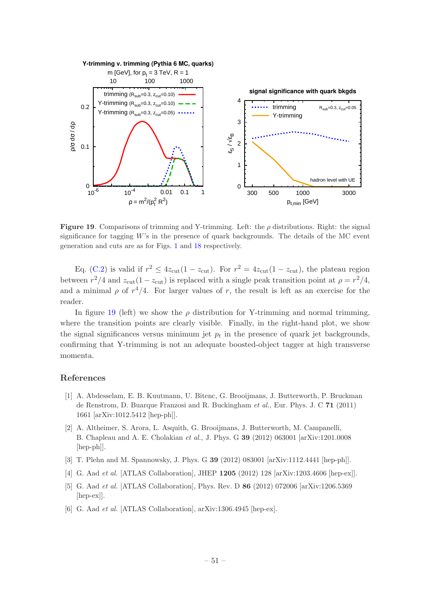

<span id="page-52-5"></span>**Figure 19.** Comparisons of trimming and Y-trimming. Left: the  $\rho$  distributions. Right: the signal significance for tagging  $W$ 's in the presence of quark backgrounds. The details of the MC event generation and cuts are as for Figs. [1](#page-4-0) and [18](#page-45-0) respectively.

Eq. [\(C.2\)](#page-51-1) is valid if  $r^2 \leq 4z_{\text{cut}}(1-z_{\text{cut}})$ . For  $r^2 = 4z_{\text{cut}}(1-z_{\text{cut}})$ , the plateau region between  $r^2/4$  and  $z_{\text{cut}}(1-z_{\text{cut}})$  is replaced with a single peak transition point at  $\rho = r^2/4$ , and a minimal  $\rho$  of  $r^4/4$ . For larger values of r, the result is left as an exercise for the reader.

In figure [19](#page-52-5) (left) we show the  $\rho$  distribution for Y-trimming and normal trimming, where the transition points are clearly visible. Finally, in the right-hand plot, we show the signal significances versus minimum jet  $p_t$  in the presence of quark jet backgrounds, confirming that Y-trimming is not an adequate boosted-object tagger at high transverse momenta.

## References

- <span id="page-52-0"></span>[1] A. Abdesselam, E. B. Kuutmann, U. Bitenc, G. Brooijmans, J. Butterworth, P. Bruckman de Renstrom, D. Buarque Franzosi and R. Buckingham *et al.*, Eur. Phys. J. C 71 (2011) 1661 [arXiv:1012.5412 [hep-ph]].
- <span id="page-52-3"></span>[2] A. Altheimer, S. Arora, L. Asquith, G. Brooijmans, J. Butterworth, M. Campanelli, B. Chapleau and A. E. Cholakian *et al.*, J. Phys. G 39 (2012) 063001 [arXiv:1201.0008 [hep-ph]].
- <span id="page-52-1"></span>[3] T. Plehn and M. Spannowsky, J. Phys. G 39 (2012) 083001 [arXiv:1112.4441 [hep-ph]].
- <span id="page-52-2"></span>[4] G. Aad *et al.* [ATLAS Collaboration], JHEP 1205 (2012) 128 [arXiv:1203.4606 [hep-ex]].
- [5] G. Aad *et al.* [ATLAS Collaboration], Phys. Rev. D **86** (2012) 072006 [arXiv:1206.5369] [hep-ex]].
- <span id="page-52-4"></span>[6] G. Aad *et al.* [ATLAS Collaboration], arXiv:1306.4945 [hep-ex].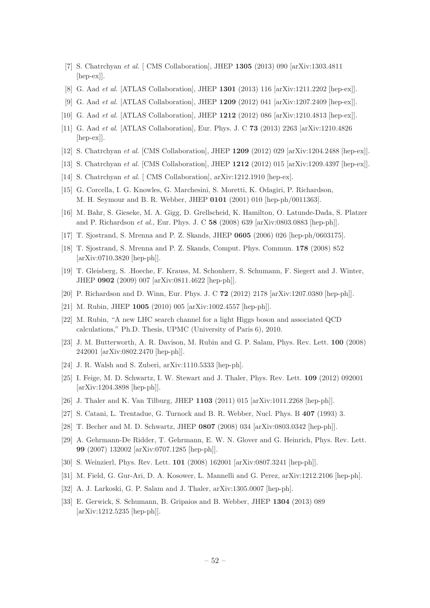- <span id="page-53-0"></span>[7] S. Chatrchyan *et al.* [ CMS Collaboration], JHEP 1305 (2013) 090 [arXiv:1303.4811 [hep-ex]].
- <span id="page-53-1"></span>[8] G. Aad *et al.* [ATLAS Collaboration], JHEP 1301 (2013) 116 [arXiv:1211.2202 [hep-ex]].
- [9] G. Aad *et al.* [ATLAS Collaboration], JHEP 1209 (2012) 041 [arXiv:1207.2409 [hep-ex]].
- [10] G. Aad *et al.* [ATLAS Collaboration], JHEP 1212 (2012) 086 [arXiv:1210.4813 [hep-ex]].
- [11] G. Aad *et al.* [ATLAS Collaboration], Eur. Phys. J. C 73 (2013) 2263 [arXiv:1210.4826 [hep-ex]].
- [12] S. Chatrchyan *et al.* [CMS Collaboration], JHEP 1209 (2012) 029 [arXiv:1204.2488 [hep-ex]].
- [13] S. Chatrchyan *et al.* [CMS Collaboration], JHEP 1212 (2012) 015 [arXiv:1209.4397 [hep-ex]].
- <span id="page-53-2"></span>[14] S. Chatrchyan *et al.* [CMS Collaboration], arXiv:1212.1910 [hep-ex].
- <span id="page-53-3"></span>[15] G. Corcella, I. G. Knowles, G. Marchesini, S. Moretti, K. Odagiri, P. Richardson, M. H. Seymour and B. R. Webber, JHEP 0101 (2001) 010 [hep-ph/0011363].
- <span id="page-53-4"></span>[16] M. Bahr, S. Gieseke, M. A. Gigg, D. Grellscheid, K. Hamilton, O. Latunde-Dada, S. Platzer and P. Richardson *et al.*, Eur. Phys. J. C 58 (2008) 639 [arXiv:0803.0883 [hep-ph]].
- <span id="page-53-5"></span>[17] T. Sjostrand, S. Mrenna and P. Z. Skands, JHEP 0605 (2006) 026 [hep-ph/0603175].
- <span id="page-53-6"></span>[18] T. Sjostrand, S. Mrenna and P. Z. Skands, Comput. Phys. Commun. 178 (2008) 852 [arXiv:0710.3820 [hep-ph]].
- <span id="page-53-7"></span>[19] T. Gleisberg, S. .Hoeche, F. Krauss, M. Schonherr, S. Schumann, F. Siegert and J. Winter, JHEP 0902 (2009) 007 [arXiv:0811.4622 [hep-ph]].
- <span id="page-53-8"></span>[20] P. Richardson and D. Winn, Eur. Phys. J. C 72 (2012) 2178 [arXiv:1207.0380 [hep-ph]].
- <span id="page-53-9"></span>[21] M. Rubin, JHEP 1005 (2010) 005 [arXiv:1002.4557 [hep-ph]].
- <span id="page-53-10"></span>[22] M. Rubin, "A new LHC search channel for a light Higgs boson and associated QCD calculations," Ph.D. Thesis, UPMC (University of Paris 6), 2010.
- <span id="page-53-11"></span>[23] J. M. Butterworth, A. R. Davison, M. Rubin and G. P. Salam, Phys. Rev. Lett. 100 (2008) 242001 [arXiv:0802.2470 [hep-ph]].
- <span id="page-53-12"></span>[24] J. R. Walsh and S. Zuberi, arXiv:1110.5333 [hep-ph].
- <span id="page-53-13"></span>[25] I. Feige, M. D. Schwartz, I. W. Stewart and J. Thaler, Phys. Rev. Lett. 109 (2012) 092001 [arXiv:1204.3898 [hep-ph]].
- <span id="page-53-14"></span>[26] J. Thaler and K. Van Tilburg, JHEP 1103 (2011) 015 [arXiv:1011.2268 [hep-ph]].
- <span id="page-53-15"></span>[27] S. Catani, L. Trentadue, G. Turnock and B. R. Webber, Nucl. Phys. B 407 (1993) 3.
- [28] T. Becher and M. D. Schwartz, JHEP 0807 (2008) 034 [arXiv:0803.0342 [hep-ph]].
- [29] A. Gehrmann-De Ridder, T. Gehrmann, E. W. N. Glover and G. Heinrich, Phys. Rev. Lett. 99 (2007) 132002 [arXiv:0707.1285 [hep-ph]].
- <span id="page-53-16"></span>[30] S. Weinzierl, Phys. Rev. Lett. 101 (2008) 162001 [arXiv:0807.3241 [hep-ph]].
- <span id="page-53-17"></span>[31] M. Field, G. Gur-Ari, D. A. Kosower, L. Mannelli and G. Perez, arXiv:1212.2106 [hep-ph].
- <span id="page-53-18"></span>[32] A. J. Larkoski, G. P. Salam and J. Thaler, arXiv:1305.0007 [hep-ph].
- <span id="page-53-19"></span>[33] E. Gerwick, S. Schumann, B. Gripaios and B. Webber, JHEP 1304 (2013) 089 [arXiv:1212.5235 [hep-ph]].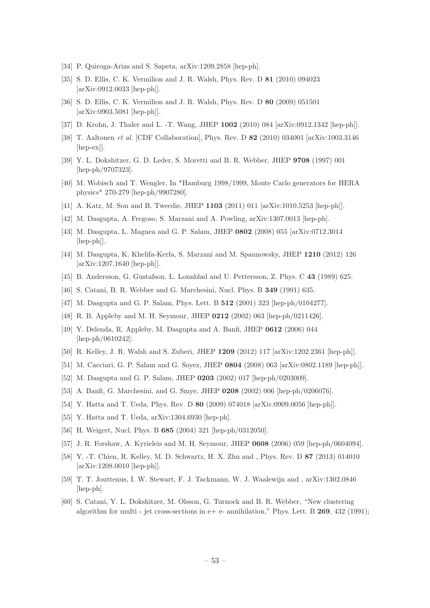- <span id="page-54-0"></span>[34] P. Quiroga-Arias and S. Sapeta, arXiv:1209.2858 [hep-ph].
- <span id="page-54-1"></span>[35] S. D. Ellis, C. K. Vermilion and J. R. Walsh, Phys. Rev. D 81 (2010) 094023 [arXiv:0912.0033 [hep-ph]].
- <span id="page-54-2"></span>[36] S. D. Ellis, C. K. Vermilion and J. R. Walsh, Phys. Rev. D 80 (2009) 051501 [arXiv:0903.5081 [hep-ph]].
- <span id="page-54-3"></span>[37] D. Krohn, J. Thaler and L. -T. Wang, JHEP 1002 (2010) 084 [arXiv:0912.1342 [hep-ph]].
- <span id="page-54-4"></span>[38] T. Aaltonen *et al.* [CDF Collaboration], Phys. Rev. D 82 (2010) 034001 [arXiv:1003.3146 [hep-ex]].
- <span id="page-54-5"></span>[39] Y. L. Dokshitzer, G. D. Leder, S. Moretti and B. R. Webber, JHEP 9708 (1997) 001 [hep-ph/9707323].
- <span id="page-54-6"></span>[40] M. Wobisch and T. Wengler, In \*Hamburg 1998/1999, Monte Carlo generators for HERA physics\* 270-279 [hep-ph/9907280].
- <span id="page-54-7"></span>[41] A. Katz, M. Son and B. Tweedie, JHEP 1103 (2011) 011 [arXiv:1010.5253 [hep-ph]].
- <span id="page-54-8"></span>[42] M. Dasgupta, A. Fregoso, S. Marzani and A. Powling, arXiv:1307.0013 [hep-ph].
- <span id="page-54-9"></span>[43] M. Dasgupta, L. Magnea and G. P. Salam, JHEP 0802 (2008) 055 [arXiv:0712.3014 [hep-ph]].
- <span id="page-54-10"></span>[44] M. Dasgupta, K. Khelifa-Kerfa, S. Marzani and M. Spannowsky, JHEP 1210 (2012) 126 [arXiv:1207.1640 [hep-ph]].
- <span id="page-54-11"></span>[45] B. Andersson, G. Gustafson, L. Lonnblad and U. Pettersson, Z. Phys. C 43 (1989) 625.
- <span id="page-54-12"></span>[46] S. Catani, B. R. Webber and G. Marchesini, Nucl. Phys. B 349 (1991) 635.
- <span id="page-54-13"></span>[47] M. Dasgupta and G. P. Salam, Phys. Lett. B 512 (2001) 323 [hep-ph/0104277].
- <span id="page-54-14"></span>[48] R. B. Appleby and M. H. Seymour, JHEP 0212 (2002) 063 [hep-ph/0211426].
- <span id="page-54-25"></span>[49] Y. Delenda, R. Appleby, M. Dasgupta and A. Banfi, JHEP 0612 (2006) 044 [hep-ph/0610242].
- <span id="page-54-15"></span>[50] R. Kelley, J. R. Walsh and S. Zuberi, JHEP 1209 (2012) 117 [arXiv:1202.2361 [hep-ph]].
- <span id="page-54-16"></span>[51] M. Cacciari, G. P. Salam and G. Soyez, JHEP 0804 (2008) 063 [arXiv:0802.1189 [hep-ph]].
- <span id="page-54-17"></span>[52] M. Dasgupta and G. P. Salam, JHEP 0203 (2002) 017 [hep-ph/0203009].
- [53] A. Banfi, G. Marchesini, and G. Smye, JHEP 0208 (2002) 006 [hep-ph/0206076].
- <span id="page-54-18"></span>[54] Y. Hatta and T. Ueda, Phys. Rev. D 80 (2009) 074018 [arXiv:0909.0056 [hep-ph]].
- <span id="page-54-22"></span>[55] Y. Hatta and T. Ueda, arXiv:1304.6930 [hep-ph].
- <span id="page-54-23"></span>[56] H. Weigert, Nucl. Phys. B 685 (2004) 321 [hep-ph/0312050].
- <span id="page-54-24"></span>[57] J. R. Forshaw, A. Kyrieleis and M. H. Seymour, JHEP 0608 (2006) 059 [hep-ph/0604094].
- <span id="page-54-19"></span>[58] Y. -T. Chien, R. Kelley, M. D. Schwartz, H. X. Zhu and , Phys. Rev. D 87 (2013) 014010 [arXiv:1208.0010 [hep-ph]].
- <span id="page-54-20"></span>[59] T. T. Jouttenus, I. W. Stewart, F. J. Tackmann, W. J. Waalewijn and , arXiv:1302.0846 [hep-ph].
- <span id="page-54-21"></span>[60] S. Catani, Y. L. Dokshitzer, M. Olsson, G. Turnock and B. R. Webber, "New clustering algorithm for multi - jet cross-sections in  $e+ e-$  annihilation," Phys. Lett. B 269, 432 (1991);